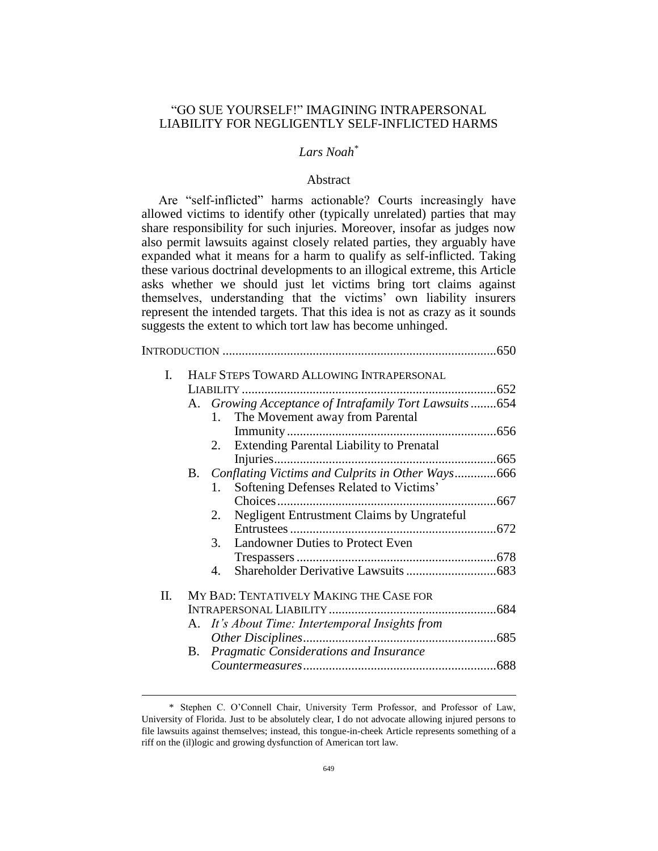## "GO SUE YOURSELF!" IMAGINING INTRAPERSONAL LIABILITY FOR NEGLIGENTLY SELF-INFLICTED HARMS

# *Lars Noah\**

### Abstract

Are "self-inflicted" harms actionable? Courts increasingly have allowed victims to identify other (typically unrelated) parties that may share responsibility for such injuries. Moreover, insofar as judges now also permit lawsuits against closely related parties, they arguably have expanded what it means for a harm to qualify as self-inflicted. Taking these various doctrinal developments to an illogical extreme, this Article asks whether we should just let victims bring tort claims against themselves, understanding that the victims' own liability insurers represent the intended targets. That this idea is not as crazy as it sounds suggests the extent to which tort law has become unhinged.

| Ι. | HALF STEPS TOWARD ALLOWING INTRAPERSONAL               |  |
|----|--------------------------------------------------------|--|
|    |                                                        |  |
|    | A. Growing Acceptance of Intrafamily Tort Lawsuits654  |  |
|    |                                                        |  |
|    | 1. The Movement away from Parental                     |  |
|    |                                                        |  |
|    | 2. Extending Parental Liability to Prenatal            |  |
|    |                                                        |  |
|    | Conflating Victims and Culprits in Other Ways666<br>B. |  |
|    | Softening Defenses Related to Victims'<br>1.           |  |
|    |                                                        |  |
|    | Negligent Entrustment Claims by Ungrateful<br>2.       |  |
|    |                                                        |  |
|    | <b>Landowner Duties to Protect Even</b><br>3.          |  |
|    |                                                        |  |
|    |                                                        |  |
|    | $\mathbf{A}$                                           |  |
| Π. | MY BAD: TENTATIVELY MAKING THE CASE FOR                |  |
|    |                                                        |  |
|    | A. It's About Time: Intertemporal Insights from        |  |
|    |                                                        |  |
|    |                                                        |  |
|    | <b>B.</b> Pragmatic Considerations and Insurance       |  |
|    |                                                        |  |

<sup>\*</sup> Stephen C. O'Connell Chair, University Term Professor, and Professor of Law, University of Florida. Just to be absolutely clear, I do not advocate allowing injured persons to file lawsuits against themselves; instead, this tongue-in-cheek Article represents something of a riff on the (il)logic and growing dysfunction of American tort law.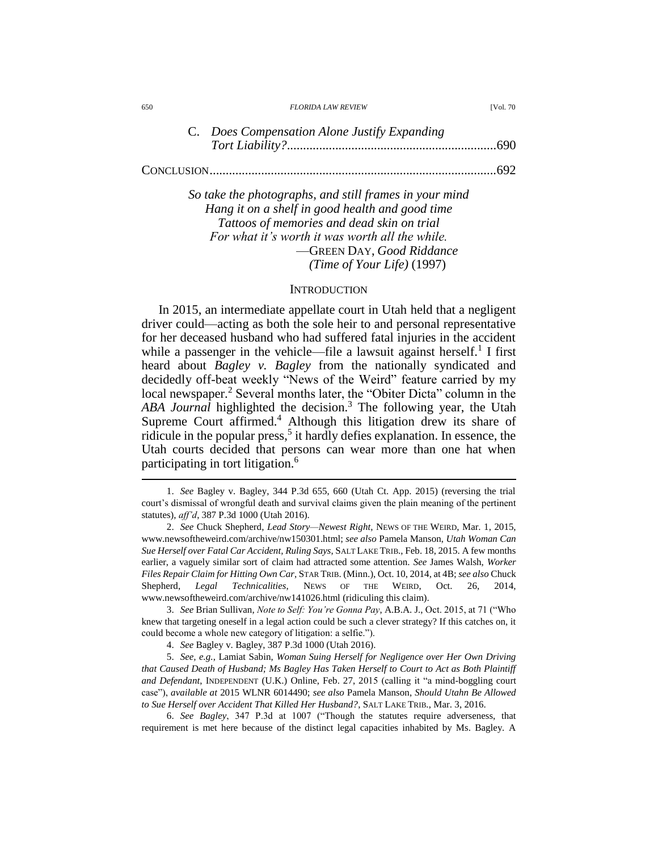| 650 | <b>FLORIDA LAW REVIEW</b> | <b>IVol. 70</b> |
|-----|---------------------------|-----------------|
|     |                           |                 |

| C. Does Compensation Alone Justify Expanding |  |  |
|----------------------------------------------|--|--|
|                                              |  |  |
|                                              |  |  |
|                                              |  |  |

*So take the photographs, and still frames in your mind Hang it on a shelf in good health and good time Tattoos of memories and dead skin on trial For what it's worth it was worth all the while.* —GREEN DAY, *Good Riddance (Time of Your Life)* (1997)

#### **INTRODUCTION**

In 2015, an intermediate appellate court in Utah held that a negligent driver could—acting as both the sole heir to and personal representative for her deceased husband who had suffered fatal injuries in the accident while a passenger in the vehicle—file a lawsuit against herself.<sup>1</sup> I first heard about *Bagley v. Bagley* from the nationally syndicated and decidedly off-beat weekly "News of the Weird" feature carried by my local newspaper.<sup>2</sup> Several months later, the "Obiter Dicta" column in the *ABA Journal* highlighted the decision.<sup>3</sup> The following year, the Utah Supreme Court affirmed.<sup>4</sup> Although this litigation drew its share of ridicule in the popular press,<sup>5</sup> it hardly defies explanation. In essence, the Utah courts decided that persons can wear more than one hat when participating in tort litigation.<sup>6</sup>

3. *See* Brian Sullivan, *Note to Self: You're Gonna Pay*, A.B.A. J., Oct. 2015, at 71 ("Who knew that targeting oneself in a legal action could be such a clever strategy? If this catches on, it could become a whole new category of litigation: a selfie.").

4. *See* Bagley v. Bagley, 387 P.3d 1000 (Utah 2016).

5. *See, e.g.*, Lamiat Sabin, *Woman Suing Herself for Negligence over Her Own Driving that Caused Death of Husband; Ms Bagley Has Taken Herself to Court to Act as Both Plaintiff and Defendant*, INDEPENDENT (U.K.) Online, Feb. 27, 2015 (calling it "a mind-boggling court case"), *available at* 2015 WLNR 6014490; *see also* Pamela Manson, *Should Utahn Be Allowed to Sue Herself over Accident That Killed Her Husband?*, SALT LAKE TRIB., Mar. 3, 2016.

6. *See Bagley*, 347 P.3d at 1007 ("Though the statutes require adverseness, that requirement is met here because of the distinct legal capacities inhabited by Ms. Bagley. A

<sup>1.</sup> *See* Bagley v. Bagley, 344 P.3d 655, 660 (Utah Ct. App. 2015) (reversing the trial court's dismissal of wrongful death and survival claims given the plain meaning of the pertinent statutes), *aff'd*, 387 P.3d 1000 (Utah 2016).

<sup>2.</sup> *See* Chuck Shepherd, *Lead Story—Newest Right*, NEWS OF THE WEIRD, Mar. 1, 2015, www.newsoftheweird.com/archive/nw150301.html; *see also* Pamela Manson, *Utah Woman Can Sue Herself over Fatal Car Accident, Ruling Says*, SALT LAKE TRIB., Feb. 18, 2015. A few months earlier, a vaguely similar sort of claim had attracted some attention. *See* James Walsh, *Worker Files Repair Claim for Hitting Own Car*, STAR TRIB. (Minn.), Oct. 10, 2014, at 4B; *see also* Chuck Shepherd, *Legal Technicalities*, NEWS OF THE WEIRD, Oct. 26, 2014, www.newsoftheweird.com/archive/nw141026.html (ridiculing this claim).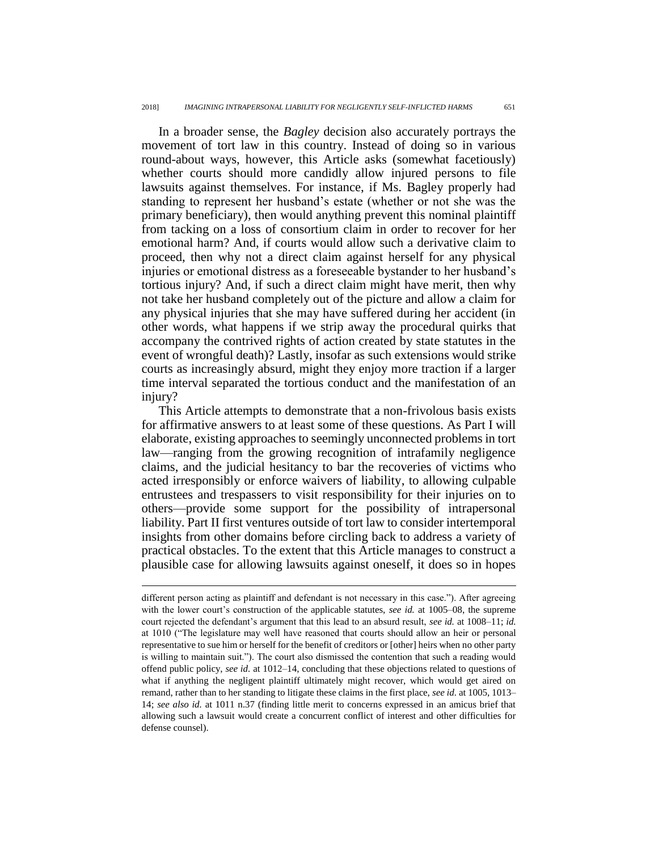In a broader sense, the *Bagley* decision also accurately portrays the movement of tort law in this country. Instead of doing so in various round-about ways, however, this Article asks (somewhat facetiously) whether courts should more candidly allow injured persons to file lawsuits against themselves. For instance, if Ms. Bagley properly had standing to represent her husband's estate (whether or not she was the primary beneficiary), then would anything prevent this nominal plaintiff from tacking on a loss of consortium claim in order to recover for her emotional harm? And, if courts would allow such a derivative claim to proceed, then why not a direct claim against herself for any physical injuries or emotional distress as a foreseeable bystander to her husband's tortious injury? And, if such a direct claim might have merit, then why not take her husband completely out of the picture and allow a claim for any physical injuries that she may have suffered during her accident (in other words, what happens if we strip away the procedural quirks that accompany the contrived rights of action created by state statutes in the event of wrongful death)? Lastly, insofar as such extensions would strike courts as increasingly absurd, might they enjoy more traction if a larger time interval separated the tortious conduct and the manifestation of an injury?

This Article attempts to demonstrate that a non-frivolous basis exists for affirmative answers to at least some of these questions. As Part I will elaborate, existing approaches to seemingly unconnected problems in tort law—ranging from the growing recognition of intrafamily negligence claims, and the judicial hesitancy to bar the recoveries of victims who acted irresponsibly or enforce waivers of liability, to allowing culpable entrustees and trespassers to visit responsibility for their injuries on to others—provide some support for the possibility of intrapersonal liability. Part II first ventures outside of tort law to consider intertemporal insights from other domains before circling back to address a variety of practical obstacles. To the extent that this Article manages to construct a plausible case for allowing lawsuits against oneself, it does so in hopes

different person acting as plaintiff and defendant is not necessary in this case."). After agreeing with the lower court's construction of the applicable statutes, *see id.* at 1005–08, the supreme court rejected the defendant's argument that this lead to an absurd result, *see id.* at 1008–11; *id.* at 1010 ("The legislature may well have reasoned that courts should allow an heir or personal representative to sue him or herself for the benefit of creditors or [other] heirs when no other party is willing to maintain suit."). The court also dismissed the contention that such a reading would offend public policy, *see id.* at 1012–14, concluding that these objections related to questions of what if anything the negligent plaintiff ultimately might recover, which would get aired on remand, rather than to her standing to litigate these claims in the first place, *see id.* at 1005, 1013– 14; *see also id.* at 1011 n.37 (finding little merit to concerns expressed in an amicus brief that allowing such a lawsuit would create a concurrent conflict of interest and other difficulties for defense counsel).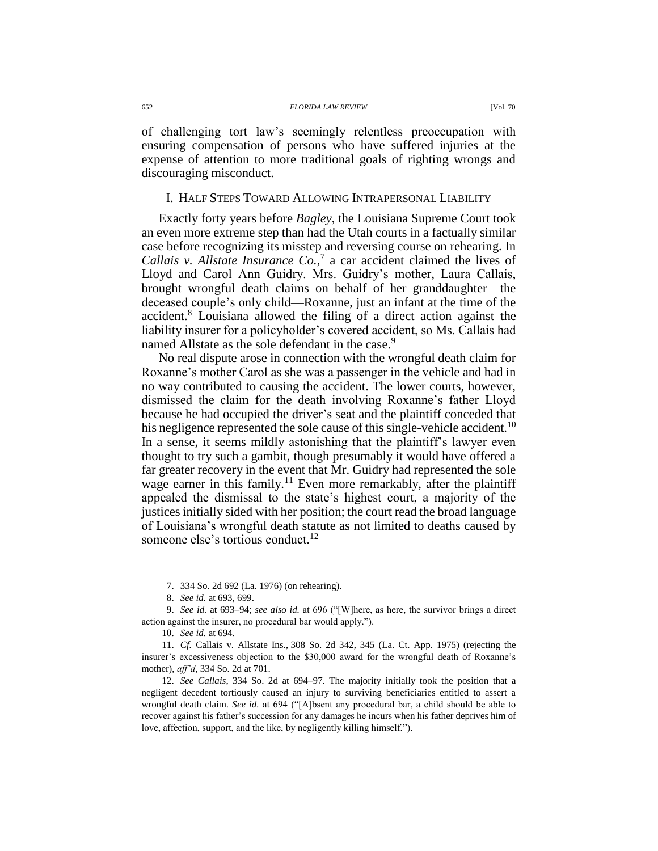#### 652 *FLORIDA LAW REVIEW* [Vol. 70

of challenging tort law's seemingly relentless preoccupation with ensuring compensation of persons who have suffered injuries at the expense of attention to more traditional goals of righting wrongs and discouraging misconduct.

## I. HALF STEPS TOWARD ALLOWING INTRAPERSONAL LIABILITY

Exactly forty years before *Bagley*, the Louisiana Supreme Court took an even more extreme step than had the Utah courts in a factually similar case before recognizing its misstep and reversing course on rehearing. In *Callais v. Allstate Insurance*  $Co^{7}$ *,* a car accident claimed the lives of Lloyd and Carol Ann Guidry. Mrs. Guidry's mother, Laura Callais, brought wrongful death claims on behalf of her granddaughter—the deceased couple's only child—Roxanne, just an infant at the time of the accident.<sup>8</sup> Louisiana allowed the filing of a direct action against the liability insurer for a policyholder's covered accident, so Ms. Callais had named Allstate as the sole defendant in the case.<sup>9</sup>

<span id="page-3-0"></span>No real dispute arose in connection with the wrongful death claim for Roxanne's mother Carol as she was a passenger in the vehicle and had in no way contributed to causing the accident. The lower courts, however, dismissed the claim for the death involving Roxanne's father Lloyd because he had occupied the driver's seat and the plaintiff conceded that his negligence represented the sole cause of this single-vehicle accident.<sup>10</sup> In a sense, it seems mildly astonishing that the plaintiff's lawyer even thought to try such a gambit, though presumably it would have offered a far greater recovery in the event that Mr. Guidry had represented the sole wage earner in this family.<sup>11</sup> Even more remarkably, after the plaintiff appealed the dismissal to the state's highest court, a majority of the justices initially sided with her position; the court read the broad language of Louisiana's wrongful death statute as not limited to deaths caused by someone else's tortious conduct.<sup>12</sup>

<span id="page-3-1"></span><sup>7.</sup> 334 So. 2d 692 (La. 1976) (on rehearing).

<sup>8.</sup> *See id.* at 693, 699.

<sup>9.</sup> *See id.* at 693–94; *see also id.* at 696 ("[W]here, as here, the survivor brings a direct action against the insurer, no procedural bar would apply.").

<sup>10.</sup> *See id.* at 694.

<sup>11.</sup> *Cf.* Callais v. Allstate Ins., 308 So. 2d 342, 345 (La. Ct. App. 1975) (rejecting the insurer's excessiveness objection to the \$30,000 award for the wrongful death of Roxanne's mother), *aff'd*, 334 So. 2d at 701.

<sup>12.</sup> *See Callais*, 334 So. 2d at 694–97. The majority initially took the position that a negligent decedent tortiously caused an injury to surviving beneficiaries entitled to assert a wrongful death claim. *See id.* at 694 ("[A]bsent any procedural bar, a child should be able to recover against his father's succession for any damages he incurs when his father deprives him of love, affection, support, and the like, by negligently killing himself.").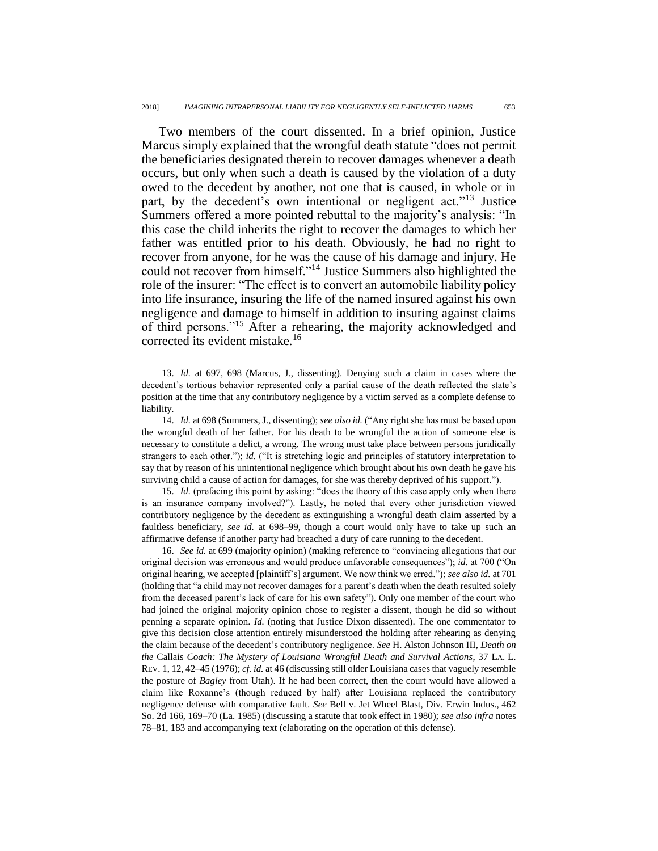Two members of the court dissented. In a brief opinion, Justice Marcus simply explained that the wrongful death statute "does not permit the beneficiaries designated therein to recover damages whenever a death occurs, but only when such a death is caused by the violation of a duty owed to the decedent by another, not one that is caused, in whole or in part, by the decedent's own intentional or negligent act."<sup>13</sup> Justice Summers offered a more pointed rebuttal to the majority's analysis: "In this case the child inherits the right to recover the damages to which her father was entitled prior to his death. Obviously, he had no right to recover from anyone, for he was the cause of his damage and injury. He could not recover from himself."<sup>14</sup> Justice Summers also highlighted the role of the insurer: "The effect is to convert an automobile liability policy into life insurance, insuring the life of the named insured against his own negligence and damage to himself in addition to insuring against claims of third persons."<sup>15</sup> After a rehearing, the majority acknowledged and corrected its evident mistake.<sup>16</sup>

 $\overline{a}$ 

15. *Id.* (prefacing this point by asking: "does the theory of this case apply only when there is an insurance company involved?"). Lastly, he noted that every other jurisdiction viewed contributory negligence by the decedent as extinguishing a wrongful death claim asserted by a faultless beneficiary, *see id.* at 698–99, though a court would only have to take up such an affirmative defense if another party had breached a duty of care running to the decedent.

16. *See id.* at 699 (majority opinion) (making reference to "convincing allegations that our original decision was erroneous and would produce unfavorable consequences"); *id.* at 700 ("On original hearing, we accepted [plaintiff's] argument. We now think we erred."); *see also id.* at 701 (holding that "a child may not recover damages for a parent's death when the death resulted solely from the deceased parent's lack of care for his own safety"). Only one member of the court who had joined the original majority opinion chose to register a dissent, though he did so without penning a separate opinion. *Id.* (noting that Justice Dixon dissented). The one commentator to give this decision close attention entirely misunderstood the holding after rehearing as denying the claim because of the decedent's contributory negligence. *See* H. Alston Johnson III, *Death on the* Callais *Coach: The Mystery of Louisiana Wrongful Death and Survival Actions*, 37 LA. L. REV. 1, 12, 42–45 (1976); *cf. id.* at 46 (discussing still older Louisiana cases that vaguely resemble the posture of *Bagley* from Utah). If he had been correct, then the court would have allowed a claim like Roxanne's (though reduced by half) after Louisiana replaced the contributory negligence defense with comparative fault. *See* Bell v. Jet Wheel Blast, Div. Erwin Indus., 462 So. 2d 166, 169–70 (La. 1985) (discussing a statute that took effect in 1980); *see also infra* notes [78](#page-19-0)[–81,](#page-19-1) [183](#page-40-0) and accompanying text (elaborating on the operation of this defense).

<sup>13.</sup> *Id.* at 697, 698 (Marcus, J., dissenting). Denying such a claim in cases where the decedent's tortious behavior represented only a partial cause of the death reflected the state's position at the time that any contributory negligence by a victim served as a complete defense to liability.

<sup>14.</sup> *Id.* at 698 (Summers, J., dissenting); *see also id.* ("Any right she has must be based upon the wrongful death of her father. For his death to be wrongful the action of someone else is necessary to constitute a delict, a wrong. The wrong must take place between persons juridically strangers to each other."); *id.* ("It is stretching logic and principles of statutory interpretation to say that by reason of his unintentional negligence which brought about his own death he gave his surviving child a cause of action for damages, for she was thereby deprived of his support.").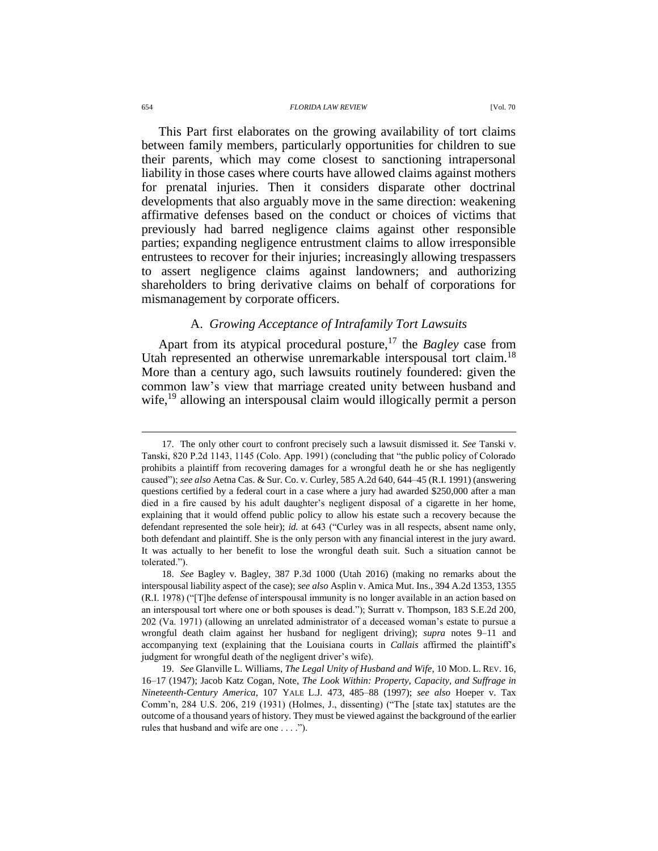#### 654 *FLORIDA LAW REVIEW* [Vol. 70

This Part first elaborates on the growing availability of tort claims between family members, particularly opportunities for children to sue their parents, which may come closest to sanctioning intrapersonal liability in those cases where courts have allowed claims against mothers for prenatal injuries. Then it considers disparate other doctrinal developments that also arguably move in the same direction: weakening affirmative defenses based on the conduct or choices of victims that previously had barred negligence claims against other responsible parties; expanding negligence entrustment claims to allow irresponsible entrustees to recover for their injuries; increasingly allowing trespassers to assert negligence claims against landowners; and authorizing shareholders to bring derivative claims on behalf of corporations for mismanagement by corporate officers.

### A. *Growing Acceptance of Intrafamily Tort Lawsuits*

Apart from its atypical procedural posture,<sup>17</sup> the *Bagley* case from Utah represented an otherwise unremarkable interspousal tort claim.<sup>18</sup> More than a century ago, such lawsuits routinely foundered: given the common law's view that marriage created unity between husband and wife,<sup>19</sup> allowing an interspousal claim would illogically permit a person

<sup>17.</sup> The only other court to confront precisely such a lawsuit dismissed it. *See* Tanski v. Tanski, 820 P.2d 1143, 1145 (Colo. App. 1991) (concluding that "the public policy of Colorado prohibits a plaintiff from recovering damages for a wrongful death he or she has negligently caused"); *see also* Aetna Cas. & Sur. Co. v. Curley, 585 A.2d 640, 644–45 (R.I. 1991) (answering questions certified by a federal court in a case where a jury had awarded \$250,000 after a man died in a fire caused by his adult daughter's negligent disposal of a cigarette in her home, explaining that it would offend public policy to allow his estate such a recovery because the defendant represented the sole heir); *id.* at 643 ("Curley was in all respects, absent name only, both defendant and plaintiff. She is the only person with any financial interest in the jury award. It was actually to her benefit to lose the wrongful death suit. Such a situation cannot be tolerated.").

<sup>18.</sup> *See* Bagley v. Bagley, 387 P.3d 1000 (Utah 2016) (making no remarks about the interspousal liability aspect of the case); *see also* Asplin v. Amica Mut. Ins., 394 A.2d 1353, 1355 (R.I. 1978) ("[T]he defense of interspousal immunity is no longer available in an action based on an interspousal tort where one or both spouses is dead."); Surratt v. Thompson, 183 S.E.2d 200, 202 (Va. 1971) (allowing an unrelated administrator of a deceased woman's estate to pursue a wrongful death claim against her husband for negligent driving); *supra* notes [9–](#page-3-0)[11](#page-3-1) and accompanying text (explaining that the Louisiana courts in *Callais* affirmed the plaintiff's judgment for wrongful death of the negligent driver's wife).

<sup>19.</sup> *See* Glanville L. Williams, *The Legal Unity of Husband and Wife*, 10 MOD. L. REV. 16, 16–17 (1947); Jacob Katz Cogan, Note, *The Look Within: Property, Capacity, and Suffrage in Nineteenth-Century America*, 107 YALE L.J. 473, 485–88 (1997); *see also* Hoeper v. Tax Comm'n, 284 U.S. 206, 219 (1931) (Holmes, J., dissenting) ("The [state tax] statutes are the outcome of a thousand years of history. They must be viewed against the background of the earlier rules that husband and wife are one . . . .").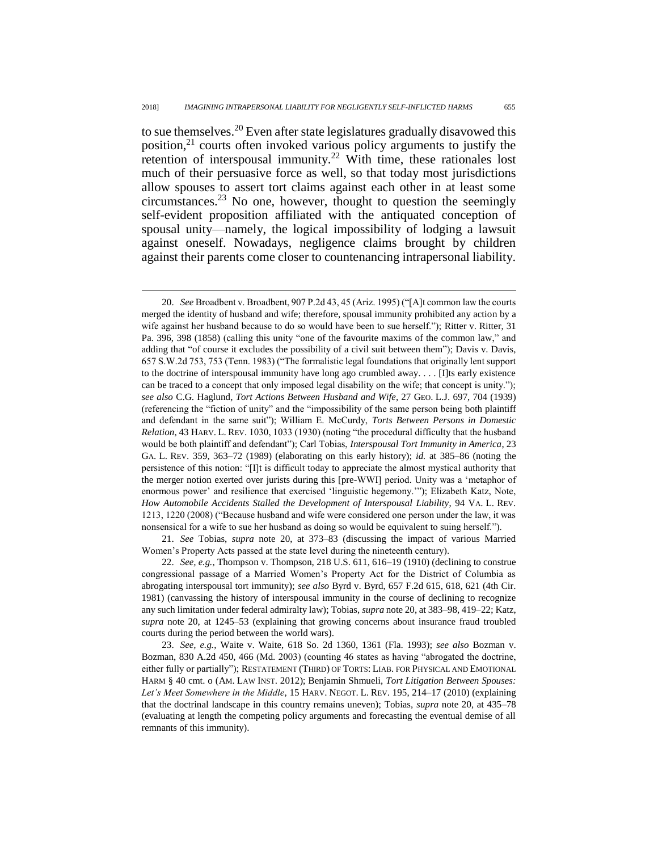$\overline{a}$ 

<span id="page-6-1"></span><span id="page-6-0"></span>to sue themselves.<sup>20</sup> Even after state legislatures gradually disavowed this position, $2<sup>1</sup>$  courts often invoked various policy arguments to justify the retention of interspousal immunity.<sup>22</sup> With time, these rationales lost much of their persuasive force as well, so that today most jurisdictions allow spouses to assert tort claims against each other in at least some circumstances.<sup>23</sup> No one, however, thought to question the seemingly self-evident proposition affiliated with the antiquated conception of spousal unity—namely, the logical impossibility of lodging a lawsuit against oneself. Nowadays, negligence claims brought by children against their parents come closer to countenancing intrapersonal liability.

21. *See* Tobias, *supra* note [20,](#page-6-0) at 373–83 (discussing the impact of various Married Women's Property Acts passed at the state level during the nineteenth century).

22. *See, e.g.*, Thompson v. Thompson, 218 U.S. 611, 616–19 (1910) (declining to construe congressional passage of a Married Women's Property Act for the District of Columbia as abrogating interspousal tort immunity); *see also* Byrd v. Byrd, 657 F.2d 615, 618, 621 (4th Cir. 1981) (canvassing the history of interspousal immunity in the course of declining to recognize any such limitation under federal admiralty law); Tobias, *supra* note [20,](#page-6-0) at 383–98, 419–22; Katz, *supra* note [20,](#page-6-0) at 1245–53 (explaining that growing concerns about insurance fraud troubled courts during the period between the world wars).

23. *See, e.g.*, Waite v. Waite, 618 So. 2d 1360, 1361 (Fla. 1993); *see also* Bozman v. Bozman, 830 A.2d 450, 466 (Md. 2003) (counting 46 states as having "abrogated the doctrine, either fully or partially"); RESTATEMENT (THIRD) OF TORTS: LIAB. FOR PHYSICAL AND EMOTIONAL HARM § 40 cmt. o (AM. LAW INST. 2012); Benjamin Shmueli, *Tort Litigation Between Spouses:*  Let's Meet Somewhere in the Middle, 15 HARV. NEGOT. L. REV. 195, 214–17 (2010) (explaining that the doctrinal landscape in this country remains uneven); Tobias, *supra* note [20,](#page-6-0) at 435–78 (evaluating at length the competing policy arguments and forecasting the eventual demise of all remnants of this immunity).

<sup>20.</sup> *See* Broadbent v. Broadbent, 907 P.2d 43, 45 (Ariz. 1995) ("[A]t common law the courts merged the identity of husband and wife; therefore, spousal immunity prohibited any action by a wife against her husband because to do so would have been to sue herself."); Ritter v. Ritter, 31 Pa. 396, 398 (1858) (calling this unity "one of the favourite maxims of the common law," and adding that "of course it excludes the possibility of a civil suit between them"); Davis v. Davis, 657 S.W.2d 753, 753 (Tenn. 1983) ("The formalistic legal foundations that originally lent support to the doctrine of interspousal immunity have long ago crumbled away. . . . [I]ts early existence can be traced to a concept that only imposed legal disability on the wife; that concept is unity."); *see also* C.G. Haglund, *Tort Actions Between Husband and Wife*, 27 GEO. L.J. 697, 704 (1939) (referencing the "fiction of unity" and the "impossibility of the same person being both plaintiff and defendant in the same suit"); William E. McCurdy, *Torts Between Persons in Domestic Relation*, 43 HARV. L. REV. 1030, 1033 (1930) (noting "the procedural difficulty that the husband would be both plaintiff and defendant"); Carl Tobias, *Interspousal Tort Immunity in America*, 23 GA. L. REV. 359, 363–72 (1989) (elaborating on this early history); *id.* at 385–86 (noting the persistence of this notion: "[I]t is difficult today to appreciate the almost mystical authority that the merger notion exerted over jurists during this [pre-WWI] period. Unity was a 'metaphor of enormous power' and resilience that exercised 'linguistic hegemony.'"); Elizabeth Katz, Note, *How Automobile Accidents Stalled the Development of Interspousal Liability*, 94 VA. L. REV. 1213, 1220 (2008) ("Because husband and wife were considered one person under the law, it was nonsensical for a wife to sue her husband as doing so would be equivalent to suing herself.").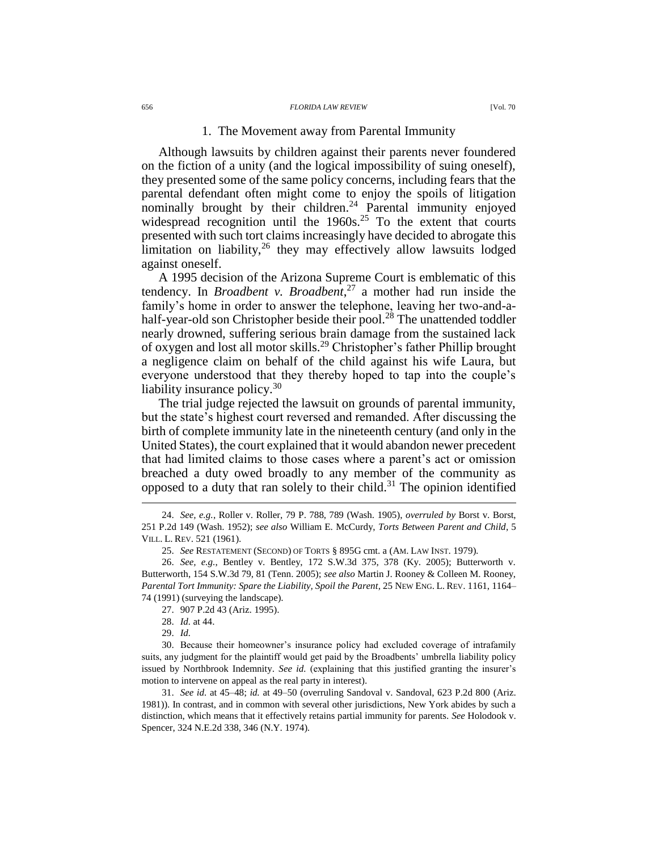#### 656 *FLORIDA LAW REVIEW* [Vol. 70

### 1. The Movement away from Parental Immunity

Although lawsuits by children against their parents never foundered on the fiction of a unity (and the logical impossibility of suing oneself), they presented some of the same policy concerns, including fears that the parental defendant often might come to enjoy the spoils of litigation nominally brought by their children.<sup>24</sup> Parental immunity enjoyed widespread recognition until the  $1960s<sup>25</sup>$  To the extent that courts presented with such tort claims increasingly have decided to abrogate this limitation on liability, $26$  they may effectively allow lawsuits lodged against oneself.

<span id="page-7-0"></span>A 1995 decision of the Arizona Supreme Court is emblematic of this tendency. In *Broadbent v. Broadbent*, <sup>27</sup> a mother had run inside the family's home in order to answer the telephone, leaving her two-and-ahalf-year-old son Christopher beside their pool.<sup>28</sup> The unattended toddler nearly drowned, suffering serious brain damage from the sustained lack of oxygen and lost all motor skills.<sup>29</sup> Christopher's father Phillip brought a negligence claim on behalf of the child against his wife Laura, but everyone understood that they thereby hoped to tap into the couple's liability insurance policy.<sup>30</sup>

The trial judge rejected the lawsuit on grounds of parental immunity, but the state's highest court reversed and remanded. After discussing the birth of complete immunity late in the nineteenth century (and only in the United States), the court explained that it would abandon newer precedent that had limited claims to those cases where a parent's act or omission breached a duty owed broadly to any member of the community as opposed to a duty that ran solely to their child. $31$  The opinion identified

<sup>24.</sup> *See, e.g.*, Roller v. Roller, 79 P. 788, 789 (Wash. 1905), *overruled by* Borst v. Borst, 251 P.2d 149 (Wash. 1952); *see also* William E. McCurdy, *Torts Between Parent and Child*, 5 VILL. L. REV. 521 (1961).

<sup>25.</sup> *See* RESTATEMENT (SECOND) OF TORTS § 895G cmt. a (AM. LAW INST. 1979).

<sup>26.</sup> *See, e.g.*, Bentley v. Bentley, 172 S.W.3d 375, 378 (Ky. 2005); Butterworth v. Butterworth, 154 S.W.3d 79, 81 (Tenn. 2005); *see also* Martin J. Rooney & Colleen M. Rooney, *Parental Tort Immunity: Spare the Liability, Spoil the Parent*, 25 NEW ENG. L. REV. 1161, 1164– 74 (1991) (surveying the landscape).

<sup>27.</sup> 907 P.2d 43 (Ariz. 1995).

<sup>28.</sup> *Id.* at 44.

<sup>29.</sup> *Id.*

<sup>30.</sup> Because their homeowner's insurance policy had excluded coverage of intrafamily suits, any judgment for the plaintiff would get paid by the Broadbents' umbrella liability policy issued by Northbrook Indemnity. *See id.* (explaining that this justified granting the insurer's motion to intervene on appeal as the real party in interest).

<sup>31.</sup> *See id.* at 45–48; *id.* at 49–50 (overruling Sandoval v. Sandoval, 623 P.2d 800 (Ariz. 1981)). In contrast, and in common with several other jurisdictions, New York abides by such a distinction, which means that it effectively retains partial immunity for parents. *See* Holodook v. Spencer, 324 N.E.2d 338, 346 (N.Y. 1974).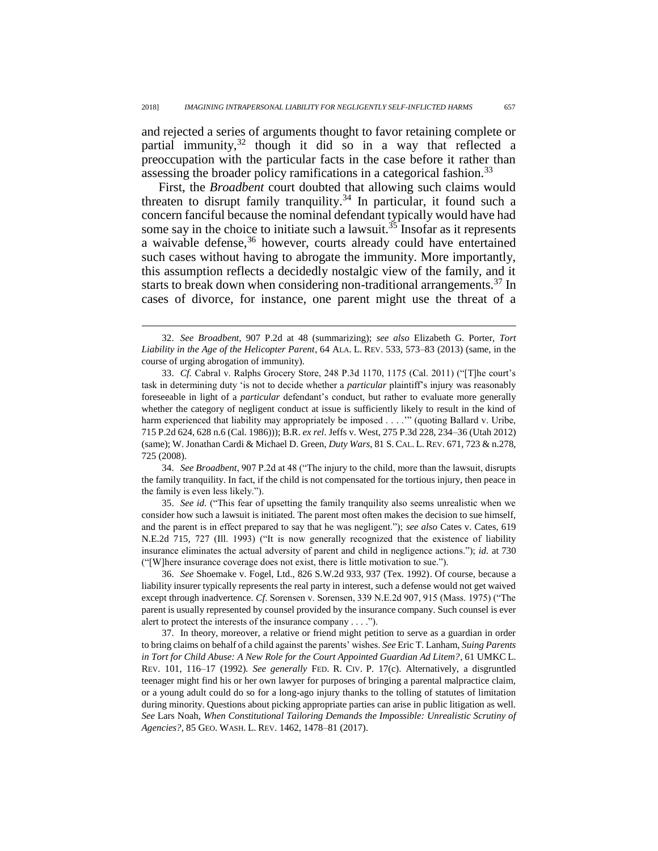<span id="page-8-1"></span>and rejected a series of arguments thought to favor retaining complete or partial immunity,  $32$  though it did so in a way that reflected a preoccupation with the particular facts in the case before it rather than assessing the broader policy ramifications in a categorical fashion.<sup>33</sup>

First, the *Broadbent* court doubted that allowing such claims would threaten to disrupt family tranquility.<sup>34</sup> In particular, it found such a concern fanciful because the nominal defendant typically would have had some say in the choice to initiate such a lawsuit.<sup>35</sup> Insofar as it represents a waivable defense,  $36$  however, courts already could have entertained such cases without having to abrogate the immunity. More importantly, this assumption reflects a decidedly nostalgic view of the family, and it starts to break down when considering non-traditional arrangements.<sup>37</sup> In cases of divorce, for instance, one parent might use the threat of a

<span id="page-8-0"></span> $\overline{a}$ 

34. *See Broadbent*, 907 P.2d at 48 ("The injury to the child, more than the lawsuit, disrupts the family tranquility. In fact, if the child is not compensated for the tortious injury, then peace in the family is even less likely.").

35. *See id.* ("This fear of upsetting the family tranquility also seems unrealistic when we consider how such a lawsuit is initiated. The parent most often makes the decision to sue himself, and the parent is in effect prepared to say that he was negligent."); *see also* Cates v. Cates, 619 N.E.2d 715, 727 (Ill. 1993) ("It is now generally recognized that the existence of liability insurance eliminates the actual adversity of parent and child in negligence actions."); *id.* at 730 ("[W]here insurance coverage does not exist, there is little motivation to sue.").

36. *See* Shoemake v. Fogel, Ltd., 826 S.W.2d 933, 937 (Tex. 1992). Of course, because a liability insurer typically represents the real party in interest, such a defense would not get waived except through inadvertence. *Cf.* Sorensen v. Sorensen, 339 N.E.2d 907, 915 (Mass. 1975) ("The parent is usually represented by counsel provided by the insurance company. Such counsel is ever alert to protect the interests of the insurance company . . . .").

37. In theory, moreover, a relative or friend might petition to serve as a guardian in order to bring claims on behalf of a child against the parents' wishes. *See* Eric T. Lanham, *Suing Parents in Tort for Child Abuse: A New Role for the Court Appointed Guardian Ad Litem?*, 61 UMKC L. REV. 101, 116–17 (1992). *See generally* FED. R. CIV. P. 17(c). Alternatively, a disgruntled teenager might find his or her own lawyer for purposes of bringing a parental malpractice claim, or a young adult could do so for a long-ago injury thanks to the tolling of statutes of limitation during minority. Questions about picking appropriate parties can arise in public litigation as well. *See* Lars Noah, *When Constitutional Tailoring Demands the Impossible: Unrealistic Scrutiny of Agencies?*, 85 GEO. WASH. L. REV. 1462, 1478–81 (2017).

<sup>32.</sup> *See Broadbent*, 907 P.2d at 48 (summarizing); *see also* Elizabeth G. Porter, *Tort Liability in the Age of the Helicopter Parent*, 64 ALA. L. REV. 533, 573–83 (2013) (same, in the course of urging abrogation of immunity).

<sup>33.</sup> *Cf.* Cabral v. Ralphs Grocery Store, 248 P.3d 1170, 1175 (Cal. 2011) ("[T]he court's task in determining duty 'is not to decide whether a *particular* plaintiff's injury was reasonably foreseeable in light of a *particular* defendant's conduct, but rather to evaluate more generally whether the category of negligent conduct at issue is sufficiently likely to result in the kind of harm experienced that liability may appropriately be imposed . . . ."" (quoting Ballard v. Uribe, 715 P.2d 624, 628 n.6 (Cal. 1986))); B.R. *ex rel*. Jeffs v. West, 275 P.3d 228, 234–36 (Utah 2012) (same); W. Jonathan Cardi & Michael D. Green, *Duty Wars*, 81 S. CAL. L. REV. 671, 723 & n.278, 725 (2008).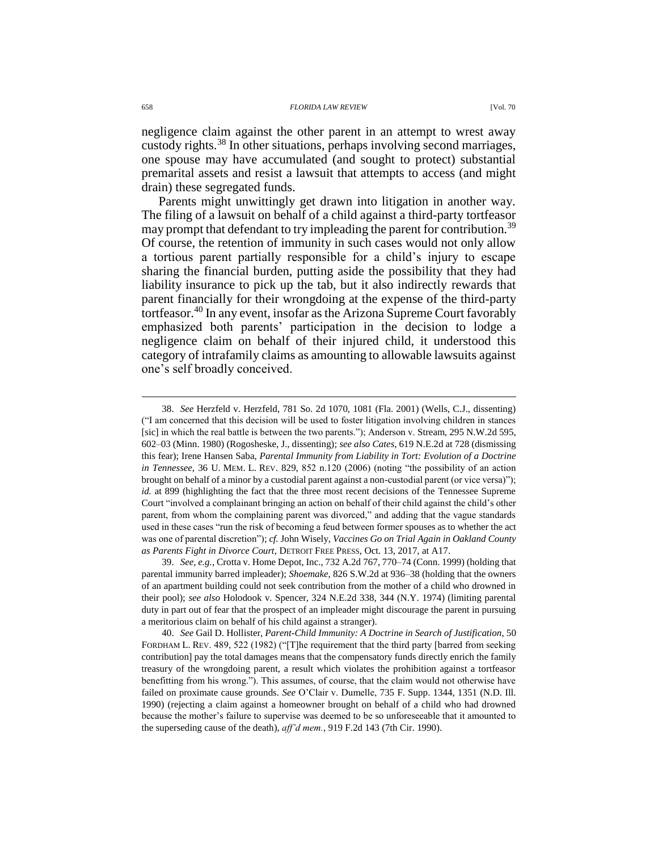negligence claim against the other parent in an attempt to wrest away custody rights.<sup>38</sup> In other situations, perhaps involving second marriages, one spouse may have accumulated (and sought to protect) substantial premarital assets and resist a lawsuit that attempts to access (and might drain) these segregated funds.

<span id="page-9-0"></span>Parents might unwittingly get drawn into litigation in another way. The filing of a lawsuit on behalf of a child against a third-party tortfeasor may prompt that defendant to try impleading the parent for contribution.<sup>39</sup> Of course, the retention of immunity in such cases would not only allow a tortious parent partially responsible for a child's injury to escape sharing the financial burden, putting aside the possibility that they had liability insurance to pick up the tab, but it also indirectly rewards that parent financially for their wrongdoing at the expense of the third-party tortfeasor.<sup>40</sup> In any event, insofar as the Arizona Supreme Court favorably emphasized both parents' participation in the decision to lodge a negligence claim on behalf of their injured child, it understood this category of intrafamily claims as amounting to allowable lawsuits against one's self broadly conceived.

<span id="page-9-1"></span><sup>38.</sup> *See* Herzfeld v. Herzfeld, 781 So. 2d 1070, 1081 (Fla. 2001) (Wells, C.J., dissenting) ("I am concerned that this decision will be used to foster litigation involving children in stances [sic] in which the real battle is between the two parents."); Anderson v. Stream, 295 N.W.2d 595, 602–03 (Minn. 1980) (Rogosheske, J., dissenting); *see also Cates*, 619 N.E.2d at 728 (dismissing this fear); Irene Hansen Saba, *Parental Immunity from Liability in Tort: Evolution of a Doctrine in Tennessee*, 36 U. MEM. L. REV. 829, 852 n.120 (2006) (noting "the possibility of an action brought on behalf of a minor by a custodial parent against a non-custodial parent (or vice versa)"); *id.* at 899 (highlighting the fact that the three most recent decisions of the Tennessee Supreme Court "involved a complainant bringing an action on behalf of their child against the child's other parent, from whom the complaining parent was divorced," and adding that the vague standards used in these cases "run the risk of becoming a feud between former spouses as to whether the act was one of parental discretion"); *cf.* John Wisely, *Vaccines Go on Trial Again in Oakland County as Parents Fight in Divorce Court*, DETROIT FREE PRESS, Oct. 13, 2017, at A17.

<sup>39.</sup> *See, e.g.*, Crotta v. Home Depot, Inc., 732 A.2d 767, 770–74 (Conn. 1999) (holding that parental immunity barred impleader); *Shoemake*, 826 S.W.2d at 936–38 (holding that the owners of an apartment building could not seek contribution from the mother of a child who drowned in their pool); *see also* Holodook v. Spencer, 324 N.E.2d 338, 344 (N.Y. 1974) (limiting parental duty in part out of fear that the prospect of an impleader might discourage the parent in pursuing a meritorious claim on behalf of his child against a stranger).

<sup>40.</sup> *See* Gail D. Hollister, *Parent-Child Immunity: A Doctrine in Search of Justification*, 50 FORDHAM L. REV. 489, 522 (1982) ("[T]he requirement that the third party [barred from seeking contribution] pay the total damages means that the compensatory funds directly enrich the family treasury of the wrongdoing parent, a result which violates the prohibition against a tortfeasor benefitting from his wrong."). This assumes, of course, that the claim would not otherwise have failed on proximate cause grounds. *See* O'Clair v. Dumelle, 735 F. Supp. 1344, 1351 (N.D. Ill. 1990) (rejecting a claim against a homeowner brought on behalf of a child who had drowned because the mother's failure to supervise was deemed to be so unforeseeable that it amounted to the superseding cause of the death), *aff'd mem.*, 919 F.2d 143 (7th Cir. 1990).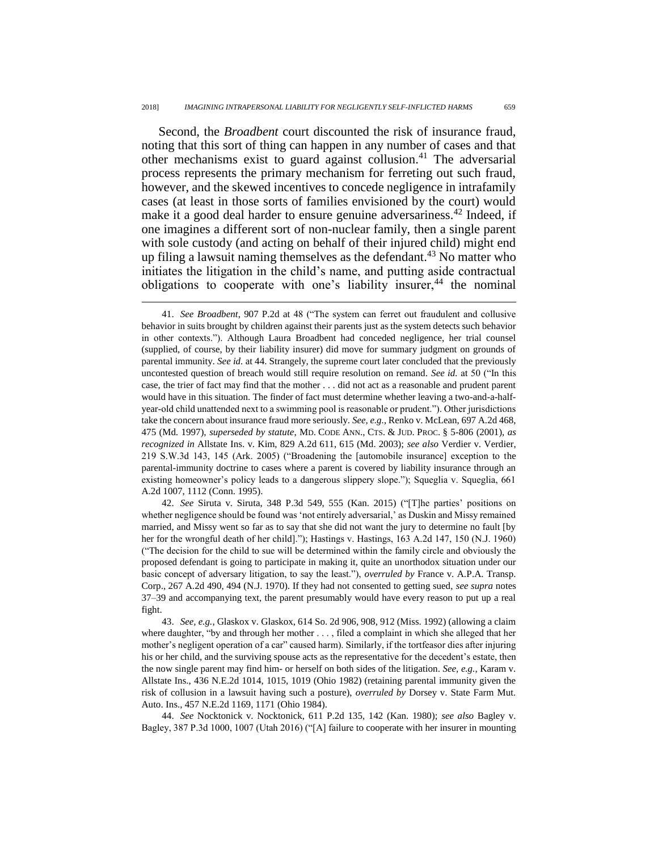$\overline{a}$ 

Second, the *Broadbent* court discounted the risk of insurance fraud, noting that this sort of thing can happen in any number of cases and that other mechanisms exist to guard against collusion.<sup>41</sup> The adversarial process represents the primary mechanism for ferreting out such fraud, however, and the skewed incentives to concede negligence in intrafamily cases (at least in those sorts of families envisioned by the court) would make it a good deal harder to ensure genuine adversariness.<sup>42</sup> Indeed, if one imagines a different sort of non-nuclear family, then a single parent with sole custody (and acting on behalf of their injured child) might end up filing a lawsuit naming themselves as the defendant. $43$  No matter who initiates the litigation in the child's name, and putting aside contractual obligations to cooperate with one's liability insurer,<sup>44</sup> the nominal

42. *See* Siruta v. Siruta, 348 P.3d 549, 555 (Kan. 2015) ("[T]he parties' positions on whether negligence should be found was 'not entirely adversarial,' as Duskin and Missy remained married, and Missy went so far as to say that she did not want the jury to determine no fault [by her for the wrongful death of her child]."); Hastings v. Hastings, 163 A.2d 147, 150 (N.J. 1960) ("The decision for the child to sue will be determined within the family circle and obviously the proposed defendant is going to participate in making it, quite an unorthodox situation under our basic concept of adversary litigation, to say the least."), *overruled by* France v. A.P.A. Transp. Corp., 267 A.2d 490, 494 (N.J. 1970). If they had not consented to getting sued, *see supra* notes [37](#page-8-0)[–39](#page-9-0) and accompanying text, the parent presumably would have every reason to put up a real fight.

43. *See, e.g.*, Glaskox v. Glaskox, 614 So. 2d 906, 908, 912 (Miss. 1992) (allowing a claim where daughter, "by and through her mother . . . , filed a complaint in which she alleged that her mother's negligent operation of a car" caused harm). Similarly, if the tortfeasor dies after injuring his or her child, and the surviving spouse acts as the representative for the decedent's estate, then the now single parent may find him- or herself on both sides of the litigation. *See, e.g.*, Karam v. Allstate Ins., 436 N.E.2d 1014, 1015, 1019 (Ohio 1982) (retaining parental immunity given the risk of collusion in a lawsuit having such a posture), *overruled by* Dorsey v. State Farm Mut. Auto. Ins., 457 N.E.2d 1169, 1171 (Ohio 1984).

44. *See* Nocktonick v. Nocktonick, 611 P.2d 135, 142 (Kan. 1980); *see also* Bagley v. Bagley, 387 P.3d 1000, 1007 (Utah 2016) ("[A] failure to cooperate with her insurer in mounting

<sup>41.</sup> *See Broadbent*, 907 P.2d at 48 ("The system can ferret out fraudulent and collusive behavior in suits brought by children against their parents just as the system detects such behavior in other contexts."). Although Laura Broadbent had conceded negligence, her trial counsel (supplied, of course, by their liability insurer) did move for summary judgment on grounds of parental immunity. *See id.* at 44. Strangely, the supreme court later concluded that the previously uncontested question of breach would still require resolution on remand. *See id.* at 50 ("In this case, the trier of fact may find that the mother . . . did not act as a reasonable and prudent parent would have in this situation. The finder of fact must determine whether leaving a two-and-a-halfyear-old child unattended next to a swimming pool is reasonable or prudent."). Other jurisdictions take the concern about insurance fraud more seriously. *See, e.g.*, Renko v. McLean, 697 A.2d 468, 475 (Md. 1997), *superseded by statute*, MD. CODE ANN., CTS. & JUD. PROC. § 5-806 (2001), *as recognized in* Allstate Ins. v. Kim, 829 A.2d 611, 615 (Md. 2003); *see also* Verdier v. Verdier, 219 S.W.3d 143, 145 (Ark. 2005) ("Broadening the [automobile insurance] exception to the parental-immunity doctrine to cases where a parent is covered by liability insurance through an existing homeowner's policy leads to a dangerous slippery slope."); Squeglia v. Squeglia, 661 A.2d 1007, 1112 (Conn. 1995).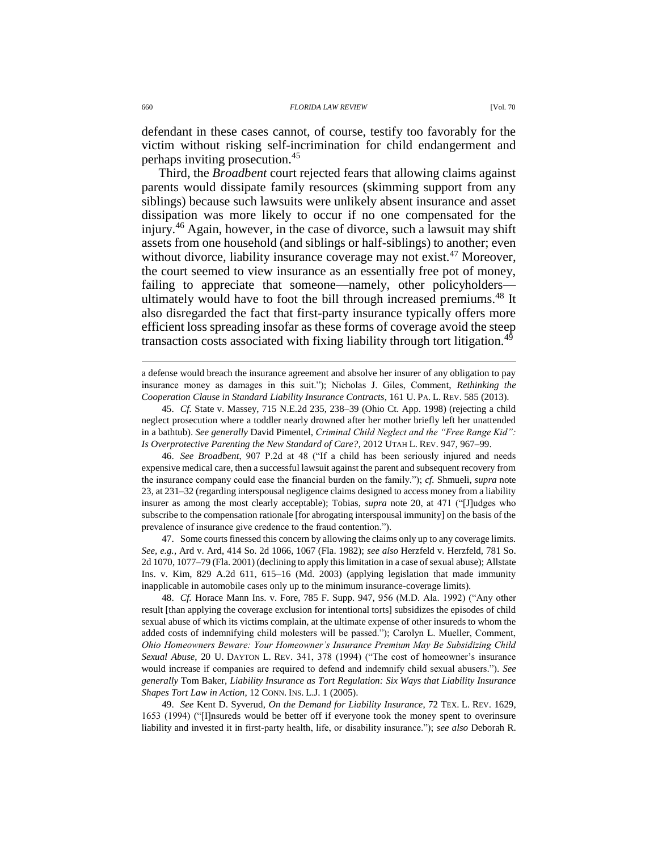defendant in these cases cannot, of course, testify too favorably for the victim without risking self-incrimination for child endangerment and perhaps inviting prosecution.<sup>45</sup>

Third, the *Broadbent* court rejected fears that allowing claims against parents would dissipate family resources (skimming support from any siblings) because such lawsuits were unlikely absent insurance and asset dissipation was more likely to occur if no one compensated for the injury.<sup>46</sup> Again, however, in the case of divorce, such a lawsuit may shift assets from one household (and siblings or half-siblings) to another; even without divorce, liability insurance coverage may not exist.<sup>47</sup> Moreover. the court seemed to view insurance as an essentially free pot of money, failing to appreciate that someone—namely, other policyholders ultimately would have to foot the bill through increased premiums.<sup>48</sup> It also disregarded the fact that first-party insurance typically offers more efficient loss spreading insofar as these forms of coverage avoid the steep transaction costs associated with fixing liability through tort litigation.<sup>49</sup>

a defense would breach the insurance agreement and absolve her insurer of any obligation to pay insurance money as damages in this suit."); Nicholas J. Giles, Comment, *Rethinking the Cooperation Clause in Standard Liability Insurance Contracts*, 161 U. PA. L. REV. 585 (2013).

45. *Cf.* State v. Massey, 715 N.E.2d 235, 238–39 (Ohio Ct. App. 1998) (rejecting a child neglect prosecution where a toddler nearly drowned after her mother briefly left her unattended in a bathtub). *See generally* David Pimentel, *Criminal Child Neglect and the "Free Range Kid": Is Overprotective Parenting the New Standard of Care?*, 2012 UTAH L. REV. 947, 967–99.

46. *See Broadbent*, 907 P.2d at 48 ("If a child has been seriously injured and needs expensive medical care, then a successful lawsuit against the parent and subsequent recovery from the insurance company could ease the financial burden on the family."); *cf.* Shmueli, *supra* note [23,](#page-6-1) at 231–32 (regarding interspousal negligence claims designed to access money from a liability insurer as among the most clearly acceptable); Tobias, *supra* note [20,](#page-6-0) at 471 ("[J]udges who subscribe to the compensation rationale [for abrogating interspousal immunity] on the basis of the prevalence of insurance give credence to the fraud contention.").

47. Some courts finessed this concern by allowing the claims only up to any coverage limits. *See, e.g.*, Ard v. Ard, 414 So. 2d 1066, 1067 (Fla. 1982); *see also* Herzfeld v. Herzfeld, 781 So. 2d 1070, 1077–79 (Fla. 2001) (declining to apply this limitation in a case of sexual abuse); Allstate Ins. v. Kim, 829 A.2d 611, 615–16 (Md. 2003) (applying legislation that made immunity inapplicable in automobile cases only up to the minimum insurance-coverage limits).

48. *Cf.* Horace Mann Ins. v. Fore, 785 F. Supp. 947, 956 (M.D. Ala. 1992) ("Any other result [than applying the coverage exclusion for intentional torts] subsidizes the episodes of child sexual abuse of which its victims complain, at the ultimate expense of other insureds to whom the added costs of indemnifying child molesters will be passed."); Carolyn L. Mueller, Comment, *Ohio Homeowners Beware: Your Homeowner's Insurance Premium May Be Subsidizing Child Sexual Abuse*, 20 U. DAYTON L. REV. 341, 378 (1994) ("The cost of homeowner's insurance would increase if companies are required to defend and indemnify child sexual abusers."). *See generally* Tom Baker, *Liability Insurance as Tort Regulation: Six Ways that Liability Insurance Shapes Tort Law in Action*, 12 CONN. INS. L.J. 1 (2005).

49. *See* Kent D. Syverud, *On the Demand for Liability Insurance*, 72 TEX. L. REV. 1629, 1653 (1994) ("[I]nsureds would be better off if everyone took the money spent to overinsure liability and invested it in first-party health, life, or disability insurance."); *see also* Deborah R.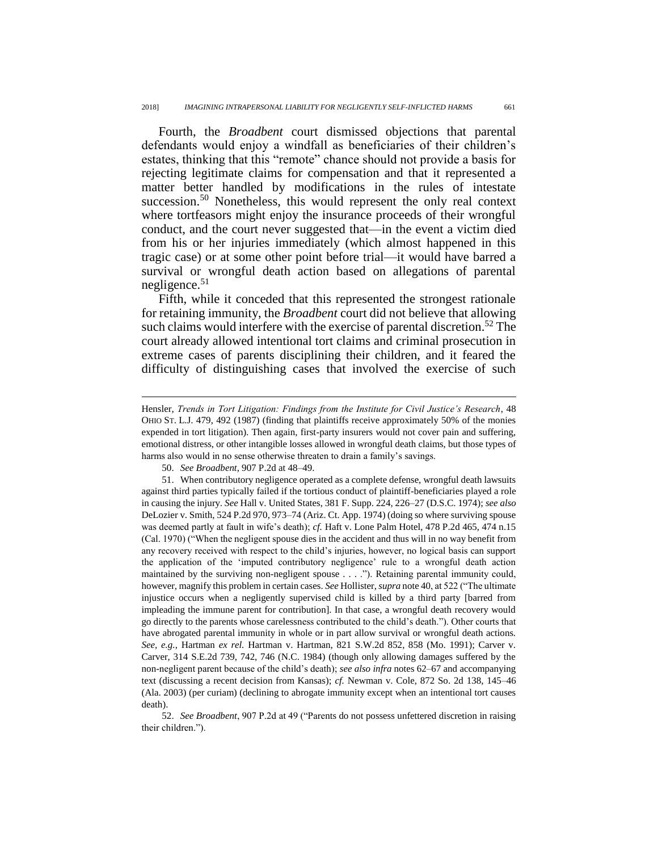Fourth, the *Broadbent* court dismissed objections that parental defendants would enjoy a windfall as beneficiaries of their children's estates, thinking that this "remote" chance should not provide a basis for rejecting legitimate claims for compensation and that it represented a matter better handled by modifications in the rules of intestate succession.<sup>50</sup> Nonetheless, this would represent the only real context where tortfeasors might enjoy the insurance proceeds of their wrongful conduct, and the court never suggested that—in the event a victim died from his or her injuries immediately (which almost happened in this tragic case) or at some other point before trial—it would have barred a survival or wrongful death action based on allegations of parental negligence. $51$ 

Fifth, while it conceded that this represented the strongest rationale for retaining immunity, the *Broadbent* court did not believe that allowing such claims would interfere with the exercise of parental discretion.<sup>52</sup> The court already allowed intentional tort claims and criminal prosecution in extreme cases of parents disciplining their children, and it feared the difficulty of distinguishing cases that involved the exercise of such

 $\overline{a}$ 

52. *See Broadbent*, 907 P.2d at 49 ("Parents do not possess unfettered discretion in raising their children.").

Hensler, *Trends in Tort Litigation: Findings from the Institute for Civil Justice's Research*, 48 OHIO ST. L.J. 479, 492 (1987) (finding that plaintiffs receive approximately 50% of the monies expended in tort litigation). Then again, first-party insurers would not cover pain and suffering, emotional distress, or other intangible losses allowed in wrongful death claims, but those types of harms also would in no sense otherwise threaten to drain a family's savings.

<sup>50.</sup> *See Broadbent*, 907 P.2d at 48–49.

<sup>51.</sup> When contributory negligence operated as a complete defense, wrongful death lawsuits against third parties typically failed if the tortious conduct of plaintiff-beneficiaries played a role in causing the injury. *See* Hall v. United States, 381 F. Supp. 224, 226–27 (D.S.C. 1974); *see also* DeLozier v. Smith, 524 P.2d 970, 973–74 (Ariz. Ct. App. 1974) (doing so where surviving spouse was deemed partly at fault in wife's death); *cf.* Haft v. Lone Palm Hotel, 478 P.2d 465, 474 n.15 (Cal. 1970) ("When the negligent spouse dies in the accident and thus will in no way benefit from any recovery received with respect to the child's injuries, however, no logical basis can support the application of the 'imputed contributory negligence' rule to a wrongful death action maintained by the surviving non-negligent spouse . . . ."). Retaining parental immunity could, however, magnify this problem in certain cases. *See* Hollister, *supra* note [40,](#page-9-1) at 522 ("The ultimate injustice occurs when a negligently supervised child is killed by a third party [barred from impleading the immune parent for contribution]. In that case, a wrongful death recovery would go directly to the parents whose carelessness contributed to the child's death."). Other courts that have abrogated parental immunity in whole or in part allow survival or wrongful death actions. *See, e.g.*, Hartman *ex rel.* Hartman v. Hartman, 821 S.W.2d 852, 858 (Mo. 1991); Carver v. Carver, 314 S.E.2d 739, 742, 746 (N.C. 1984) (though only allowing damages suffered by the non-negligent parent because of the child's death); *see also infra* notes [62–](#page-15-0)67 and accompanying text (discussing a recent decision from Kansas); *cf.* Newman v. Cole, 872 So. 2d 138, 145–46 (Ala. 2003) (per curiam) (declining to abrogate immunity except when an intentional tort causes death).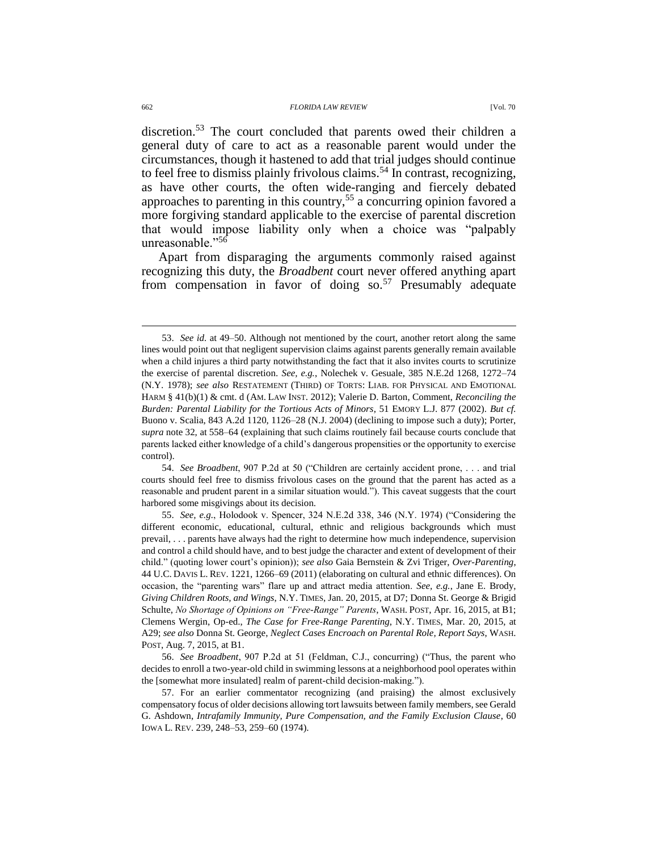#### 662 *FLORIDA LAW REVIEW* [Vol. 70

discretion.<sup>53</sup> The court concluded that parents owed their children a general duty of care to act as a reasonable parent would under the circumstances, though it hastened to add that trial judges should continue to feel free to dismiss plainly frivolous claims.<sup>54</sup> In contrast, recognizing, as have other courts, the often wide-ranging and fiercely debated approaches to parenting in this country,<sup>55</sup> a concurring opinion favored a more forgiving standard applicable to the exercise of parental discretion that would impose liability only when a choice was "palpably unreasonable."<sup>56</sup>

<span id="page-13-0"></span>Apart from disparaging the arguments commonly raised against recognizing this duty, the *Broadbent* court never offered anything apart from compensation in favor of doing  $\text{so.}^{57}$  Presumably adequate

<sup>53.</sup> *See id.* at 49–50. Although not mentioned by the court, another retort along the same lines would point out that negligent supervision claims against parents generally remain available when a child injures a third party notwithstanding the fact that it also invites courts to scrutinize the exercise of parental discretion. *See, e.g.*, Nolechek v. Gesuale, 385 N.E.2d 1268, 1272–74 (N.Y. 1978); *see also* RESTATEMENT (THIRD) OF TORTS: LIAB. FOR PHYSICAL AND EMOTIONAL HARM § 41(b)(1) & cmt. d (AM. LAW INST. 2012); Valerie D. Barton, Comment, *Reconciling the Burden: Parental Liability for the Tortious Acts of Minors*, 51 EMORY L.J. 877 (2002). *But cf.* Buono v. Scalia, 843 A.2d 1120, 1126–28 (N.J. 2004) (declining to impose such a duty); Porter, *supra* note [32,](#page-8-1) at 558–64 (explaining that such claims routinely fail because courts conclude that parents lacked either knowledge of a child's dangerous propensities or the opportunity to exercise control).

<sup>54.</sup> *See Broadbent*, 907 P.2d at 50 ("Children are certainly accident prone, . . . and trial courts should feel free to dismiss frivolous cases on the ground that the parent has acted as a reasonable and prudent parent in a similar situation would."). This caveat suggests that the court harbored some misgivings about its decision.

<sup>55.</sup> *See, e.g.*, Holodook v. Spencer, 324 N.E.2d 338, 346 (N.Y. 1974) ("Considering the different economic, educational, cultural, ethnic and religious backgrounds which must prevail, . . . parents have always had the right to determine how much independence, supervision and control a child should have, and to best judge the character and extent of development of their child." (quoting lower court's opinion)); *see also* Gaia Bernstein & Zvi Triger, *Over-Parenting*, 44 U.C. DAVIS L. REV. 1221, 1266–69 (2011) (elaborating on cultural and ethnic differences). On occasion, the "parenting wars" flare up and attract media attention. *See, e.g.*, Jane E. Brody, *Giving Children Roots, and Wings*, N.Y. TIMES, Jan. 20, 2015, at D7; Donna St. George & Brigid Schulte, *No Shortage of Opinions on "Free-Range" Parents*, WASH. POST, Apr. 16, 2015, at B1; Clemens Wergin, Op-ed., *The Case for Free-Range Parenting*, N.Y. TIMES, Mar. 20, 2015, at A29; *see also* Donna St. George, *Neglect Cases Encroach on Parental Role, Report Says*, WASH. POST, Aug. 7, 2015, at B1.

<sup>56.</sup> *See Broadbent*, 907 P.2d at 51 (Feldman, C.J., concurring) ("Thus, the parent who decides to enroll a two-year-old child in swimming lessons at a neighborhood pool operates within the [somewhat more insulated] realm of parent-child decision-making.").

<sup>57.</sup> For an earlier commentator recognizing (and praising) the almost exclusively compensatory focus of older decisions allowing tort lawsuits between family members, see Gerald G. Ashdown, *Intrafamily Immunity, Pure Compensation, and the Family Exclusion Clause*, 60 IOWA L. REV. 239, 248–53, 259–60 (1974).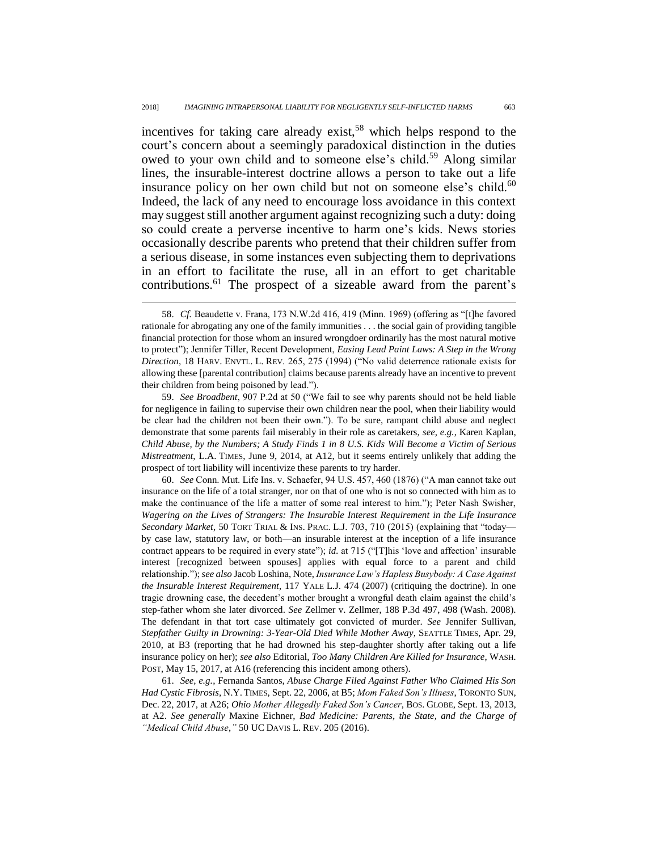incentives for taking care already exist,<sup>58</sup> which helps respond to the court's concern about a seemingly paradoxical distinction in the duties owed to your own child and to someone else's child.<sup>59</sup> Along similar lines, the insurable-interest doctrine allows a person to take out a life insurance policy on her own child but not on someone else's child. $60$ Indeed, the lack of any need to encourage loss avoidance in this context may suggest still another argument against recognizing such a duty: doing so could create a perverse incentive to harm one's kids. News stories occasionally describe parents who pretend that their children suffer from a serious disease, in some instances even subjecting them to deprivations in an effort to facilitate the ruse, all in an effort to get charitable contributions.<sup>61</sup> The prospect of a sizeable award from the parent's

<span id="page-14-0"></span> $\overline{a}$ 

59. *See Broadbent*, 907 P.2d at 50 ("We fail to see why parents should not be held liable for negligence in failing to supervise their own children near the pool, when their liability would be clear had the children not been their own."). To be sure, rampant child abuse and neglect demonstrate that some parents fail miserably in their role as caretakers, *see, e.g.*, Karen Kaplan, *Child Abuse, by the Numbers; A Study Finds 1 in 8 U.S. Kids Will Become a Victim of Serious Mistreatment*, L.A. TIMES, June 9, 2014, at A12, but it seems entirely unlikely that adding the prospect of tort liability will incentivize these parents to try harder.

60. *See* Conn. Mut. Life Ins. v. Schaefer, 94 U.S. 457, 460 (1876) ("A man cannot take out insurance on the life of a total stranger, nor on that of one who is not so connected with him as to make the continuance of the life a matter of some real interest to him."); Peter Nash Swisher, *Wagering on the Lives of Strangers: The Insurable Interest Requirement in the Life Insurance Secondary Market*, 50 TORT TRIAL & INS. PRAC. L.J. 703, 710 (2015) (explaining that "today by case law, statutory law, or both—an insurable interest at the inception of a life insurance contract appears to be required in every state"); *id.* at 715 ("[T]his 'love and affection' insurable interest [recognized between spouses] applies with equal force to a parent and child relationship."); *see also* Jacob Loshina, Note, *Insurance Law's Hapless Busybody: A Case Against the Insurable Interest Requirement*, 117 YALE L.J. 474 (2007) (critiquing the doctrine). In one tragic drowning case, the decedent's mother brought a wrongful death claim against the child's step-father whom she later divorced. *See* Zellmer v. Zellmer, 188 P.3d 497, 498 (Wash. 2008). The defendant in that tort case ultimately got convicted of murder. *See* Jennifer Sullivan, *Stepfather Guilty in Drowning: 3-Year-Old Died While Mother Away*, SEATTLE TIMES, Apr. 29, 2010, at B3 (reporting that he had drowned his step-daughter shortly after taking out a life insurance policy on her); *see also* Editorial, *Too Many Children Are Killed for Insurance*, WASH. POST, May 15, 2017, at A16 (referencing this incident among others).

61. *See, e.g.*, Fernanda Santos, *Abuse Charge Filed Against Father Who Claimed His Son Had Cystic Fibrosis*, N.Y. TIMES, Sept. 22, 2006, at B5; *Mom Faked Son's Illness*, TORONTO SUN, Dec. 22, 2017, at A26; *Ohio Mother Allegedly Faked Son's Cancer*, BOS. GLOBE, Sept. 13, 2013, at A2. *See generally* Maxine Eichner, *Bad Medicine: Parents, the State, and the Charge of "Medical Child Abuse*,*"* 50 UC DAVIS L. REV. 205 (2016).

<sup>58.</sup> *Cf.* Beaudette v. Frana, 173 N.W.2d 416, 419 (Minn. 1969) (offering as "[t]he favored rationale for abrogating any one of the family immunities . . . the social gain of providing tangible financial protection for those whom an insured wrongdoer ordinarily has the most natural motive to protect"); Jennifer Tiller, Recent Development, *Easing Lead Paint Laws: A Step in the Wrong Direction*, 18 HARV. ENVTL. L. REV. 265, 275 (1994) ("No valid deterrence rationale exists for allowing these [parental contribution] claims because parents already have an incentive to prevent their children from being poisoned by lead.").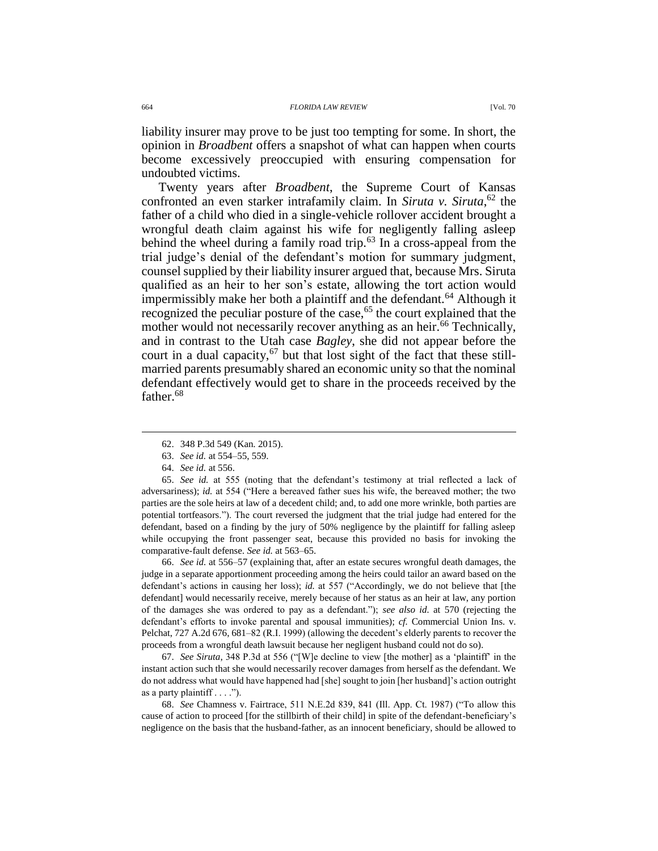liability insurer may prove to be just too tempting for some. In short, the opinion in *Broadbent* offers a snapshot of what can happen when courts become excessively preoccupied with ensuring compensation for undoubted victims.

<span id="page-15-0"></span>Twenty years after *Broadbent*, the Supreme Court of Kansas confronted an even starker intrafamily claim. In *Siruta v. Siruta*, <sup>62</sup> the father of a child who died in a single-vehicle rollover accident brought a wrongful death claim against his wife for negligently falling asleep behind the wheel during a family road trip.<sup>63</sup> In a cross-appeal from the trial judge's denial of the defendant's motion for summary judgment, counsel supplied by their liability insurer argued that, because Mrs. Siruta qualified as an heir to her son's estate, allowing the tort action would impermissibly make her both a plaintiff and the defendant.<sup>64</sup> Although it recognized the peculiar posture of the case,<sup>65</sup> the court explained that the mother would not necessarily recover anything as an heir.<sup>66</sup> Technically, and in contrast to the Utah case *Bagley*, she did not appear before the court in a dual capacity, $67$  but that lost sight of the fact that these stillmarried parents presumably shared an economic unity so that the nominal defendant effectively would get to share in the proceeds received by the father.<sup>68</sup>

 $\overline{a}$ 

65. *See id.* at 555 (noting that the defendant's testimony at trial reflected a lack of adversariness); *id.* at 554 ("Here a bereaved father sues his wife, the bereaved mother; the two parties are the sole heirs at law of a decedent child; and, to add one more wrinkle, both parties are potential tortfeasors."). The court reversed the judgment that the trial judge had entered for the defendant, based on a finding by the jury of 50% negligence by the plaintiff for falling asleep while occupying the front passenger seat, because this provided no basis for invoking the comparative-fault defense. *See id.* at 563–65.

66. *See id.* at 556–57 (explaining that, after an estate secures wrongful death damages, the judge in a separate apportionment proceeding among the heirs could tailor an award based on the defendant's actions in causing her loss); *id.* at 557 ("Accordingly, we do not believe that [the defendant] would necessarily receive, merely because of her status as an heir at law, any portion of the damages she was ordered to pay as a defendant."); *see also id.* at 570 (rejecting the defendant's efforts to invoke parental and spousal immunities); *cf.* Commercial Union Ins. v. Pelchat, 727 A.2d 676, 681–82 (R.I. 1999) (allowing the decedent's elderly parents to recover the proceeds from a wrongful death lawsuit because her negligent husband could not do so).

67. *See Siruta*, 348 P.3d at 556 ("[W]e decline to view [the mother] as a 'plaintiff' in the instant action such that she would necessarily recover damages from herself as the defendant. We do not address what would have happened had [she] sought to join [her husband]'s action outright as a party plaintiff  $\dots$ .").

68. *See* Chamness v. Fairtrace, 511 N.E.2d 839, 841 (Ill. App. Ct. 1987) ("To allow this cause of action to proceed [for the stillbirth of their child] in spite of the defendant-beneficiary's negligence on the basis that the husband-father, as an innocent beneficiary, should be allowed to

<sup>62.</sup> 348 P.3d 549 (Kan. 2015).

<sup>63.</sup> *See id.* at 554–55, 559.

<sup>64.</sup> *See id.* at 556.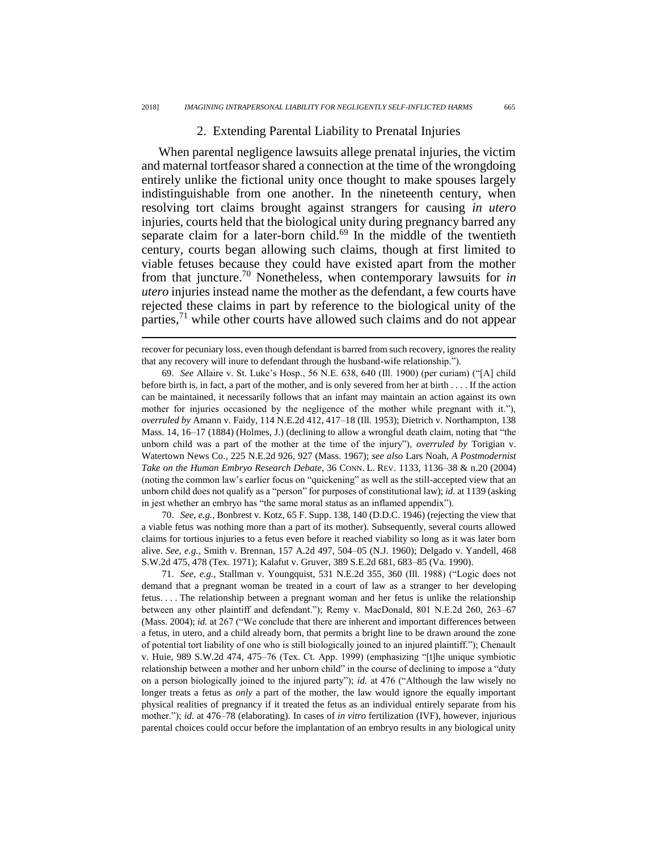### 2. Extending Parental Liability to Prenatal Injuries

When parental negligence lawsuits allege prenatal injuries, the victim and maternal tortfeasor shared a connection at the time of the wrongdoing entirely unlike the fictional unity once thought to make spouses largely indistinguishable from one another. In the nineteenth century, when resolving tort claims brought against strangers for causing *in utero* injuries, courts held that the biological unity during pregnancy barred any separate claim for a later-born child. $69$  In the middle of the twentieth century, courts began allowing such claims, though at first limited to viable fetuses because they could have existed apart from the mother from that juncture.<sup>70</sup> Nonetheless, when contemporary lawsuits for *in utero* injuries instead name the mother as the defendant, a few courts have rejected these claims in part by reference to the biological unity of the parties,<sup>71</sup> while other courts have allowed such claims and do not appear

<span id="page-16-0"></span> $\overline{a}$ 

69. *See* Allaire v. St. Luke's Hosp., 56 N.E. 638, 640 (Ill. 1900) (per curiam) ("[A] child before birth is, in fact, a part of the mother, and is only severed from her at birth . . . . If the action can be maintained, it necessarily follows that an infant may maintain an action against its own mother for injuries occasioned by the negligence of the mother while pregnant with it."), *overruled by* Amann v. Faidy, 114 N.E.2d 412, 417–18 (Ill. 1953); Dietrich v. Northampton, 138 Mass. 14, 16–17 (1884) (Holmes, J.) (declining to allow a wrongful death claim, noting that "the unborn child was a part of the mother at the time of the injury"), *overruled by* Torigian v. Watertown News Co., 225 N.E.2d 926, 927 (Mass. 1967); *see also* Lars Noah, *A Postmodernist Take on the Human Embryo Research Debate*, 36 CONN. L. REV. 1133, 1136–38 & n.20 (2004) (noting the common law's earlier focus on "quickening" as well as the still-accepted view that an unborn child does not qualify as a "person" for purposes of constitutional law); *id.* at 1139 (asking in jest whether an embryo has "the same moral status as an inflamed appendix").

70. *See, e.g.*, Bonbrest v. Kotz, 65 F. Supp. 138, 140 (D.D.C. 1946) (rejecting the view that a viable fetus was nothing more than a part of its mother). Subsequently, several courts allowed claims for tortious injuries to a fetus even before it reached viability so long as it was later born alive. *See, e.g.*, Smith v. Brennan, 157 A.2d 497, 504–05 (N.J. 1960); Delgado v. Yandell, 468 S.W.2d 475, 478 (Tex. 1971); Kalafut v. Gruver, 389 S.E.2d 681, 683–85 (Va. 1990).

71. *See, e.g.*, Stallman v. Youngquist, 531 N.E.2d 355, 360 (Ill. 1988) ("Logic does not demand that a pregnant woman be treated in a court of law as a stranger to her developing fetus. . . . The relationship between a pregnant woman and her fetus is unlike the relationship between any other plaintiff and defendant."); Remy v. MacDonald, 801 N.E.2d 260, 263–67 (Mass. 2004); *id.* at 267 ("We conclude that there are inherent and important differences between a fetus, in utero, and a child already born, that permits a bright line to be drawn around the zone of potential tort liability of one who is still biologically joined to an injured plaintiff."); Chenault v. Huie, 989 S.W.2d 474, 475–76 (Tex. Ct. App. 1999) (emphasizing "[t]he unique symbiotic relationship between a mother and her unborn child" in the course of declining to impose a "duty on a person biologically joined to the injured party"); *id.* at 476 ("Although the law wisely no longer treats a fetus as *only* a part of the mother, the law would ignore the equally important physical realities of pregnancy if it treated the fetus as an individual entirely separate from his mother."); *id.* at 476–78 (elaborating). In cases of *in vitro* fertilization (IVF), however, injurious parental choices could occur before the implantation of an embryo results in any biological unity

recover for pecuniary loss, even though defendant is barred from such recovery, ignores the reality that any recovery will inure to defendant through the husband-wife relationship.").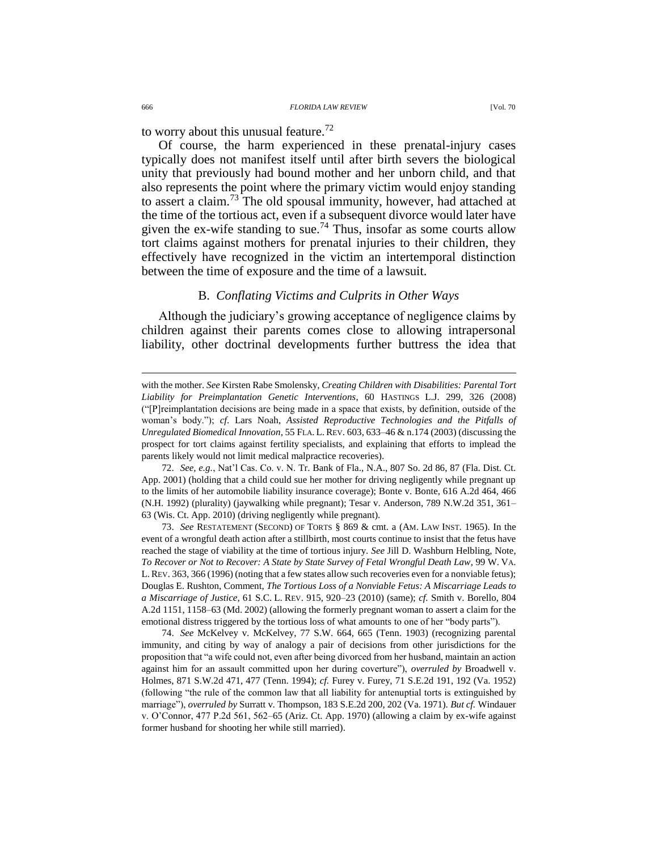to worry about this unusual feature.<sup>72</sup>

Of course, the harm experienced in these prenatal-injury cases typically does not manifest itself until after birth severs the biological unity that previously had bound mother and her unborn child, and that also represents the point where the primary victim would enjoy standing to assert a claim.<sup>73</sup> The old spousal immunity, however, had attached at the time of the tortious act, even if a subsequent divorce would later have given the ex-wife standing to sue.<sup>74</sup> Thus, insofar as some courts allow tort claims against mothers for prenatal injuries to their children, they effectively have recognized in the victim an intertemporal distinction between the time of exposure and the time of a lawsuit.

## B. *Conflating Victims and Culprits in Other Ways*

Although the judiciary's growing acceptance of negligence claims by children against their parents comes close to allowing intrapersonal liability, other doctrinal developments further buttress the idea that

72. *See, e.g.*, Nat'l Cas. Co. v. N. Tr. Bank of Fla., N.A., 807 So. 2d 86, 87 (Fla. Dist. Ct. App. 2001) (holding that a child could sue her mother for driving negligently while pregnant up to the limits of her automobile liability insurance coverage); Bonte v. Bonte, 616 A.2d 464, 466 (N.H. 1992) (plurality) (jaywalking while pregnant); Tesar v. Anderson, 789 N.W.2d 351, 361– 63 (Wis. Ct. App. 2010) (driving negligently while pregnant).

73. *See* RESTATEMENT (SECOND) OF TORTS § 869 & cmt. a (AM. LAW INST. 1965). In the event of a wrongful death action after a stillbirth, most courts continue to insist that the fetus have reached the stage of viability at the time of tortious injury. *See* Jill D. Washburn Helbling, Note, *To Recover or Not to Recover: A State by State Survey of Fetal Wrongful Death Law*, 99 W. VA. L.REV. 363, 366 (1996) (noting that a few states allow such recoveries even for a nonviable fetus); Douglas E. Rushton, Comment, *The Tortious Loss of a Nonviable Fetus: A Miscarriage Leads to a Miscarriage of Justice*, 61 S.C. L. REV. 915, 920–23 (2010) (same); *cf.* Smith v. Borello, 804 A.2d 1151, 1158–63 (Md. 2002) (allowing the formerly pregnant woman to assert a claim for the emotional distress triggered by the tortious loss of what amounts to one of her "body parts").

74. *See* McKelvey v. McKelvey, 77 S.W. 664, 665 (Tenn. 1903) (recognizing parental immunity, and citing by way of analogy a pair of decisions from other jurisdictions for the proposition that "a wife could not, even after being divorced from her husband, maintain an action against him for an assault committed upon her during coverture"), *overruled by* Broadwell v. Holmes, 871 S.W.2d 471, 477 (Tenn. 1994); *cf.* Furey v. Furey, 71 S.E.2d 191, 192 (Va. 1952) (following "the rule of the common law that all liability for antenuptial torts is extinguished by marriage"), *overruled by* Surratt v. Thompson, 183 S.E.2d 200, 202 (Va. 1971). *But cf.* Windauer v. O'Connor, 477 P.2d 561, 562–65 (Ariz. Ct. App. 1970) (allowing a claim by ex-wife against former husband for shooting her while still married).

with the mother. *See* Kirsten Rabe Smolensky, *Creating Children with Disabilities: Parental Tort Liability for Preimplantation Genetic Interventions*, 60 HASTINGS L.J. 299, 326 (2008) ("[P]reimplantation decisions are being made in a space that exists, by definition, outside of the woman's body."); *cf*. Lars Noah, *Assisted Reproductive Technologies and the Pitfalls of Unregulated Biomedical Innovation*, 55 FLA. L. REV. 603, 633–46 & n.174 (2003) (discussing the prospect for tort claims against fertility specialists, and explaining that efforts to implead the parents likely would not limit medical malpractice recoveries).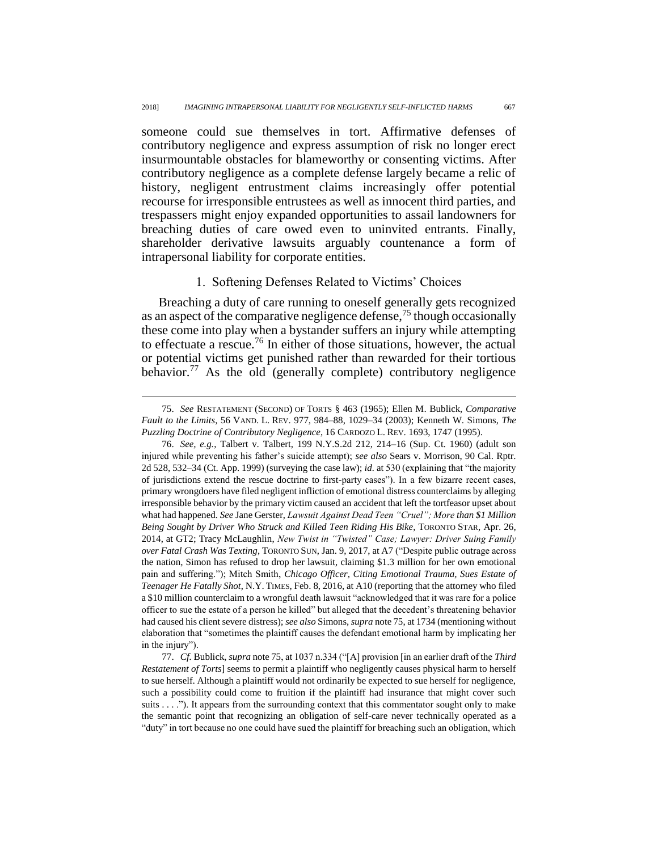someone could sue themselves in tort. Affirmative defenses of contributory negligence and express assumption of risk no longer erect insurmountable obstacles for blameworthy or consenting victims. After contributory negligence as a complete defense largely became a relic of history, negligent entrustment claims increasingly offer potential recourse for irresponsible entrustees as well as innocent third parties, and trespassers might enjoy expanded opportunities to assail landowners for breaching duties of care owed even to uninvited entrants. Finally, shareholder derivative lawsuits arguably countenance a form of intrapersonal liability for corporate entities.

## <span id="page-18-0"></span>1. Softening Defenses Related to Victims' Choices

Breaching a duty of care running to oneself generally gets recognized as an aspect of the comparative negligence defense,<sup>75</sup> though occasionally these come into play when a bystander suffers an injury while attempting to effectuate a rescue.<sup>76</sup> In either of those situations, however, the actual or potential victims get punished rather than rewarded for their tortious behavior.<sup>77</sup> As the old (generally complete) contributory negligence

<sup>75.</sup> *See* RESTATEMENT (SECOND) OF TORTS § 463 (1965); Ellen M. Bublick, *Comparative Fault to the Limits*, 56 VAND. L. REV. 977, 984–88, 1029–34 (2003); Kenneth W. Simons, *The Puzzling Doctrine of Contributory Negligence*, 16 CARDOZO L. REV. 1693, 1747 (1995).

<sup>76.</sup> *See, e.g.*, Talbert v. Talbert, 199 N.Y.S.2d 212, 214–16 (Sup. Ct. 1960) (adult son injured while preventing his father's suicide attempt); *see also* Sears v. Morrison, 90 Cal. Rptr. 2d 528, 532–34 (Ct. App. 1999) (surveying the case law); *id.* at 530 (explaining that "the majority of jurisdictions extend the rescue doctrine to first-party cases"). In a few bizarre recent cases, primary wrongdoers have filed negligent infliction of emotional distress counterclaims by alleging irresponsible behavior by the primary victim caused an accident that left the tortfeasor upset about what had happened. *See* Jane Gerster, *Lawsuit Against Dead Teen "Cruel"; More than \$1 Million Being Sought by Driver Who Struck and Killed Teen Riding His Bike*, TORONTO STAR, Apr. 26, 2014, at GT2; Tracy McLaughlin, *New Twist in "Twisted" Case; Lawyer: Driver Suing Family over Fatal Crash Was Texting*, TORONTO SUN, Jan. 9, 2017, at A7 ("Despite public outrage across the nation, Simon has refused to drop her lawsuit, claiming \$1.3 million for her own emotional pain and suffering."); Mitch Smith, *Chicago Officer, Citing Emotional Trauma, Sues Estate of Teenager He Fatally Shot*, N.Y. TIMES, Feb. 8, 2016, at A10 (reporting that the attorney who filed a \$10 million counterclaim to a wrongful death lawsuit "acknowledged that it was rare for a police officer to sue the estate of a person he killed" but alleged that the decedent's threatening behavior had caused his client severe distress); *see also* Simons, *supra* not[e 75,](#page-18-0) at 1734 (mentioning without elaboration that "sometimes the plaintiff causes the defendant emotional harm by implicating her in the injury").

<sup>77.</sup> *Cf.* Bublick, *supra* note [75,](#page-18-0) at 1037 n.334 ("[A] provision [in an earlier draft of the *Third Restatement of Torts*] seems to permit a plaintiff who negligently causes physical harm to herself to sue herself. Although a plaintiff would not ordinarily be expected to sue herself for negligence, such a possibility could come to fruition if the plaintiff had insurance that might cover such suits . . . ."). It appears from the surrounding context that this commentator sought only to make the semantic point that recognizing an obligation of self-care never technically operated as a "duty" in tort because no one could have sued the plaintiff for breaching such an obligation, which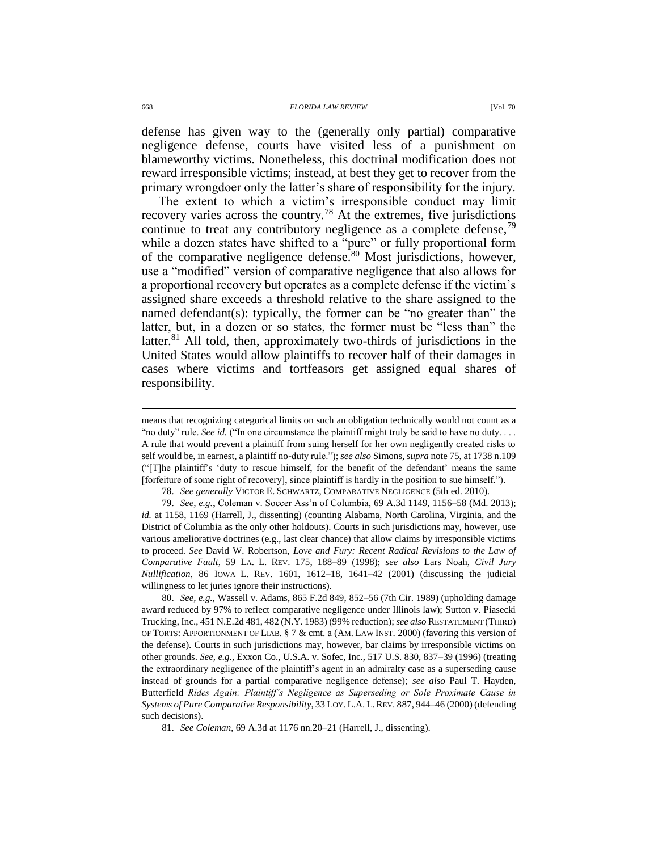defense has given way to the (generally only partial) comparative negligence defense, courts have visited less of a punishment on blameworthy victims. Nonetheless, this doctrinal modification does not reward irresponsible victims; instead, at best they get to recover from the primary wrongdoer only the latter's share of responsibility for the injury.

<span id="page-19-2"></span><span id="page-19-0"></span>The extent to which a victim's irresponsible conduct may limit recovery varies across the country.<sup>78</sup> At the extremes, five jurisdictions continue to treat any contributory negligence as a complete defense,  $79$ while a dozen states have shifted to a "pure" or fully proportional form of the comparative negligence defense.<sup>80</sup> Most jurisdictions, however, use a "modified" version of comparative negligence that also allows for a proportional recovery but operates as a complete defense if the victim's assigned share exceeds a threshold relative to the share assigned to the named defendant(s): typically, the former can be "no greater than" the latter, but, in a dozen or so states, the former must be "less than" the latter.<sup>81</sup> All told, then, approximately two-thirds of jurisdictions in the United States would allow plaintiffs to recover half of their damages in cases where victims and tortfeasors get assigned equal shares of responsibility.

78. *See generally* VICTOR E. SCHWARTZ, COMPARATIVE NEGLIGENCE (5th ed. 2010).

79. *See, e.g.*, Coleman v. Soccer Ass'n of Columbia, 69 A.3d 1149, 1156–58 (Md. 2013); *id.* at 1158, 1169 (Harrell, J., dissenting) (counting Alabama, North Carolina, Virginia, and the District of Columbia as the only other holdouts). Courts in such jurisdictions may, however, use various ameliorative doctrines (e.g., last clear chance) that allow claims by irresponsible victims to proceed. *See* David W. Robertson, *Love and Fury: Recent Radical Revisions to the Law of Comparative Fault*, 59 LA. L. REV. 175, 188–89 (1998); *see also* Lars Noah, *Civil Jury Nullification*, 86 IOWA L. REV. 1601, 1612–18, 1641–42 (2001) (discussing the judicial willingness to let juries ignore their instructions).

80. *See, e.g.*, Wassell v. Adams, 865 F.2d 849, 852–56 (7th Cir. 1989) (upholding damage award reduced by 97% to reflect comparative negligence under Illinois law); Sutton v. Piasecki Trucking, Inc., 451 N.E.2d 481, 482 (N.Y. 1983) (99% reduction); *see also* RESTATEMENT (THIRD) OF TORTS: APPORTIONMENT OF LIAB. § 7 & cmt. a (AM. LAW INST. 2000) (favoring this version of the defense). Courts in such jurisdictions may, however, bar claims by irresponsible victims on other grounds. *See, e.g.*, Exxon Co., U.S.A. v. Sofec, Inc., 517 U.S. 830, 837–39 (1996) (treating the extraordinary negligence of the plaintiff's agent in an admiralty case as a superseding cause instead of grounds for a partial comparative negligence defense); *see also* Paul T. Hayden, Butterfield *Rides Again: Plaintiff's Negligence as Superseding or Sole Proximate Cause in Systems of Pure Comparative Responsibility*, 33 LOY.L.A. L.REV. 887, 944–46 (2000) (defending such decisions).

<span id="page-19-1"></span>means that recognizing categorical limits on such an obligation technically would not count as a "no duty" rule. *See id.* ("In one circumstance the plaintiff might truly be said to have no duty. . . . A rule that would prevent a plaintiff from suing herself for her own negligently created risks to self would be, in earnest, a plaintiff no-duty rule."); *see also* Simons, *supra* note [75,](#page-18-0) at 1738 n.109 ("[T]he plaintiff's 'duty to rescue himself, for the benefit of the defendant' means the same [forfeiture of some right of recovery], since plaintiff is hardly in the position to sue himself.").

<sup>81.</sup> *See Coleman*, 69 A.3d at 1176 nn.20–21 (Harrell, J., dissenting).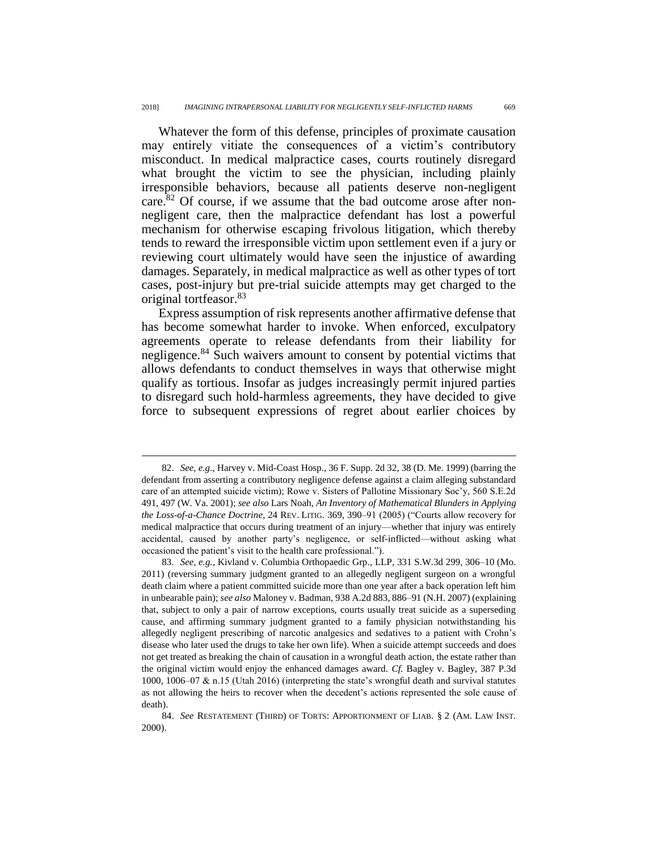<span id="page-20-0"></span>Whatever the form of this defense, principles of proximate causation may entirely vitiate the consequences of a victim's contributory misconduct. In medical malpractice cases, courts routinely disregard what brought the victim to see the physician, including plainly irresponsible behaviors, because all patients deserve non-negligent care.<sup>82</sup> Of course, if we assume that the bad outcome arose after nonnegligent care, then the malpractice defendant has lost a powerful mechanism for otherwise escaping frivolous litigation, which thereby tends to reward the irresponsible victim upon settlement even if a jury or reviewing court ultimately would have seen the injustice of awarding damages. Separately, in medical malpractice as well as other types of tort cases, post-injury but pre-trial suicide attempts may get charged to the original tortfeasor.<sup>83</sup>

Express assumption of risk represents another affirmative defense that has become somewhat harder to invoke. When enforced, exculpatory agreements operate to release defendants from their liability for negligence.<sup>84</sup> Such waivers amount to consent by potential victims that allows defendants to conduct themselves in ways that otherwise might qualify as tortious. Insofar as judges increasingly permit injured parties to disregard such hold-harmless agreements, they have decided to give force to subsequent expressions of regret about earlier choices by

<sup>82.</sup> *See, e.g.*, Harvey v. Mid-Coast Hosp., 36 F. Supp. 2d 32, 38 (D. Me. 1999) (barring the defendant from asserting a contributory negligence defense against a claim alleging substandard care of an attempted suicide victim); Rowe v. Sisters of Pallotine Missionary Soc'y, 560 S.E.2d 491, 497 (W. Va. 2001); *see also* Lars Noah, *An Inventory of Mathematical Blunders in Applying the Loss-of-a-Chance Doctrine*, 24 REV. LITIG. 369, 390–91 (2005) ("Courts allow recovery for medical malpractice that occurs during treatment of an injury—whether that injury was entirely accidental, caused by another party's negligence, or self-inflicted—without asking what occasioned the patient's visit to the health care professional.").

<sup>83.</sup> *See, e.g.*, Kivland v. Columbia Orthopaedic Grp., LLP, 331 S.W.3d 299, 306–10 (Mo. 2011) (reversing summary judgment granted to an allegedly negligent surgeon on a wrongful death claim where a patient committed suicide more than one year after a back operation left him in unbearable pain); *see also* Maloney v. Badman, 938 A.2d 883, 886–91 (N.H. 2007) (explaining that, subject to only a pair of narrow exceptions, courts usually treat suicide as a superseding cause, and affirming summary judgment granted to a family physician notwithstanding his allegedly negligent prescribing of narcotic analgesics and sedatives to a patient with Crohn's disease who later used the drugs to take her own life). When a suicide attempt succeeds and does not get treated as breaking the chain of causation in a wrongful death action, the estate rather than the original victim would enjoy the enhanced damages award. *Cf.* Bagley v. Bagley, 387 P.3d 1000, 1006–07 & n.15 (Utah 2016) (interpreting the state's wrongful death and survival statutes as not allowing the heirs to recover when the decedent's actions represented the sole cause of death).

<sup>84.</sup> *See* RESTATEMENT (THIRD) OF TORTS: APPORTIONMENT OF LIAB. § 2 (AM. LAW INST. 2000).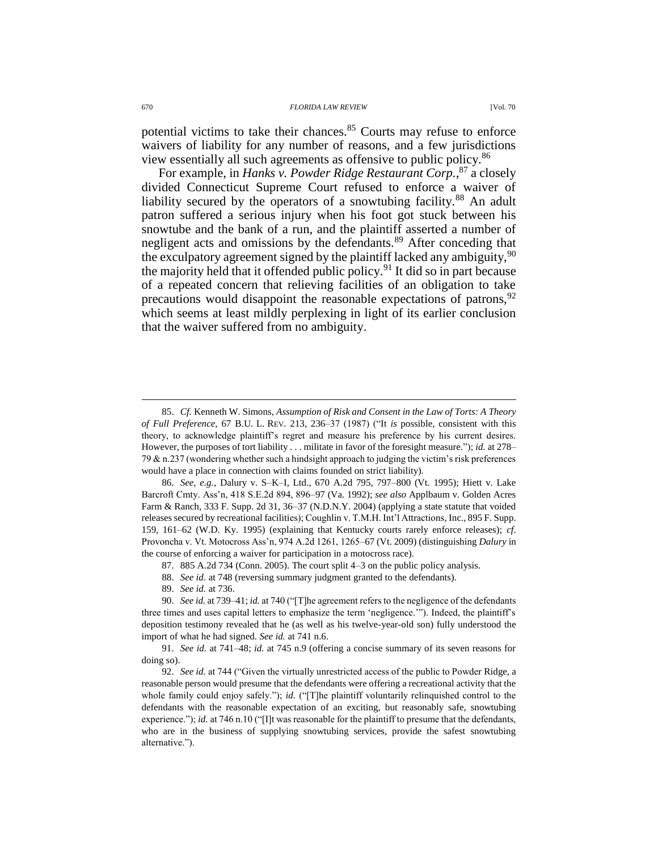potential victims to take their chances.<sup>85</sup> Courts may refuse to enforce waivers of liability for any number of reasons, and a few jurisdictions view essentially all such agreements as offensive to public policy.<sup>86</sup>

For example, in *Hanks v. Powder Ridge Restaurant Corp.*, <sup>87</sup> a closely divided Connecticut Supreme Court refused to enforce a waiver of liability secured by the operators of a snowtubing facility.<sup>88</sup> An adult patron suffered a serious injury when his foot got stuck between his snowtube and the bank of a run, and the plaintiff asserted a number of negligent acts and omissions by the defendants.<sup>89</sup> After conceding that the exculpatory agreement signed by the plaintiff lacked any ambiguity,  $90$ the majority held that it offended public policy.<sup>91</sup> It did so in part because of a repeated concern that relieving facilities of an obligation to take precautions would disappoint the reasonable expectations of patrons,  $92$ which seems at least mildly perplexing in light of its earlier conclusion that the waiver suffered from no ambiguity.

86. *See, e.g.*, Dalury v. S–K–I, Ltd., 670 A.2d 795, 797–800 (Vt. 1995); Hiett v. Lake Barcroft Cmty. Ass'n, 418 S.E.2d 894, 896–97 (Va. 1992); *see also* Applbaum v. Golden Acres Farm & Ranch, 333 F. Supp. 2d 31, 36–37 (N.D.N.Y. 2004) (applying a state statute that voided releases secured by recreational facilities); Coughlin v. T.M.H. Int'l Attractions, Inc., 895 F. Supp. 159, 161–62 (W.D. Ky. 1995) (explaining that Kentucky courts rarely enforce releases); *cf*. Provoncha v. Vt. Motocross Ass'n, 974 A.2d 1261, 1265–67 (Vt. 2009) (distinguishing *Dalury* in the course of enforcing a waiver for participation in a motocross race).

- 87. 885 A.2d 734 (Conn. 2005). The court split 4–3 on the public policy analysis.
- 88. *See id.* at 748 (reversing summary judgment granted to the defendants).
- 89. *See id.* at 736.

90. *See id.* at 739–41; *id.* at 740 ("[T]he agreement refers to the negligence of the defendants three times and uses capital letters to emphasize the term 'negligence.'"). Indeed, the plaintiff's deposition testimony revealed that he (as well as his twelve-year-old son) fully understood the import of what he had signed. *See id.* at 741 n.6.

91. *See id.* at 741–48; *id.* at 745 n.9 (offering a concise summary of its seven reasons for doing so).

92. *See id.* at 744 ("Given the virtually unrestricted access of the public to Powder Ridge, a reasonable person would presume that the defendants were offering a recreational activity that the whole family could enjoy safely."); *id.* ("[T]he plaintiff voluntarily relinquished control to the defendants with the reasonable expectation of an exciting, but reasonably safe, snowtubing experience."); *id.* at 746 n.10 ("[I]t was reasonable for the plaintiff to presume that the defendants, who are in the business of supplying snowtubing services, provide the safest snowtubing alternative.").

<sup>85.</sup> *Cf.* Kenneth W. Simons, *Assumption of Risk and Consent in the Law of Torts: A Theory of Full Preference*, 67 B.U. L. REV. 213, 236–37 (1987) ("It *is* possible, consistent with this theory, to acknowledge plaintiff's regret and measure his preference by his current desires. However, the purposes of tort liability . . . militate in favor of the foresight measure."); *id.* at 278– 79 & n.237 (wondering whether such a hindsight approach to judging the victim's risk preferences would have a place in connection with claims founded on strict liability).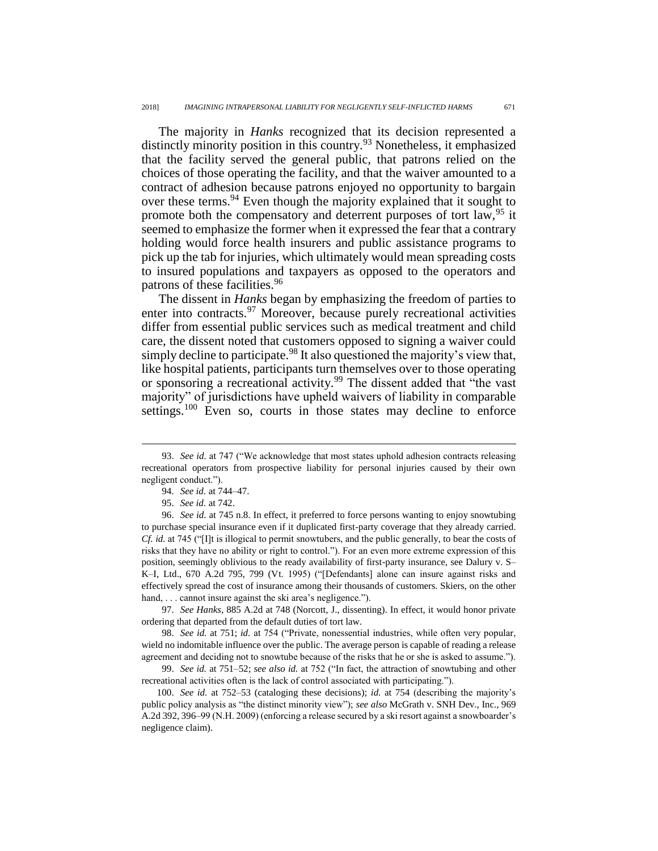The majority in *Hanks* recognized that its decision represented a distinctly minority position in this country.<sup>93</sup> Nonetheless, it emphasized that the facility served the general public, that patrons relied on the choices of those operating the facility, and that the waiver amounted to a contract of adhesion because patrons enjoyed no opportunity to bargain over these terms.<sup>94</sup> Even though the majority explained that it sought to promote both the compensatory and deterrent purposes of tort law, <sup>95</sup> it seemed to emphasize the former when it expressed the fear that a contrary holding would force health insurers and public assistance programs to pick up the tab for injuries, which ultimately would mean spreading costs to insured populations and taxpayers as opposed to the operators and patrons of these facilities.<sup>96</sup>

The dissent in *Hanks* began by emphasizing the freedom of parties to enter into contracts.<sup>97</sup> Moreover, because purely recreational activities differ from essential public services such as medical treatment and child care, the dissent noted that customers opposed to signing a waiver could simply decline to participate.<sup>98</sup> It also questioned the majority's view that, like hospital patients, participants turn themselves over to those operating or sponsoring a recreational activity.<sup>99</sup> The dissent added that "the vast" majority" of jurisdictions have upheld waivers of liability in comparable settings.<sup>100</sup> Even so, courts in those states may decline to enforce

 $\overline{a}$ 

97. *See Hanks*, 885 A.2d at 748 (Norcott, J., dissenting). In effect, it would honor private ordering that departed from the default duties of tort law.

98. *See id.* at 751; *id.* at 754 ("Private, nonessential industries, while often very popular, wield no indomitable influence over the public. The average person is capable of reading a release agreement and deciding not to snowtube because of the risks that he or she is asked to assume.").

99. *See id.* at 751–52; *see also id.* at 752 ("In fact, the attraction of snowtubing and other recreational activities often is the lack of control associated with participating.").

100. *See id.* at 752–53 (cataloging these decisions); *id.* at 754 (describing the majority's public policy analysis as "the distinct minority view"); *see also* McGrath v. SNH Dev., Inc., 969 A.2d 392, 396–99 (N.H. 2009) (enforcing a release secured by a ski resort against a snowboarder's negligence claim).

<sup>93.</sup> *See id.* at 747 ("We acknowledge that most states uphold adhesion contracts releasing recreational operators from prospective liability for personal injuries caused by their own negligent conduct.").

<sup>94.</sup> *See id.* at 744–47.

<sup>95.</sup> *See id.* at 742.

<sup>96.</sup> *See id.* at 745 n.8. In effect, it preferred to force persons wanting to enjoy snowtubing to purchase special insurance even if it duplicated first-party coverage that they already carried. *Cf. id.* at 745 ("[I]t is illogical to permit snowtubers, and the public generally, to bear the costs of risks that they have no ability or right to control."). For an even more extreme expression of this position, seemingly oblivious to the ready availability of first-party insurance, see Dalury v. S– K–I, Ltd., 670 A.2d 795, 799 (Vt. 1995) ("[Defendants] alone can insure against risks and effectively spread the cost of insurance among their thousands of customers. Skiers, on the other hand, . . . cannot insure against the ski area's negligence.").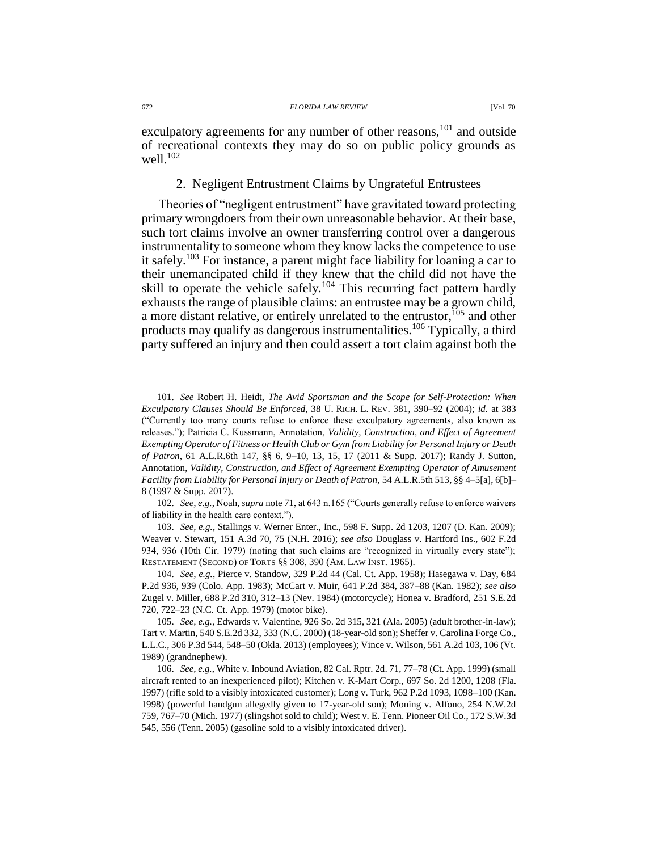#### 672 *FLORIDA LAW REVIEW* [Vol. 70

exculpatory agreements for any number of other reasons,<sup>101</sup> and outside of recreational contexts they may do so on public policy grounds as well.<sup>102</sup>

## 2. Negligent Entrustment Claims by Ungrateful Entrustees

Theories of "negligent entrustment" have gravitated toward protecting primary wrongdoers from their own unreasonable behavior. At their base, such tort claims involve an owner transferring control over a dangerous instrumentality to someone whom they know lacks the competence to use it safely.<sup>103</sup> For instance, a parent might face liability for loaning a car to their unemancipated child if they knew that the child did not have the skill to operate the vehicle safely.<sup>104</sup> This recurring fact pattern hardly exhausts the range of plausible claims: an entrustee may be a grown child, a more distant relative, or entirely unrelated to the entrustor,  $105$  and other products may qualify as dangerous instrumentalities.<sup>106</sup> Typically, a third party suffered an injury and then could assert a tort claim against both the

102. *See, e.g.*, Noah, *supra* not[e 71,](#page-16-0) at 643 n.165 ("Courts generally refuse to enforce waivers of liability in the health care context.").

103. *See, e.g.*, Stallings v. Werner Enter., Inc., 598 F. Supp. 2d 1203, 1207 (D. Kan. 2009); Weaver v. Stewart, 151 A.3d 70, 75 (N.H. 2016); *see also* Douglass v. Hartford Ins., 602 F.2d 934, 936 (10th Cir. 1979) (noting that such claims are "recognized in virtually every state"); RESTATEMENT (SECOND) OF TORTS §§ 308, 390 (AM. LAW INST. 1965).

104. *See, e.g.*, Pierce v. Standow, 329 P.2d 44 (Cal. Ct. App. 1958); Hasegawa v. Day, 684 P.2d 936, 939 (Colo. App. 1983); McCart v. Muir, 641 P.2d 384, 387–88 (Kan. 1982); *see also* Zugel v. Miller, 688 P.2d 310, 312–13 (Nev. 1984) (motorcycle); Honea v. Bradford, 251 S.E.2d 720, 722–23 (N.C. Ct. App. 1979) (motor bike).

105. *See, e.g.*, Edwards v. Valentine, 926 So. 2d 315, 321 (Ala. 2005) (adult brother-in-law); Tart v. Martin, 540 S.E.2d 332, 333 (N.C. 2000) (18-year-old son); Sheffer v. Carolina Forge Co., L.L.C., 306 P.3d 544, 548–50 (Okla. 2013) (employees); Vince v. Wilson, 561 A.2d 103, 106 (Vt. 1989) (grandnephew).

106. *See, e.g.*, White v. Inbound Aviation, 82 Cal. Rptr. 2d. 71, 77–78 (Ct. App. 1999) (small aircraft rented to an inexperienced pilot); Kitchen v. K-Mart Corp., 697 So. 2d 1200, 1208 (Fla. 1997) (rifle sold to a visibly intoxicated customer); Long v. Turk, 962 P.2d 1093, 1098–100 (Kan. 1998) (powerful handgun allegedly given to 17-year-old son); Moning v. Alfono, 254 N.W.2d 759, 767–70 (Mich. 1977) (slingshot sold to child); West v. E. Tenn. Pioneer Oil Co., 172 S.W.3d 545, 556 (Tenn. 2005) (gasoline sold to a visibly intoxicated driver).

<sup>101.</sup> *See* Robert H. Heidt, *The Avid Sportsman and the Scope for Self-Protection: When Exculpatory Clauses Should Be Enforced*, 38 U. RICH. L. REV. 381, 390–92 (2004); *id.* at 383 ("Currently too many courts refuse to enforce these exculpatory agreements, also known as releases."); Patricia C. Kussmann, Annotation, *Validity, Construction, and Effect of Agreement Exempting Operator of Fitness or Health Club or Gym from Liability for Personal Injury or Death of Patron*, 61 A.L.R.6th 147, §§ 6, 9–10, 13, 15, 17 (2011 & Supp. 2017); Randy J. Sutton, Annotation, *Validity, Construction, and Effect of Agreement Exempting Operator of Amusement Facility from Liability for Personal Injury or Death of Patron*, 54 A.L.R.5th 513, §§ 4–5[a], 6[b]– 8 (1997 & Supp. 2017).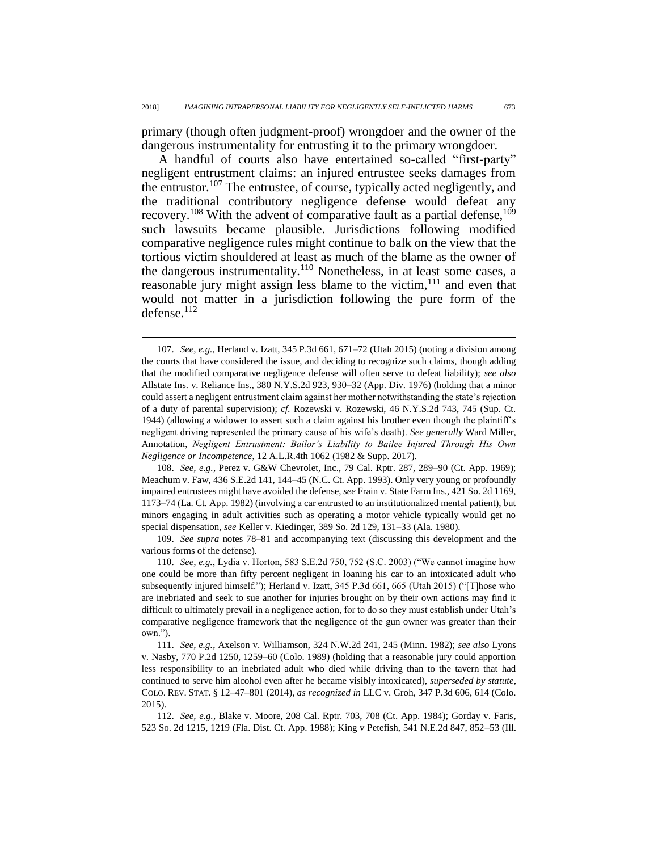primary (though often judgment-proof) wrongdoer and the owner of the dangerous instrumentality for entrusting it to the primary wrongdoer.

A handful of courts also have entertained so-called "first-party" negligent entrustment claims: an injured entrustee seeks damages from the entrustor.<sup>107</sup> The entrustee, of course, typically acted negligently, and the traditional contributory negligence defense would defeat any recovery.<sup>108</sup> With the advent of comparative fault as a partial defense,  $109$ such lawsuits became plausible. Jurisdictions following modified comparative negligence rules might continue to balk on the view that the tortious victim shouldered at least as much of the blame as the owner of the dangerous instrumentality.<sup>110</sup> Nonetheless, in at least some cases, a reasonable jury might assign less blame to the victim,  $111$  and even that would not matter in a jurisdiction following the pure form of the defense. $^{112}$ 

 $\overline{a}$ 

108. *See, e.g.*, Perez v. G&W Chevrolet, Inc., 79 Cal. Rptr. 287, 289–90 (Ct. App. 1969); Meachum v. Faw, 436 S.E.2d 141, 144–45 (N.C. Ct. App. 1993). Only very young or profoundly impaired entrustees might have avoided the defense, *see* Frain v. State Farm Ins., 421 So. 2d 1169, 1173–74 (La. Ct. App. 1982) (involving a car entrusted to an institutionalized mental patient), but minors engaging in adult activities such as operating a motor vehicle typically would get no special dispensation, *see* Keller v. Kiedinger, 389 So. 2d 129, 131–33 (Ala. 1980).

109. *See supra* notes [78–](#page-19-0)[81](#page-19-1) and accompanying text (discussing this development and the various forms of the defense).

110. *See, e.g.*, Lydia v. Horton, 583 S.E.2d 750, 752 (S.C. 2003) ("We cannot imagine how one could be more than fifty percent negligent in loaning his car to an intoxicated adult who subsequently injured himself."); Herland v. Izatt, 345 P.3d 661, 665 (Utah 2015) ("[T]hose who are inebriated and seek to sue another for injuries brought on by their own actions may find it difficult to ultimately prevail in a negligence action, for to do so they must establish under Utah's comparative negligence framework that the negligence of the gun owner was greater than their own.").

111. *See, e.g.*, Axelson v. Williamson, 324 N.W.2d 241, 245 (Minn. 1982); *see also* Lyons v. Nasby, 770 P.2d 1250, 1259–60 (Colo. 1989) (holding that a reasonable jury could apportion less responsibility to an inebriated adult who died while driving than to the tavern that had continued to serve him alcohol even after he became visibly intoxicated), *superseded by statute*, COLO. REV. STAT. § 12–47–801 (2014), *as recognized in* LLC v. Groh, 347 P.3d 606, 614 (Colo. 2015).

112. *See, e.g.*, Blake v. Moore, 208 Cal. Rptr. 703, 708 (Ct. App. 1984); Gorday v. Faris, 523 So. 2d 1215, 1219 (Fla. Dist. Ct. App. 1988); King v Petefish, 541 N.E.2d 847, 852–53 (Ill.

<sup>107.</sup> *See, e.g.*, Herland v. Izatt, 345 P.3d 661, 671–72 (Utah 2015) (noting a division among the courts that have considered the issue, and deciding to recognize such claims, though adding that the modified comparative negligence defense will often serve to defeat liability); *see also* Allstate Ins. v. Reliance Ins., 380 N.Y.S.2d 923, 930–32 (App. Div. 1976) (holding that a minor could assert a negligent entrustment claim against her mother notwithstanding the state's rejection of a duty of parental supervision); *cf.* Rozewski v. Rozewski, 46 N.Y.S.2d 743, 745 (Sup. Ct. 1944) (allowing a widower to assert such a claim against his brother even though the plaintiff's negligent driving represented the primary cause of his wife's death). *See generally* Ward Miller, Annotation, *Negligent Entrustment: Bailor's Liability to Bailee Injured Through His Own Negligence or Incompetence*, 12 A.L.R.4th 1062 (1982 & Supp. 2017).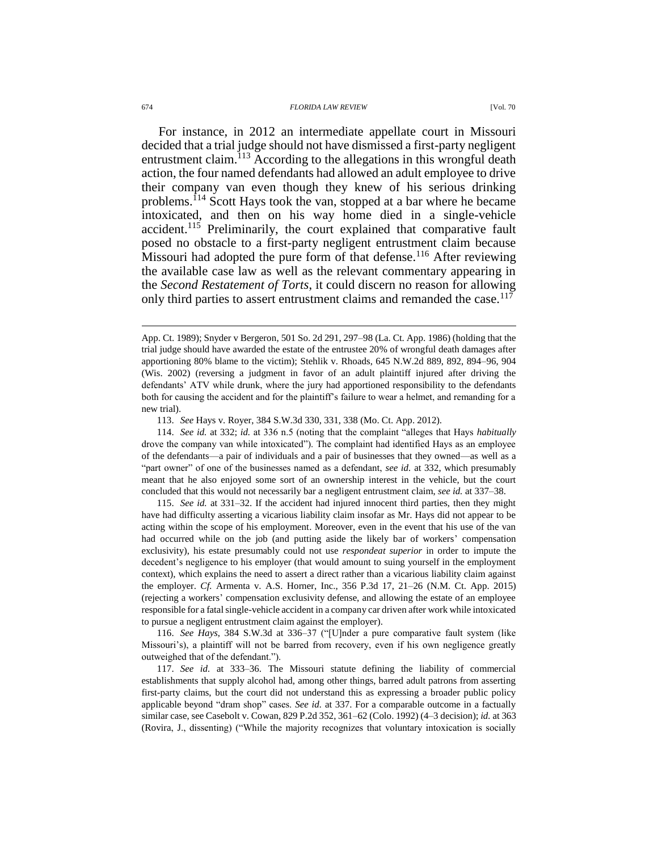For instance, in 2012 an intermediate appellate court in Missouri decided that a trial judge should not have dismissed a first-party negligent entrustment claim.<sup>113</sup> According to the allegations in this wrongful death action, the four named defendants had allowed an adult employee to drive their company van even though they knew of his serious drinking problems.<sup>114</sup> Scott Hays took the van, stopped at a bar where he became intoxicated, and then on his way home died in a single-vehicle accident.<sup>115</sup> Preliminarily, the court explained that comparative fault posed no obstacle to a first-party negligent entrustment claim because Missouri had adopted the pure form of that defense.<sup>116</sup> After reviewing the available case law as well as the relevant commentary appearing in the *Second Restatement of Torts*, it could discern no reason for allowing only third parties to assert entrustment claims and remanded the case.<sup>117</sup>

114. *See id.* at 332; *id.* at 336 n.5 (noting that the complaint "alleges that Hays *habitually* drove the company van while intoxicated"). The complaint had identified Hays as an employee of the defendants—a pair of individuals and a pair of businesses that they owned—as well as a "part owner" of one of the businesses named as a defendant, *see id.* at 332, which presumably meant that he also enjoyed some sort of an ownership interest in the vehicle, but the court concluded that this would not necessarily bar a negligent entrustment claim, *see id.* at 337–38.

115. *See id.* at 331–32. If the accident had injured innocent third parties, then they might have had difficulty asserting a vicarious liability claim insofar as Mr. Hays did not appear to be acting within the scope of his employment. Moreover, even in the event that his use of the van had occurred while on the job (and putting aside the likely bar of workers' compensation exclusivity), his estate presumably could not use *respondeat superior* in order to impute the decedent's negligence to his employer (that would amount to suing yourself in the employment context), which explains the need to assert a direct rather than a vicarious liability claim against the employer. *Cf.* Armenta v. A.S. Horner, Inc., 356 P.3d 17, 21–26 (N.M. Ct. App. 2015) (rejecting a workers' compensation exclusivity defense, and allowing the estate of an employee responsible for a fatal single-vehicle accident in a company car driven after work while intoxicated to pursue a negligent entrustment claim against the employer).

116. *See Hays*, 384 S.W.3d at 336–37 ("[U]nder a pure comparative fault system (like Missouri's), a plaintiff will not be barred from recovery, even if his own negligence greatly outweighed that of the defendant.").

117. *See id.* at 333–36. The Missouri statute defining the liability of commercial establishments that supply alcohol had, among other things, barred adult patrons from asserting first-party claims, but the court did not understand this as expressing a broader public policy applicable beyond "dram shop" cases. *See id.* at 337. For a comparable outcome in a factually similar case, see Casebolt v. Cowan, 829 P.2d 352, 361–62 (Colo. 1992) (4–3 decision); *id.* at 363 (Rovira, J., dissenting) ("While the majority recognizes that voluntary intoxication is socially

App. Ct. 1989); Snyder v Bergeron, 501 So. 2d 291, 297–98 (La. Ct. App. 1986) (holding that the trial judge should have awarded the estate of the entrustee 20% of wrongful death damages after apportioning 80% blame to the victim); Stehlik v. Rhoads, 645 N.W.2d 889, 892, 894–96, 904 (Wis. 2002) (reversing a judgment in favor of an adult plaintiff injured after driving the defendants' ATV while drunk, where the jury had apportioned responsibility to the defendants both for causing the accident and for the plaintiff's failure to wear a helmet, and remanding for a new trial).

<sup>113.</sup> *See* Hays v. Royer, 384 S.W.3d 330, 331, 338 (Mo. Ct. App. 2012).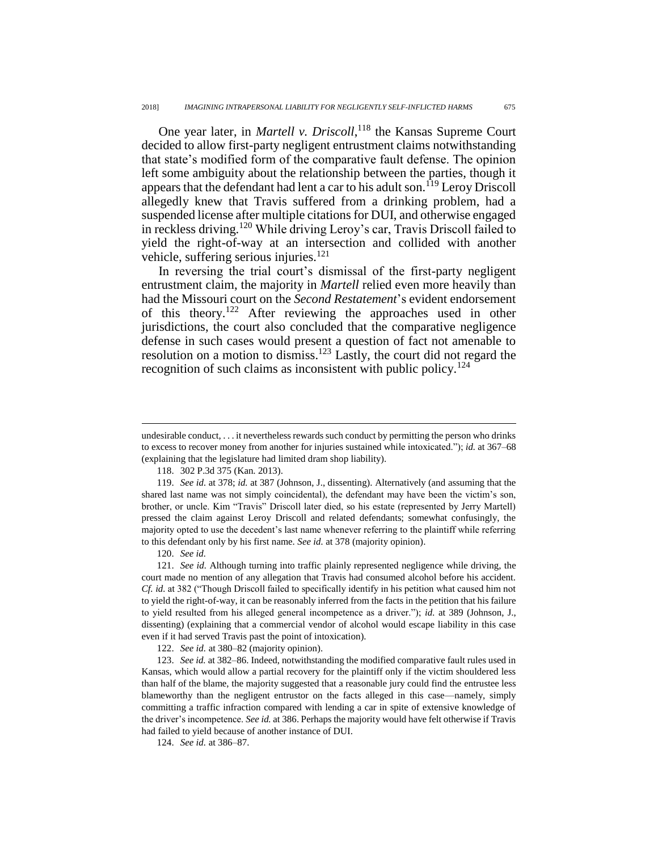One year later, in *Martell v. Driscoll*, <sup>118</sup> the Kansas Supreme Court decided to allow first-party negligent entrustment claims notwithstanding that state's modified form of the comparative fault defense. The opinion left some ambiguity about the relationship between the parties, though it appears that the defendant had lent a car to his adult son.<sup>119</sup> Leroy Driscoll allegedly knew that Travis suffered from a drinking problem, had a suspended license after multiple citations for DUI, and otherwise engaged in reckless driving.<sup>120</sup> While driving Leroy's car, Travis Driscoll failed to yield the right-of-way at an intersection and collided with another vehicle, suffering serious injuries. $121$ 

In reversing the trial court's dismissal of the first-party negligent entrustment claim, the majority in *Martell* relied even more heavily than had the Missouri court on the *Second Restatement*'s evident endorsement of this theory.<sup>122</sup> After reviewing the approaches used in other jurisdictions, the court also concluded that the comparative negligence defense in such cases would present a question of fact not amenable to resolution on a motion to dismiss.<sup>123</sup> Lastly, the court did not regard the recognition of such claims as inconsistent with public policy.<sup>124</sup>

118. 302 P.3d 375 (Kan. 2013).

119. *See id.* at 378; *id.* at 387 (Johnson, J., dissenting). Alternatively (and assuming that the shared last name was not simply coincidental), the defendant may have been the victim's son, brother, or uncle. Kim "Travis" Driscoll later died, so his estate (represented by Jerry Martell) pressed the claim against Leroy Driscoll and related defendants; somewhat confusingly, the majority opted to use the decedent's last name whenever referring to the plaintiff while referring to this defendant only by his first name. *See id.* at 378 (majority opinion).

120. *See id.*

 $\overline{a}$ 

121. *See id.* Although turning into traffic plainly represented negligence while driving, the court made no mention of any allegation that Travis had consumed alcohol before his accident. *Cf. id.* at 382 ("Though Driscoll failed to specifically identify in his petition what caused him not to yield the right-of-way, it can be reasonably inferred from the facts in the petition that his failure to yield resulted from his alleged general incompetence as a driver."); *id.* at 389 (Johnson, J., dissenting) (explaining that a commercial vendor of alcohol would escape liability in this case even if it had served Travis past the point of intoxication).

122. *See id.* at 380–82 (majority opinion).

123. *See id.* at 382–86. Indeed, notwithstanding the modified comparative fault rules used in Kansas, which would allow a partial recovery for the plaintiff only if the victim shouldered less than half of the blame, the majority suggested that a reasonable jury could find the entrustee less blameworthy than the negligent entrustor on the facts alleged in this case—namely, simply committing a traffic infraction compared with lending a car in spite of extensive knowledge of the driver's incompetence. *See id.* at 386. Perhaps the majority would have felt otherwise if Travis had failed to yield because of another instance of DUI.

124. *See id.* at 386–87.

undesirable conduct, . . . it nevertheless rewards such conduct by permitting the person who drinks to excess to recover money from another for injuries sustained while intoxicated."); *id.* at 367–68 (explaining that the legislature had limited dram shop liability).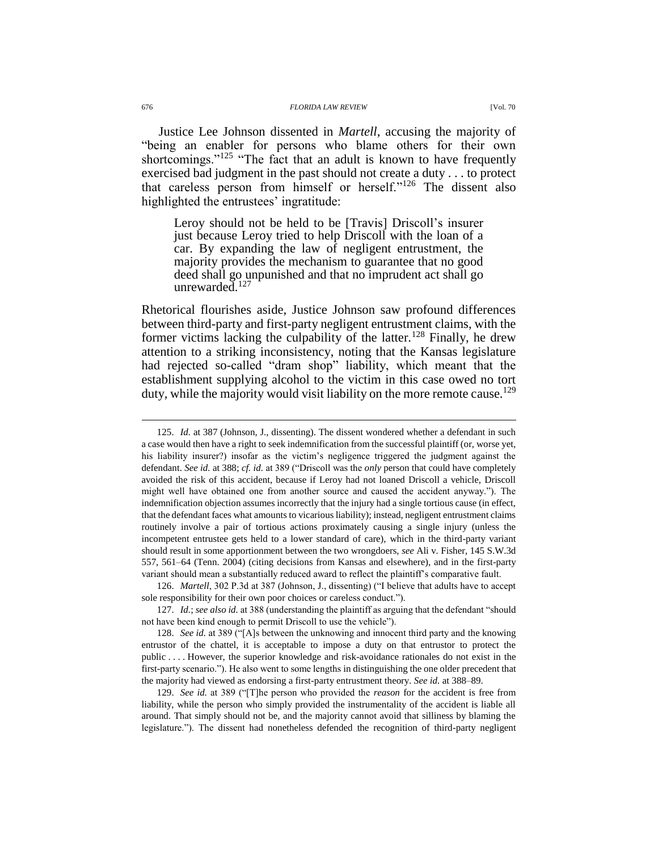Justice Lee Johnson dissented in *Martell*, accusing the majority of "being an enabler for persons who blame others for their own shortcomings."<sup>125</sup> "The fact that an adult is known to have frequently exercised bad judgment in the past should not create a duty . . . to protect that careless person from himself or herself."<sup>126</sup> The dissent also highlighted the entrustees' ingratitude:

Leroy should not be held to be [Travis] Driscoll's insurer just because Leroy tried to help Driscoll with the loan of a car. By expanding the law of negligent entrustment, the majority provides the mechanism to guarantee that no good deed shall go unpunished and that no imprudent act shall go unrewarded. $127$ 

Rhetorical flourishes aside, Justice Johnson saw profound differences between third-party and first-party negligent entrustment claims, with the former victims lacking the culpability of the latter.<sup>128</sup> Finally, he drew attention to a striking inconsistency, noting that the Kansas legislature had rejected so-called "dram shop" liability, which meant that the establishment supplying alcohol to the victim in this case owed no tort duty, while the majority would visit liability on the more remote cause.<sup>129</sup>

<sup>125.</sup> *Id.* at 387 (Johnson, J., dissenting). The dissent wondered whether a defendant in such a case would then have a right to seek indemnification from the successful plaintiff (or, worse yet, his liability insurer?) insofar as the victim's negligence triggered the judgment against the defendant. *See id.* at 388; *cf. id.* at 389 ("Driscoll was the *only* person that could have completely avoided the risk of this accident, because if Leroy had not loaned Driscoll a vehicle, Driscoll might well have obtained one from another source and caused the accident anyway."). The indemnification objection assumes incorrectly that the injury had a single tortious cause (in effect, that the defendant faces what amounts to vicarious liability); instead, negligent entrustment claims routinely involve a pair of tortious actions proximately causing a single injury (unless the incompetent entrustee gets held to a lower standard of care), which in the third-party variant should result in some apportionment between the two wrongdoers, *see* Ali v. Fisher, 145 S.W.3d 557, 561–64 (Tenn. 2004) (citing decisions from Kansas and elsewhere), and in the first-party variant should mean a substantially reduced award to reflect the plaintiff's comparative fault.

<sup>126.</sup> *Martell*, 302 P.3d at 387 (Johnson, J., dissenting) ("I believe that adults have to accept sole responsibility for their own poor choices or careless conduct.").

<sup>127.</sup> *Id.*; *see also id.* at 388 (understanding the plaintiff as arguing that the defendant "should not have been kind enough to permit Driscoll to use the vehicle").

<sup>128.</sup> *See id.* at 389 ("[A]s between the unknowing and innocent third party and the knowing entrustor of the chattel, it is acceptable to impose a duty on that entrustor to protect the public . . . . However, the superior knowledge and risk-avoidance rationales do not exist in the first-party scenario."). He also went to some lengths in distinguishing the one older precedent that the majority had viewed as endorsing a first-party entrustment theory. *See id.* at 388–89.

<sup>129.</sup> *See id.* at 389 ("[T]he person who provided the *reason* for the accident is free from liability, while the person who simply provided the instrumentality of the accident is liable all around. That simply should not be, and the majority cannot avoid that silliness by blaming the legislature."). The dissent had nonetheless defended the recognition of third-party negligent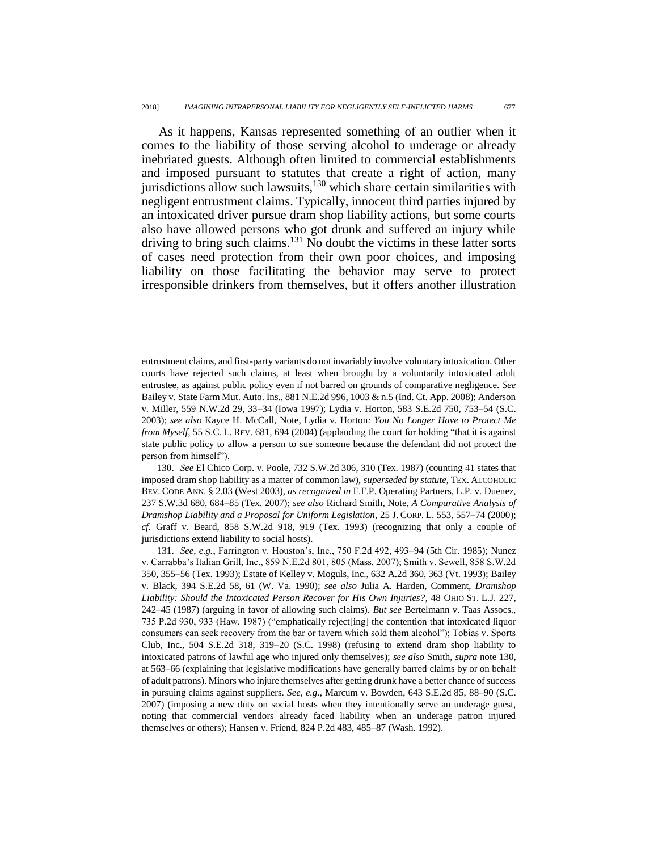<span id="page-28-0"></span>As it happens, Kansas represented something of an outlier when it comes to the liability of those serving alcohol to underage or already inebriated guests. Although often limited to commercial establishments and imposed pursuant to statutes that create a right of action, many jurisdictions allow such lawsuits,<sup>130</sup> which share certain similarities with negligent entrustment claims. Typically, innocent third parties injured by an intoxicated driver pursue dram shop liability actions, but some courts also have allowed persons who got drunk and suffered an injury while driving to bring such claims. $131$  No doubt the victims in these latter sorts of cases need protection from their own poor choices, and imposing liability on those facilitating the behavior may serve to protect irresponsible drinkers from themselves, but it offers another illustration

 $\overline{a}$ 

130. *See* El Chico Corp. v. Poole, 732 S.W.2d 306, 310 (Tex. 1987) (counting 41 states that imposed dram shop liability as a matter of common law), *superseded by statute*, TEX. ALCOHOLIC BEV. CODE ANN. § 2.03 (West 2003), *as recognized in* F.F.P. Operating Partners, L.P. v. Duenez, 237 S.W.3d 680, 684–85 (Tex. 2007); *see also* Richard Smith, Note, *A Comparative Analysis of Dramshop Liability and a Proposal for Uniform Legislation*, 25 J. CORP. L. 553, 557–74 (2000); *cf.* Graff v. Beard, 858 S.W.2d 918, 919 (Tex. 1993) (recognizing that only a couple of jurisdictions extend liability to social hosts).

131. *See, e.g.*, Farrington v. Houston's, Inc., 750 F.2d 492, 493–94 (5th Cir. 1985); Nunez v. Carrabba's Italian Grill, Inc., 859 N.E.2d 801, 805 (Mass. 2007); Smith v. Sewell, 858 S.W.2d 350, 355–56 (Tex. 1993); Estate of Kelley v. Moguls, Inc., 632 A.2d 360, 363 (Vt. 1993); Bailey v. Black, 394 S.E.2d 58, 61 (W. Va. 1990); *see also* Julia A. Harden, Comment, *Dramshop Liability: Should the Intoxicated Person Recover for His Own Injuries?*, 48 OHIO ST. L.J. 227, 242–45 (1987) (arguing in favor of allowing such claims). *But see* Bertelmann v. Taas Assocs., 735 P.2d 930, 933 (Haw. 1987) ("emphatically reject[ing] the contention that intoxicated liquor consumers can seek recovery from the bar or tavern which sold them alcohol"); Tobias v. Sports Club, Inc., 504 S.E.2d 318, 319–20 (S.C. 1998) (refusing to extend dram shop liability to intoxicated patrons of lawful age who injured only themselves); *see also* Smith, *supra* not[e 130,](#page-28-0) at 563–66 (explaining that legislative modifications have generally barred claims by or on behalf of adult patrons). Minors who injure themselves after getting drunk have a better chance of success in pursuing claims against suppliers. *See, e.g.*, Marcum v. Bowden, 643 S.E.2d 85, 88–90 (S.C. 2007) (imposing a new duty on social hosts when they intentionally serve an underage guest, noting that commercial vendors already faced liability when an underage patron injured themselves or others); Hansen v. Friend, 824 P.2d 483, 485–87 (Wash. 1992).

entrustment claims, and first-party variants do not invariably involve voluntary intoxication. Other courts have rejected such claims, at least when brought by a voluntarily intoxicated adult entrustee, as against public policy even if not barred on grounds of comparative negligence. *See* Bailey v. State Farm Mut. Auto. Ins., 881 N.E.2d 996, 1003 & n.5 (Ind. Ct. App. 2008); Anderson v. Miller, 559 N.W.2d 29, 33–34 (Iowa 1997); Lydia v. Horton, 583 S.E.2d 750, 753–54 (S.C. 2003); *see also* Kayce H. McCall, Note, Lydia v. Horton*: You No Longer Have to Protect Me from Myself*, 55 S.C. L. REV. 681, 694 (2004) (applauding the court for holding "that it is against state public policy to allow a person to sue someone because the defendant did not protect the person from himself").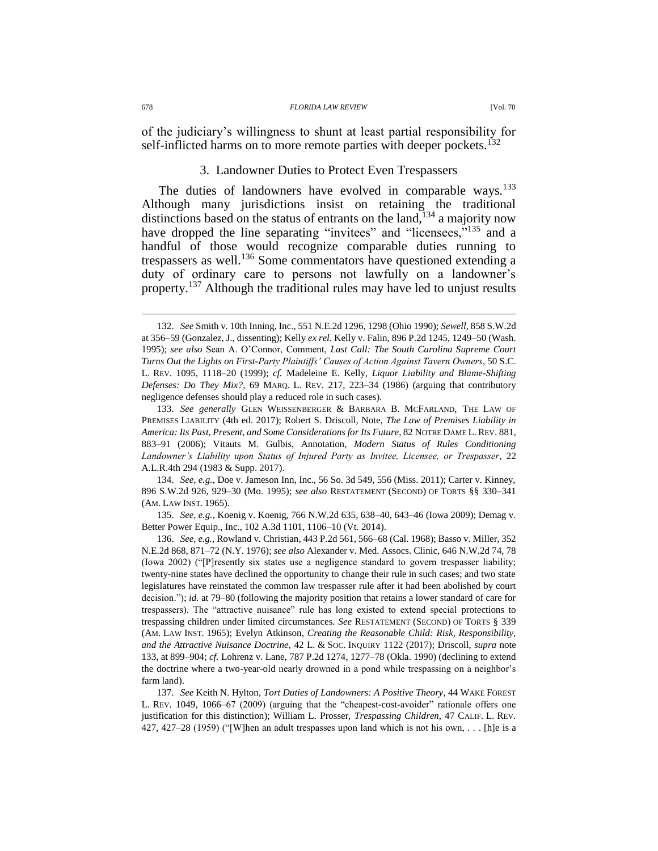of the judiciary's willingness to shunt at least partial responsibility for self-inflicted harms on to more remote parties with deeper pockets. $132$ 

## <span id="page-29-0"></span>3. Landowner Duties to Protect Even Trespassers

The duties of landowners have evolved in comparable ways.<sup>133</sup> Although many jurisdictions insist on retaining the traditional distinctions based on the status of entrants on the land,<sup>134</sup> a majority now have dropped the line separating "invitees" and "licensees,"<sup>135</sup> and a handful of those would recognize comparable duties running to trespassers as well.<sup>136</sup> Some commentators have questioned extending a duty of ordinary care to persons not lawfully on a landowner's property.<sup>137</sup> Although the traditional rules may have led to unjust results

135. *See, e.g.*, Koenig v. Koenig, 766 N.W.2d 635, 638–40, 643–46 (Iowa 2009); Demag v. Better Power Equip., Inc., 102 A.3d 1101, 1106–10 (Vt. 2014).

136. *See, e.g.*, Rowland v. Christian, 443 P.2d 561, 566–68 (Cal. 1968); Basso v. Miller, 352 N.E.2d 868, 871–72 (N.Y. 1976); *see also* Alexander v. Med. Assocs. Clinic, 646 N.W.2d 74, 78 (Iowa 2002) ("[P]resently six states use a negligence standard to govern trespasser liability; twenty-nine states have declined the opportunity to change their rule in such cases; and two state legislatures have reinstated the common law trespasser rule after it had been abolished by court decision."); *id.* at 79–80 (following the majority position that retains a lower standard of care for trespassers). The "attractive nuisance" rule has long existed to extend special protections to trespassing children under limited circumstances. *See* RESTATEMENT (SECOND) OF TORTS § 339 (AM. LAW INST. 1965); Evelyn Atkinson, *Creating the Reasonable Child: Risk, Responsibility, and the Attractive Nuisance Doctrine*, 42 L. & SOC. INQUIRY 1122 (2017); Driscoll, *supra* note [133,](#page-29-0) at 899–904; *cf*. Lohrenz v. Lane, 787 P.2d 1274, 1277–78 (Okla. 1990) (declining to extend the doctrine where a two-year-old nearly drowned in a pond while trespassing on a neighbor's farm land).

137. *See* Keith N. Hylton, *Tort Duties of Landowners: A Positive Theory*, 44 WAKE FOREST L. REV. 1049, 1066–67 (2009) (arguing that the "cheapest-cost-avoider" rationale offers one justification for this distinction); William L. Prosser, *Trespassing Children*, 47 CALIF. L. REV. 427, 427–28 (1959) ("[W]hen an adult trespasses upon land which is not his own, . . . [h]e is a

<sup>132.</sup> *See* Smith v. 10th Inning, Inc., 551 N.E.2d 1296, 1298 (Ohio 1990); *Sewell*, 858 S.W.2d at 356–59 (Gonzalez, J., dissenting); Kelly *ex rel.* Kelly v. Falin, 896 P.2d 1245, 1249–50 (Wash. 1995); *see also* Sean A. O'Connor, Comment, *Last Call: The South Carolina Supreme Court Turns Out the Lights on First-Party Plaintiffs' Causes of Action Against Tavern Owners*, 50 S.C. L. REV. 1095, 1118–20 (1999); *cf.* Madeleine E. Kelly, *Liquor Liability and Blame-Shifting Defenses: Do They Mix?*, 69 MARQ. L. REV. 217, 223–34 (1986) (arguing that contributory negligence defenses should play a reduced role in such cases).

<sup>133.</sup> *See generally* GLEN WEISSENBERGER & BARBARA B. MCFARLAND, THE LAW OF PREMISES LIABILITY (4th ed. 2017); Robert S. Driscoll, Note, *The Law of Premises Liability in America: Its Past, Present, and Some Considerations for Its Future*, 82 NOTRE DAME L. REV. 881, 883–91 (2006); Vitauts M. Gulbis, Annotation, *Modern Status of Rules Conditioning Landowner's Liability upon Status of Injured Party as Invitee, Licensee, or Trespasser*, 22 A.L.R.4th 294 (1983 & Supp. 2017).

<sup>134.</sup> *See, e.g.*, Doe v. Jameson Inn, Inc., 56 So. 3d 549, 556 (Miss. 2011); Carter v. Kinney, 896 S.W.2d 926, 929–30 (Mo. 1995); *see also* RESTATEMENT (SECOND) OF TORTS §§ 330–341 (AM. LAW INST. 1965).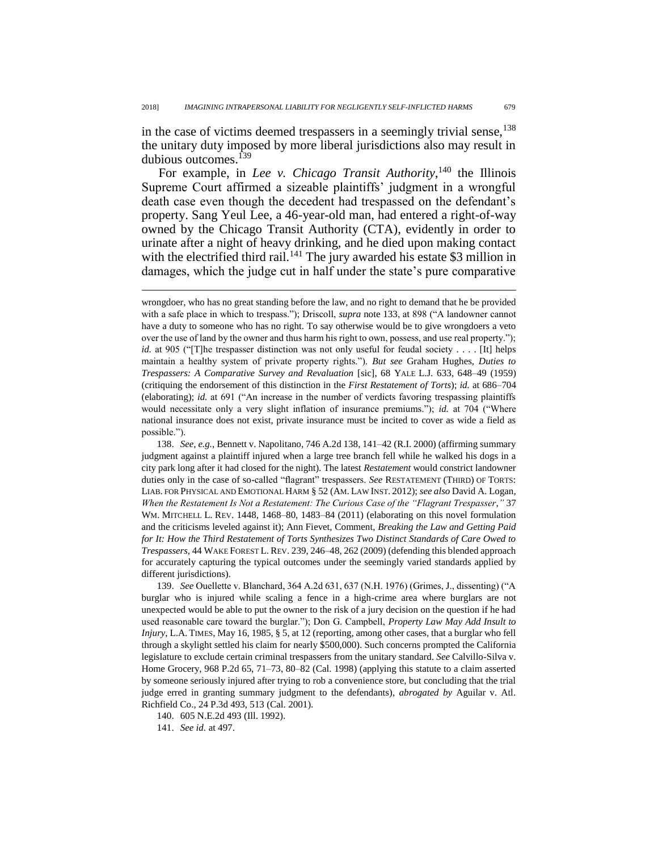in the case of victims deemed trespassers in a seemingly trivial sense,<sup>138</sup> the unitary duty imposed by more liberal jurisdictions also may result in dubious outcomes.<sup>139</sup>

For example, in *Lee v. Chicago Transit Authority*,<sup>140</sup> the Illinois Supreme Court affirmed a sizeable plaintiffs' judgment in a wrongful death case even though the decedent had trespassed on the defendant's property. Sang Yeul Lee, a 46-year-old man, had entered a right-of-way owned by the Chicago Transit Authority (CTA), evidently in order to urinate after a night of heavy drinking, and he died upon making contact with the electrified third rail.<sup>141</sup> The jury awarded his estate \$3 million in damages, which the judge cut in half under the state's pure comparative

138. *See, e.g.*, Bennett v. Napolitano, 746 A.2d 138, 141–42 (R.I. 2000) (affirming summary judgment against a plaintiff injured when a large tree branch fell while he walked his dogs in a city park long after it had closed for the night). The latest *Restatement* would constrict landowner duties only in the case of so-called "flagrant" trespassers. *See* RESTATEMENT (THIRD) OF TORTS: LIAB. FOR PHYSICAL AND EMOTIONAL HARM § 52 (AM. LAW INST. 2012); *see also* David A. Logan, *When the Restatement Is Not a Restatement: The Curious Case of the "Flagrant Trespasser*,*"* 37 WM. MITCHELL L. REV. 1448, 1468–80, 1483–84 (2011) (elaborating on this novel formulation and the criticisms leveled against it); Ann Fievet, Comment, *Breaking the Law and Getting Paid for It: How the Third Restatement of Torts Synthesizes Two Distinct Standards of Care Owed to Trespassers*, 44 WAKE FOREST L. REV. 239, 246–48, 262 (2009) (defending this blended approach for accurately capturing the typical outcomes under the seemingly varied standards applied by different jurisdictions).

139. *See* Ouellette v. Blanchard, 364 A.2d 631, 637 (N.H. 1976) (Grimes, J., dissenting) ("A burglar who is injured while scaling a fence in a high-crime area where burglars are not unexpected would be able to put the owner to the risk of a jury decision on the question if he had used reasonable care toward the burglar."); Don G. Campbell, *Property Law May Add Insult to Injury*, L.A. TIMES, May 16, 1985, § 5, at 12 (reporting, among other cases, that a burglar who fell through a skylight settled his claim for nearly \$500,000). Such concerns prompted the California legislature to exclude certain criminal trespassers from the unitary standard. *See* Calvillo-Silva v. Home Grocery, 968 P.2d 65, 71–73, 80–82 (Cal. 1998) (applying this statute to a claim asserted by someone seriously injured after trying to rob a convenience store, but concluding that the trial judge erred in granting summary judgment to the defendants), *abrogated by* Aguilar v. Atl. Richfield Co., 24 P.3d 493, 513 (Cal. 2001).

140. 605 N.E.2d 493 (Ill. 1992).

141. *See id.* at 497.

wrongdoer, who has no great standing before the law, and no right to demand that he be provided with a safe place in which to trespass."); Driscoll, *supra* not[e 133,](#page-29-0) at 898 ("A landowner cannot have a duty to someone who has no right. To say otherwise would be to give wrongdoers a veto over the use of land by the owner and thus harm his right to own, possess, and use real property."); *id.* at 905 ("The trespasser distinction was not only useful for feudal society . . . . [It] helps maintain a healthy system of private property rights."). *But see* Graham Hughes, *Duties to Trespassers: A Comparative Survey and Revaluation* [sic], 68 YALE L.J. 633, 648–49 (1959) (critiquing the endorsement of this distinction in the *First Restatement of Torts*); *id.* at 686–704 (elaborating); *id.* at 691 ("An increase in the number of verdicts favoring trespassing plaintiffs would necessitate only a very slight inflation of insurance premiums."); *id.* at 704 ("Where national insurance does not exist, private insurance must be incited to cover as wide a field as possible.").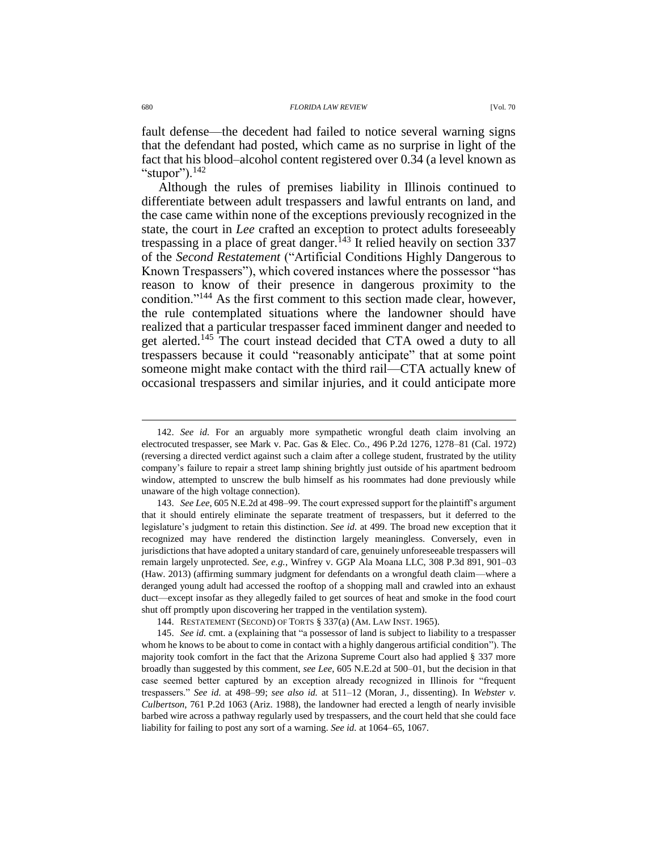fault defense—the decedent had failed to notice several warning signs that the defendant had posted, which came as no surprise in light of the fact that his blood–alcohol content registered over 0.34 (a level known as "stupor"). $^{142}$ 

Although the rules of premises liability in Illinois continued to differentiate between adult trespassers and lawful entrants on land, and the case came within none of the exceptions previously recognized in the state, the court in *Lee* crafted an exception to protect adults foreseeably trespassing in a place of great danger.<sup>143</sup> It relied heavily on section  $337$ of the *Second Restatement* ("Artificial Conditions Highly Dangerous to Known Trespassers"), which covered instances where the possessor "has reason to know of their presence in dangerous proximity to the condition."<sup>144</sup> As the first comment to this section made clear, however, the rule contemplated situations where the landowner should have realized that a particular trespasser faced imminent danger and needed to get alerted.<sup>145</sup> The court instead decided that CTA owed a duty to all trespassers because it could "reasonably anticipate" that at some point someone might make contact with the third rail—CTA actually knew of occasional trespassers and similar injuries, and it could anticipate more

143. *See Lee*, 605 N.E.2d at 498–99. The court expressed support for the plaintiff's argument that it should entirely eliminate the separate treatment of trespassers, but it deferred to the legislature's judgment to retain this distinction. *See id.* at 499. The broad new exception that it recognized may have rendered the distinction largely meaningless. Conversely, even in jurisdictions that have adopted a unitary standard of care, genuinely unforeseeable trespassers will remain largely unprotected. *See, e.g.*, Winfrey v. GGP Ala Moana LLC, 308 P.3d 891, 901–03 (Haw. 2013) (affirming summary judgment for defendants on a wrongful death claim—where a deranged young adult had accessed the rooftop of a shopping mall and crawled into an exhaust duct—except insofar as they allegedly failed to get sources of heat and smoke in the food court shut off promptly upon discovering her trapped in the ventilation system).

144. RESTATEMENT (SECOND) OF TORTS § 337(a) (AM. LAW INST. 1965).

145. *See id.* cmt. a (explaining that "a possessor of land is subject to liability to a trespasser whom he knows to be about to come in contact with a highly dangerous artificial condition"). The majority took comfort in the fact that the Arizona Supreme Court also had applied § 337 more broadly than suggested by this comment, *see Lee*, 605 N.E.2d at 500–01, but the decision in that case seemed better captured by an exception already recognized in Illinois for "frequent trespassers." *See id.* at 498–99; *see also id.* at 511–12 (Moran, J., dissenting). In *Webster v. Culbertson*, 761 P.2d 1063 (Ariz. 1988), the landowner had erected a length of nearly invisible barbed wire across a pathway regularly used by trespassers, and the court held that she could face liability for failing to post any sort of a warning. *See id.* at 1064–65, 1067.

<sup>142.</sup> *See id.* For an arguably more sympathetic wrongful death claim involving an electrocuted trespasser, see Mark v. Pac. Gas & Elec. Co., 496 P.2d 1276, 1278–81 (Cal. 1972) (reversing a directed verdict against such a claim after a college student, frustrated by the utility company's failure to repair a street lamp shining brightly just outside of his apartment bedroom window, attempted to unscrew the bulb himself as his roommates had done previously while unaware of the high voltage connection).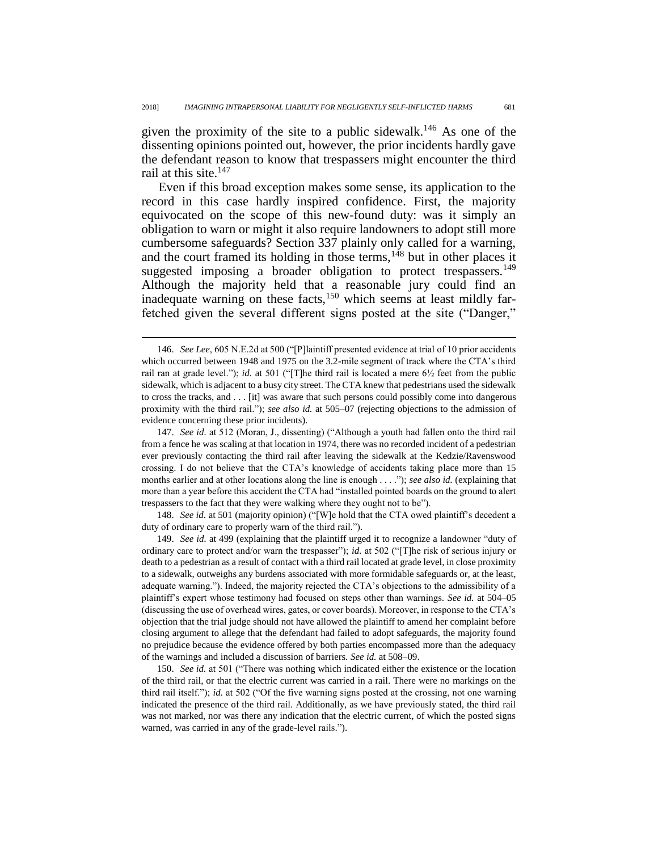given the proximity of the site to a public sidewalk.<sup>146</sup> As one of the dissenting opinions pointed out, however, the prior incidents hardly gave the defendant reason to know that trespassers might encounter the third rail at this site.<sup>147</sup>

Even if this broad exception makes some sense, its application to the record in this case hardly inspired confidence. First, the majority equivocated on the scope of this new-found duty: was it simply an obligation to warn or might it also require landowners to adopt still more cumbersome safeguards? Section 337 plainly only called for a warning, and the court framed its holding in those terms,  $148$  but in other places it suggested imposing a broader obligation to protect trespassers.<sup>149</sup> Although the majority held that a reasonable jury could find an inadequate warning on these facts,<sup>150</sup> which seems at least mildly farfetched given the several different signs posted at the site ("Danger,"

 $\overline{a}$ 

148. *See id.* at 501 (majority opinion) ("[W]e hold that the CTA owed plaintiff's decedent a duty of ordinary care to properly warn of the third rail.").

149. *See id.* at 499 (explaining that the plaintiff urged it to recognize a landowner "duty of ordinary care to protect and/or warn the trespasser"); *id.* at 502 ("[T]he risk of serious injury or death to a pedestrian as a result of contact with a third rail located at grade level, in close proximity to a sidewalk, outweighs any burdens associated with more formidable safeguards or, at the least, adequate warning."). Indeed, the majority rejected the CTA's objections to the admissibility of a plaintiff's expert whose testimony had focused on steps other than warnings. *See id.* at 504–05 (discussing the use of overhead wires, gates, or cover boards). Moreover, in response to the CTA's objection that the trial judge should not have allowed the plaintiff to amend her complaint before closing argument to allege that the defendant had failed to adopt safeguards, the majority found no prejudice because the evidence offered by both parties encompassed more than the adequacy of the warnings and included a discussion of barriers. *See id.* at 508–09.

150. *See id.* at 501 ("There was nothing which indicated either the existence or the location of the third rail, or that the electric current was carried in a rail. There were no markings on the third rail itself."); *id.* at 502 ("Of the five warning signs posted at the crossing, not one warning indicated the presence of the third rail. Additionally, as we have previously stated, the third rail was not marked, nor was there any indication that the electric current, of which the posted signs warned, was carried in any of the grade-level rails.").

<sup>146.</sup> *See Lee*, 605 N.E.2d at 500 ("[P]laintiff presented evidence at trial of 10 prior accidents which occurred between 1948 and 1975 on the 3.2-mile segment of track where the CTA's third rail ran at grade level."); *id.* at 501 ("[T]he third rail is located a mere 6½ feet from the public sidewalk, which is adjacent to a busy city street. The CTA knew that pedestrians used the sidewalk to cross the tracks, and . . . [it] was aware that such persons could possibly come into dangerous proximity with the third rail."); *see also id.* at 505–07 (rejecting objections to the admission of evidence concerning these prior incidents).

<sup>147.</sup> *See id.* at 512 (Moran, J., dissenting) ("Although a youth had fallen onto the third rail from a fence he was scaling at that location in 1974, there was no recorded incident of a pedestrian ever previously contacting the third rail after leaving the sidewalk at the Kedzie/Ravenswood crossing. I do not believe that the CTA's knowledge of accidents taking place more than 15 months earlier and at other locations along the line is enough . . . ."); *see also id.* (explaining that more than a year before this accident the CTA had "installed pointed boards on the ground to alert trespassers to the fact that they were walking where they ought not to be").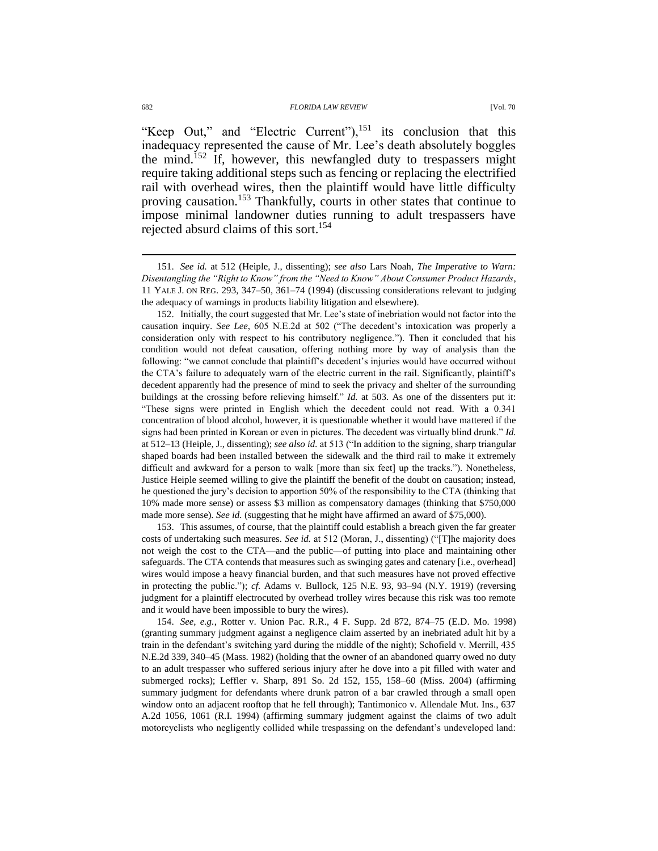"Keep Out," and "Electric Current"),  $^{151}$  its conclusion that this inadequacy represented the cause of Mr. Lee's death absolutely boggles the mind.<sup>152</sup> If, however, this newfangled duty to trespassers might require taking additional steps such as fencing or replacing the electrified rail with overhead wires, then the plaintiff would have little difficulty proving causation.<sup>153</sup> Thankfully, courts in other states that continue to impose minimal landowner duties running to adult trespassers have rejected absurd claims of this sort.<sup>154</sup>

152. Initially, the court suggested that Mr. Lee's state of inebriation would not factor into the causation inquiry. *See Lee*, 605 N.E.2d at 502 ("The decedent's intoxication was properly a consideration only with respect to his contributory negligence."). Then it concluded that his condition would not defeat causation, offering nothing more by way of analysis than the following: "we cannot conclude that plaintiff's decedent's injuries would have occurred without the CTA's failure to adequately warn of the electric current in the rail. Significantly, plaintiff's decedent apparently had the presence of mind to seek the privacy and shelter of the surrounding buildings at the crossing before relieving himself." *Id.* at 503. As one of the dissenters put it: "These signs were printed in English which the decedent could not read. With a 0.341 concentration of blood alcohol, however, it is questionable whether it would have mattered if the signs had been printed in Korean or even in pictures. The decedent was virtually blind drunk." *Id.* at 512–13 (Heiple, J., dissenting); *see also id.* at 513 ("In addition to the signing, sharp triangular shaped boards had been installed between the sidewalk and the third rail to make it extremely difficult and awkward for a person to walk [more than six feet] up the tracks."). Nonetheless, Justice Heiple seemed willing to give the plaintiff the benefit of the doubt on causation; instead, he questioned the jury's decision to apportion 50% of the responsibility to the CTA (thinking that 10% made more sense) or assess \$3 million as compensatory damages (thinking that \$750,000 made more sense). *See id.* (suggesting that he might have affirmed an award of \$75,000).

153. This assumes, of course, that the plaintiff could establish a breach given the far greater costs of undertaking such measures. *See id.* at 512 (Moran, J., dissenting) ("[T]he majority does not weigh the cost to the CTA—and the public—of putting into place and maintaining other safeguards. The CTA contends that measures such as swinging gates and catenary [i.e., overhead] wires would impose a heavy financial burden, and that such measures have not proved effective in protecting the public."); *cf.* Adams v. Bullock, 125 N.E. 93, 93–94 (N.Y. 1919) (reversing judgment for a plaintiff electrocuted by overhead trolley wires because this risk was too remote and it would have been impossible to bury the wires).

154. *See, e.g.*, Rotter v. Union Pac. R.R., 4 F. Supp. 2d 872, 874–75 (E.D. Mo. 1998) (granting summary judgment against a negligence claim asserted by an inebriated adult hit by a train in the defendant's switching yard during the middle of the night); Schofield v. Merrill, 435 N.E.2d 339, 340–45 (Mass. 1982) (holding that the owner of an abandoned quarry owed no duty to an adult trespasser who suffered serious injury after he dove into a pit filled with water and submerged rocks); Leffler v. Sharp, 891 So. 2d 152, 155, 158–60 (Miss. 2004) (affirming summary judgment for defendants where drunk patron of a bar crawled through a small open window onto an adjacent rooftop that he fell through); Tantimonico v. Allendale Mut. Ins., 637 A.2d 1056, 1061 (R.I. 1994) (affirming summary judgment against the claims of two adult motorcyclists who negligently collided while trespassing on the defendant's undeveloped land:

<sup>151.</sup> *See id.* at 512 (Heiple, J., dissenting); *see also* Lars Noah, *The Imperative to Warn: Disentangling the "Right to Know" from the "Need to Know" About Consumer Product Hazards*, 11 YALE J. ON REG. 293, 347–50, 361–74 (1994) (discussing considerations relevant to judging the adequacy of warnings in products liability litigation and elsewhere).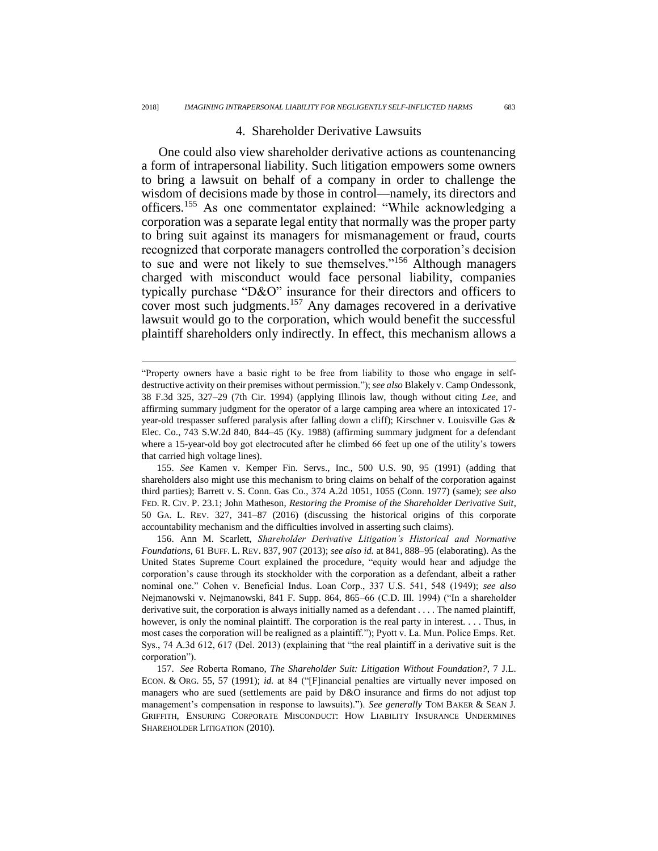## 4. Shareholder Derivative Lawsuits

One could also view shareholder derivative actions as countenancing a form of intrapersonal liability. Such litigation empowers some owners to bring a lawsuit on behalf of a company in order to challenge the wisdom of decisions made by those in control—namely, its directors and officers.<sup>155</sup> As one commentator explained: "While acknowledging a corporation was a separate legal entity that normally was the proper party to bring suit against its managers for mismanagement or fraud, courts recognized that corporate managers controlled the corporation's decision to sue and were not likely to sue themselves."<sup>156</sup> Although managers charged with misconduct would face personal liability, companies typically purchase "D&O" insurance for their directors and officers to cover most such judgments.<sup>157</sup> Any damages recovered in a derivative lawsuit would go to the corporation, which would benefit the successful plaintiff shareholders only indirectly. In effect, this mechanism allows a

 $\overline{a}$ 

155. *See* Kamen v. Kemper Fin. Servs., Inc., 500 U.S. 90, 95 (1991) (adding that shareholders also might use this mechanism to bring claims on behalf of the corporation against third parties); Barrett v. S. Conn. Gas Co., 374 A.2d 1051, 1055 (Conn. 1977) (same); *see also* FED. R. CIV. P. 23.1; John Matheson, *Restoring the Promise of the Shareholder Derivative Suit*, 50 GA. L. REV. 327, 341–87 (2016) (discussing the historical origins of this corporate accountability mechanism and the difficulties involved in asserting such claims).

156. Ann M. Scarlett, *Shareholder Derivative Litigation's Historical and Normative Foundations*, 61 BUFF. L. REV. 837, 907 (2013); *see also id.* at 841, 888–95 (elaborating). As the United States Supreme Court explained the procedure, "equity would hear and adjudge the corporation's cause through its stockholder with the corporation as a defendant, albeit a rather nominal one." Cohen v. Beneficial Indus. Loan Corp., 337 U.S. 541, 548 (1949); *see also* Nejmanowski v. Nejmanowski, 841 F. Supp. 864, 865–66 (C.D. Ill. 1994) ("In a shareholder derivative suit, the corporation is always initially named as a defendant . . . . The named plaintiff, however, is only the nominal plaintiff. The corporation is the real party in interest. . . . Thus, in most cases the corporation will be realigned as a plaintiff."); Pyott v. La. Mun. Police Emps. Ret. Sys., 74 A.3d 612, 617 (Del. 2013) (explaining that "the real plaintiff in a derivative suit is the corporation").

157. *See* Roberta Romano, *The Shareholder Suit: Litigation Without Foundation?*, 7 J.L. ECON. & ORG. 55, 57 (1991); *id.* at 84 ("[F]inancial penalties are virtually never imposed on managers who are sued (settlements are paid by D&O insurance and firms do not adjust top management's compensation in response to lawsuits)."). *See generally* TOM BAKER & SEAN J. GRIFFITH, ENSURING CORPORATE MISCONDUCT: HOW LIABILITY INSURANCE UNDERMINES SHAREHOLDER LITIGATION (2010).

<sup>&</sup>quot;Property owners have a basic right to be free from liability to those who engage in selfdestructive activity on their premises without permission."); *see also* Blakely v. Camp Ondessonk, 38 F.3d 325, 327–29 (7th Cir. 1994) (applying Illinois law, though without citing *Lee*, and affirming summary judgment for the operator of a large camping area where an intoxicated 17 year-old trespasser suffered paralysis after falling down a cliff); Kirschner v. Louisville Gas & Elec. Co., 743 S.W.2d 840, 844–45 (Ky. 1988) (affirming summary judgment for a defendant where a 15-year-old boy got electrocuted after he climbed 66 feet up one of the utility's towers that carried high voltage lines).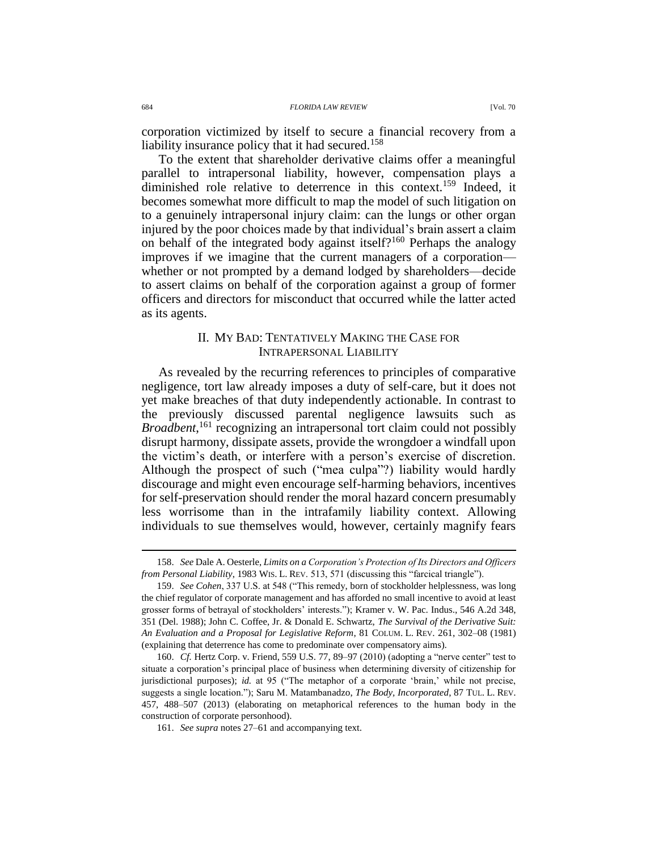corporation victimized by itself to secure a financial recovery from a liability insurance policy that it had secured.<sup>158</sup>

To the extent that shareholder derivative claims offer a meaningful parallel to intrapersonal liability, however, compensation plays a diminished role relative to deterrence in this context.<sup>159</sup> Indeed, it becomes somewhat more difficult to map the model of such litigation on to a genuinely intrapersonal injury claim: can the lungs or other organ injured by the poor choices made by that individual's brain assert a claim on behalf of the integrated body against itself?<sup>160</sup> Perhaps the analogy improves if we imagine that the current managers of a corporation whether or not prompted by a demand lodged by shareholders—decide to assert claims on behalf of the corporation against a group of former officers and directors for misconduct that occurred while the latter acted as its agents.

## II. MY BAD: TENTATIVELY MAKING THE CASE FOR INTRAPERSONAL LIABILITY

As revealed by the recurring references to principles of comparative negligence, tort law already imposes a duty of self-care, but it does not yet make breaches of that duty independently actionable. In contrast to the previously discussed parental negligence lawsuits such as Broadbent,<sup>161</sup> recognizing an intrapersonal tort claim could not possibly disrupt harmony, dissipate assets, provide the wrongdoer a windfall upon the victim's death, or interfere with a person's exercise of discretion. Although the prospect of such ("mea culpa"?) liability would hardly discourage and might even encourage self-harming behaviors, incentives for self-preservation should render the moral hazard concern presumably less worrisome than in the intrafamily liability context. Allowing individuals to sue themselves would, however, certainly magnify fears

<sup>158.</sup> *See* Dale A. Oesterle, *Limits on a Corporation's Protection of Its Directors and Officers from Personal Liability*, 1983 WIS. L. REV. 513, 571 (discussing this "farcical triangle").

<sup>159.</sup> *See Cohen*, 337 U.S. at 548 ("This remedy, born of stockholder helplessness, was long the chief regulator of corporate management and has afforded no small incentive to avoid at least grosser forms of betrayal of stockholders' interests."); Kramer v. W. Pac. Indus., 546 A.2d 348, 351 (Del. 1988); John C. Coffee, Jr. & Donald E. Schwartz, *The Survival of the Derivative Suit: An Evaluation and a Proposal for Legislative Reform*, 81 COLUM. L. REV. 261, 302–08 (1981) (explaining that deterrence has come to predominate over compensatory aims).

<sup>160.</sup> *Cf.* Hertz Corp. v. Friend, 559 U.S. 77, 89–97 (2010) (adopting a "nerve center" test to situate a corporation's principal place of business when determining diversity of citizenship for jurisdictional purposes); *id.* at 95 ("The metaphor of a corporate 'brain,' while not precise, suggests a single location."); Saru M. Matambanadzo, *The Body, Incorporated*, 87 TUL. L. REV. 457, 488–507 (2013) (elaborating on metaphorical references to the human body in the construction of corporate personhood).

<sup>161.</sup> *See supra* notes [27–](#page-7-0)[61](#page-14-0) and accompanying text.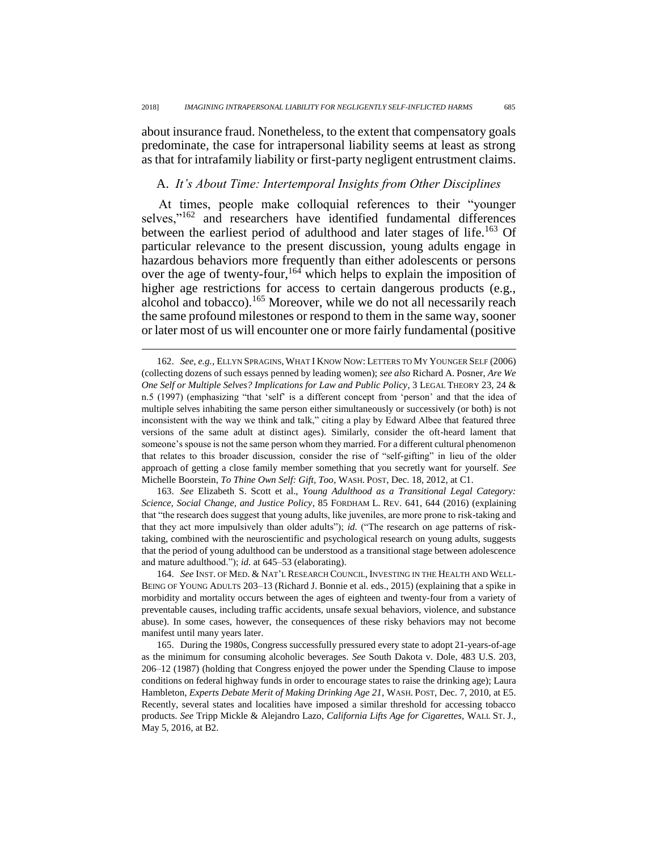about insurance fraud. Nonetheless, to the extent that compensatory goals predominate, the case for intrapersonal liability seems at least as strong as that for intrafamily liability or first-party negligent entrustment claims.

### A. *It's About Time: Intertemporal Insights from Other Disciplines*

At times, people make colloquial references to their "younger selves,"<sup>162</sup> and researchers have identified fundamental differences between the earliest period of adulthood and later stages of life.<sup>163</sup> Of particular relevance to the present discussion, young adults engage in hazardous behaviors more frequently than either adolescents or persons over the age of twenty-four,<sup>164</sup> which helps to explain the imposition of higher age restrictions for access to certain dangerous products (e.g., alcohol and tobacco).<sup>165</sup> Moreover, while we do not all necessarily reach the same profound milestones or respond to them in the same way, sooner or later most of us will encounter one or more fairly fundamental (positive

 $\overline{a}$ 

163. *See* Elizabeth S. Scott et al., *Young Adulthood as a Transitional Legal Category: Science, Social Change, and Justice Policy*, 85 FORDHAM L. REV. 641, 644 (2016) (explaining that "the research does suggest that young adults, like juveniles, are more prone to risk-taking and that they act more impulsively than older adults"); *id.* ("The research on age patterns of risktaking, combined with the neuroscientific and psychological research on young adults, suggests that the period of young adulthood can be understood as a transitional stage between adolescence and mature adulthood."); *id.* at 645–53 (elaborating).

164. *See* INST. OF MED. & NAT'L RESEARCH COUNCIL, INVESTING IN THE HEALTH AND WELL-BEING OF YOUNG ADULTS 203–13 (Richard J. Bonnie et al. eds., 2015) (explaining that a spike in morbidity and mortality occurs between the ages of eighteen and twenty-four from a variety of preventable causes, including traffic accidents, unsafe sexual behaviors, violence, and substance abuse). In some cases, however, the consequences of these risky behaviors may not become manifest until many years later.

165. During the 1980s, Congress successfully pressured every state to adopt 21-years-of-age as the minimum for consuming alcoholic beverages. *See* South Dakota v. Dole, 483 U.S. 203, 206–12 (1987) (holding that Congress enjoyed the power under the Spending Clause to impose conditions on federal highway funds in order to encourage states to raise the drinking age); Laura Hambleton, *Experts Debate Merit of Making Drinking Age 21*, WASH. POST, Dec. 7, 2010, at E5. Recently, several states and localities have imposed a similar threshold for accessing tobacco products. *See* Tripp Mickle & Alejandro Lazo, *California Lifts Age for Cigarettes*, WALL ST. J., May 5, 2016, at B2.

<sup>162.</sup> *See, e.g.*, ELLYN SPRAGINS, WHAT I KNOW NOW: LETTERS TO MY YOUNGER SELF (2006) (collecting dozens of such essays penned by leading women); *see also* Richard A. Posner, *Are We One Self or Multiple Selves? Implications for Law and Public Policy*, 3 LEGAL THEORY 23, 24 & n.5 (1997) (emphasizing "that 'self' is a different concept from 'person' and that the idea of multiple selves inhabiting the same person either simultaneously or successively (or both) is not inconsistent with the way we think and talk," citing a play by Edward Albee that featured three versions of the same adult at distinct ages). Similarly, consider the oft-heard lament that someone's spouse is not the same person whom they married. For a different cultural phenomenon that relates to this broader discussion, consider the rise of "self-gifting" in lieu of the older approach of getting a close family member something that you secretly want for yourself. *See* Michelle Boorstein, *To Thine Own Self: Gift, Too*, WASH. POST, Dec. 18, 2012, at C1.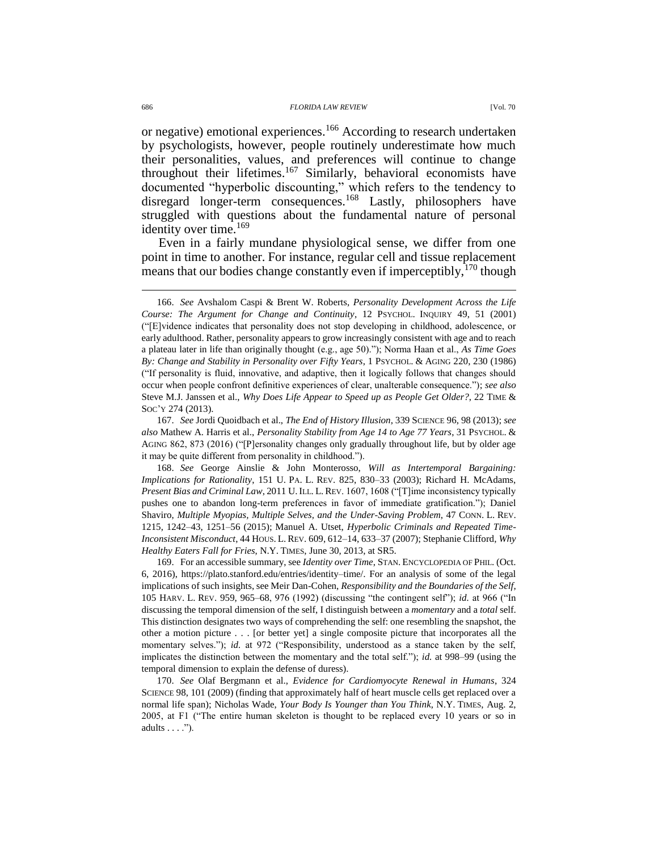or negative) emotional experiences.<sup>166</sup> According to research undertaken by psychologists, however, people routinely underestimate how much their personalities, values, and preferences will continue to change throughout their lifetimes.<sup>167</sup> Similarly, behavioral economists have documented "hyperbolic discounting," which refers to the tendency to disregard longer-term consequences.<sup>168</sup> Lastly, philosophers have struggled with questions about the fundamental nature of personal identity over time.<sup>169</sup>

<span id="page-37-0"></span>Even in a fairly mundane physiological sense, we differ from one point in time to another. For instance, regular cell and tissue replacement means that our bodies change constantly even if imperceptibly,  $170$  though

168. *See* George Ainslie & John Monterosso, *Will as Intertemporal Bargaining: Implications for Rationality*, 151 U. PA. L. REV. 825, 830–33 (2003); Richard H. McAdams, *Present Bias and Criminal Law*, 2011 U.ILL. L.REV. 1607, 1608 ("[T]ime inconsistency typically pushes one to abandon long-term preferences in favor of immediate gratification."); Daniel Shaviro, *Multiple Myopias, Multiple Selves, and the Under-Saving Problem*, 47 CONN. L. REV. 1215, 1242–43, 1251–56 (2015); Manuel A. Utset, *Hyperbolic Criminals and Repeated Time-Inconsistent Misconduct*, 44 HOUS. L. REV. 609, 612–14, 633–37 (2007); Stephanie Clifford, *Why Healthy Eaters Fall for Fries*, N.Y. TIMES, June 30, 2013, at SR5.

169. For an accessible summary, see *Identity over Time*, STAN. ENCYCLOPEDIA OF PHIL. (Oct. 6, 2016), https://plato.stanford.edu/entries/identity–time/. For an analysis of some of the legal implications of such insights, see Meir Dan-Cohen, *Responsibility and the Boundaries of the Self*, 105 HARV. L. REV. 959, 965–68, 976 (1992) (discussing "the contingent self"); *id.* at 966 ("In discussing the temporal dimension of the self, I distinguish between a *momentary* and a *total* self. This distinction designates two ways of comprehending the self: one resembling the snapshot, the other a motion picture . . . [or better yet] a single composite picture that incorporates all the momentary selves."); *id.* at 972 ("Responsibility, understood as a stance taken by the self, implicates the distinction between the momentary and the total self."); *id.* at 998–99 (using the temporal dimension to explain the defense of duress).

170. *See* Olaf Bergmann et al., *Evidence for Cardiomyocyte Renewal in Humans*, 324 SCIENCE 98, 101 (2009) (finding that approximately half of heart muscle cells get replaced over a normal life span); Nicholas Wade, *Your Body Is Younger than You Think*, N.Y. TIMES, Aug. 2, 2005, at F1 ("The entire human skeleton is thought to be replaced every 10 years or so in adults . . . .").

<sup>166.</sup> *See* Avshalom Caspi & Brent W. Roberts, *Personality Development Across the Life Course: The Argument for Change and Continuity*, 12 PSYCHOL. INQUIRY 49, 51 (2001) ("[E]vidence indicates that personality does not stop developing in childhood, adolescence, or early adulthood. Rather, personality appears to grow increasingly consistent with age and to reach a plateau later in life than originally thought (e.g., age 50)."); Norma Haan et al., *As Time Goes By: Change and Stability in Personality over Fifty Years*, 1 PSYCHOL. & AGING 220, 230 (1986) ("If personality is fluid, innovative, and adaptive, then it logically follows that changes should occur when people confront definitive experiences of clear, unalterable consequence."); *see also* Steve M.J. Janssen et al., *Why Does Life Appear to Speed up as People Get Older?*, 22 TIME & SOC'Y 274 (2013).

<sup>167.</sup> *See* Jordi Quoidbach et al., *The End of History Illusion*, 339 SCIENCE 96, 98 (2013); *see also* Mathew A. Harris et al., *Personality Stability from Age 14 to Age 77 Years*, 31 PSYCHOL. & AGING 862, 873 (2016) ("[P]ersonality changes only gradually throughout life, but by older age it may be quite different from personality in childhood.").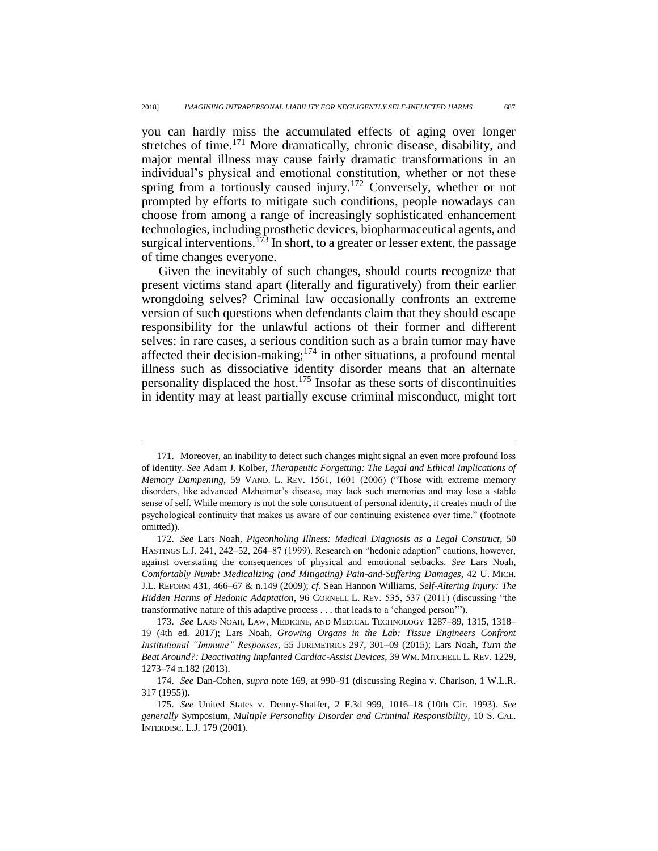you can hardly miss the accumulated effects of aging over longer stretches of time.<sup>171</sup> More dramatically, chronic disease, disability, and major mental illness may cause fairly dramatic transformations in an individual's physical and emotional constitution, whether or not these spring from a tortiously caused injury.<sup>172</sup> Conversely, whether or not prompted by efforts to mitigate such conditions, people nowadays can choose from among a range of increasingly sophisticated enhancement technologies, including prosthetic devices, biopharmaceutical agents, and surgical interventions.<sup>173</sup> In short, to a greater or lesser extent, the passage of time changes everyone.

Given the inevitably of such changes, should courts recognize that present victims stand apart (literally and figuratively) from their earlier wrongdoing selves? Criminal law occasionally confronts an extreme version of such questions when defendants claim that they should escape responsibility for the unlawful actions of their former and different selves: in rare cases, a serious condition such as a brain tumor may have affected their decision-making;<sup>174</sup> in other situations, a profound mental illness such as dissociative identity disorder means that an alternate personality displaced the host.<sup>175</sup> Insofar as these sorts of discontinuities in identity may at least partially excuse criminal misconduct, might tort

<sup>171.</sup> Moreover, an inability to detect such changes might signal an even more profound loss of identity. *See* Adam J. Kolber, *Therapeutic Forgetting: The Legal and Ethical Implications of Memory Dampening*, 59 VAND. L. REV. 1561, 1601 (2006) ("Those with extreme memory disorders, like advanced Alzheimer's disease, may lack such memories and may lose a stable sense of self. While memory is not the sole constituent of personal identity, it creates much of the psychological continuity that makes us aware of our continuing existence over time." (footnote omitted)).

<sup>172.</sup> *See* Lars Noah, *Pigeonholing Illness: Medical Diagnosis as a Legal Construct*, 50 HASTINGS L.J. 241, 242–52, 264–87 (1999). Research on "hedonic adaption" cautions, however, against overstating the consequences of physical and emotional setbacks. *See* Lars Noah, *Comfortably Numb: Medicalizing (and Mitigating) Pain-and-Suffering Damages*, 42 U. MICH. J.L. REFORM 431, 466–67 & n.149 (2009); *cf.* Sean Hannon Williams, *Self-Altering Injury: The Hidden Harms of Hedonic Adaptation*, 96 CORNELL L. REV. 535, 537 (2011) (discussing "the transformative nature of this adaptive process . . . that leads to a 'changed person'").

<sup>173.</sup> *See* LARS NOAH, LAW, MEDICINE, AND MEDICAL TECHNOLOGY 1287–89, 1315, 1318– 19 (4th ed. 2017); Lars Noah, *Growing Organs in the Lab: Tissue Engineers Confront Institutional "Immune" Responses*, 55 JURIMETRICS 297, 301–09 (2015); Lars Noah, *Turn the Beat Around?: Deactivating Implanted Cardiac-Assist Devices*, 39 WM. MITCHELL L. REV. 1229, 1273–74 n.182 (2013).

<sup>174.</sup> *See* Dan-Cohen, *supra* note [169,](#page-37-0) at 990–91 (discussing Regina v. Charlson, 1 W.L.R. 317 (1955)).

<sup>175.</sup> *See* United States v. Denny-Shaffer, 2 F.3d 999, 1016–18 (10th Cir. 1993). *See generally* Symposium, *Multiple Personality Disorder and Criminal Responsibility*, 10 S. CAL. INTERDISC. L.J. 179 (2001).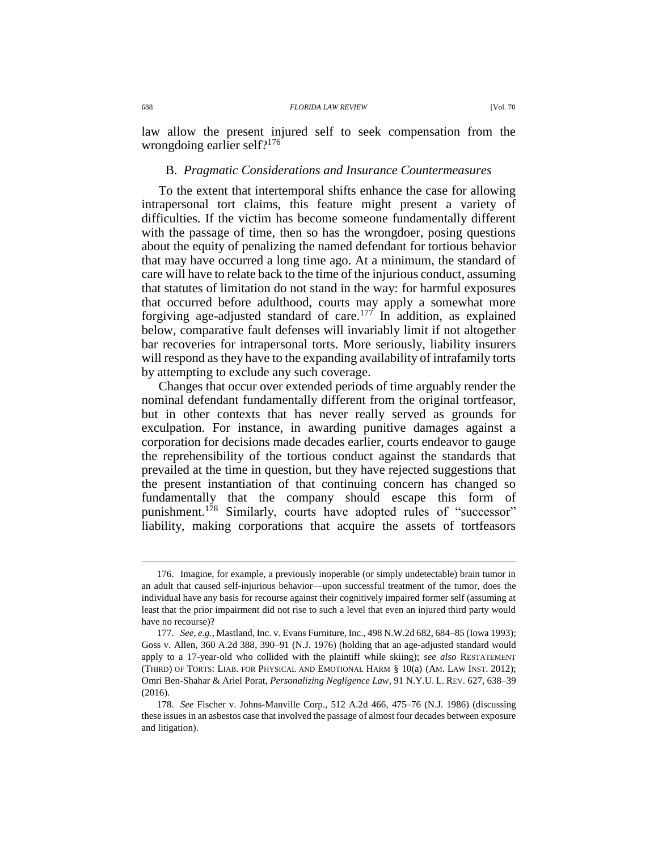law allow the present injured self to seek compensation from the wrongdoing earlier self?<sup>176</sup>

## B. *Pragmatic Considerations and Insurance Countermeasures*

To the extent that intertemporal shifts enhance the case for allowing intrapersonal tort claims, this feature might present a variety of difficulties. If the victim has become someone fundamentally different with the passage of time, then so has the wrongdoer, posing questions about the equity of penalizing the named defendant for tortious behavior that may have occurred a long time ago. At a minimum, the standard of care will have to relate back to the time of the injurious conduct, assuming that statutes of limitation do not stand in the way: for harmful exposures that occurred before adulthood, courts may apply a somewhat more forgiving age-adjusted standard of care.<sup>177</sup> In addition, as explained below, comparative fault defenses will invariably limit if not altogether bar recoveries for intrapersonal torts. More seriously, liability insurers will respond as they have to the expanding availability of intrafamily torts by attempting to exclude any such coverage.

Changes that occur over extended periods of time arguably render the nominal defendant fundamentally different from the original tortfeasor, but in other contexts that has never really served as grounds for exculpation. For instance, in awarding punitive damages against a corporation for decisions made decades earlier, courts endeavor to gauge the reprehensibility of the tortious conduct against the standards that prevailed at the time in question, but they have rejected suggestions that the present instantiation of that continuing concern has changed so fundamentally that the company should escape this form of punishment.<sup>178</sup> Similarly, courts have adopted rules of "successor" liability, making corporations that acquire the assets of tortfeasors

<sup>176.</sup> Imagine, for example, a previously inoperable (or simply undetectable) brain tumor in an adult that caused self-injurious behavior—upon successful treatment of the tumor, does the individual have any basis for recourse against their cognitively impaired former self (assuming at least that the prior impairment did not rise to such a level that even an injured third party would have no recourse)?

<sup>177.</sup> *See, e.g.*, Mastland, Inc. v. Evans Furniture, Inc., 498 N.W.2d 682, 684–85 (Iowa 1993); Goss v. Allen, 360 A.2d 388, 390–91 (N.J. 1976) (holding that an age-adjusted standard would apply to a 17-year-old who collided with the plaintiff while skiing); *see also* RESTATEMENT (THIRD) OF TORTS: LIAB. FOR PHYSICAL AND EMOTIONAL HARM § 10(a) (AM. LAW INST. 2012); Omri Ben-Shahar & Ariel Porat, *Personalizing Negligence Law*, 91 N.Y.U. L. REV. 627, 638–39 (2016).

<sup>178.</sup> *See* Fischer v. Johns-Manville Corp., 512 A.2d 466, 475–76 (N.J. 1986) (discussing these issues in an asbestos case that involved the passage of almost four decades between exposure and litigation).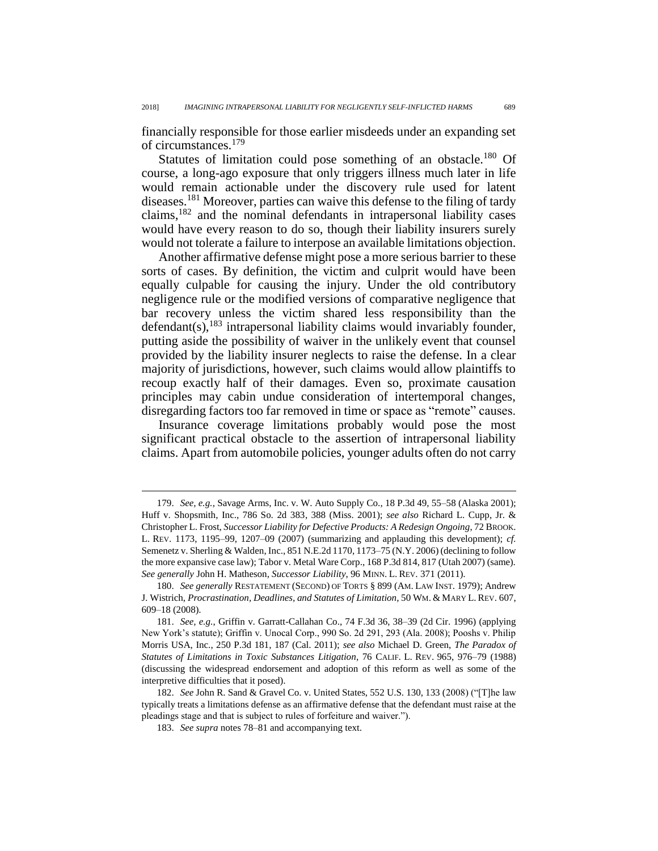financially responsible for those earlier misdeeds under an expanding set of circumstances.<sup>179</sup>

Statutes of limitation could pose something of an obstacle.<sup>180</sup> Of course, a long-ago exposure that only triggers illness much later in life would remain actionable under the discovery rule used for latent diseases.<sup>181</sup> Moreover, parties can waive this defense to the filing of tardy claims,<sup>182</sup> and the nominal defendants in intrapersonal liability cases would have every reason to do so, though their liability insurers surely would not tolerate a failure to interpose an available limitations objection.

<span id="page-40-0"></span>Another affirmative defense might pose a more serious barrier to these sorts of cases. By definition, the victim and culprit would have been equally culpable for causing the injury. Under the old contributory negligence rule or the modified versions of comparative negligence that bar recovery unless the victim shared less responsibility than the defendant(s), $183$  intrapersonal liability claims would invariably founder, putting aside the possibility of waiver in the unlikely event that counsel provided by the liability insurer neglects to raise the defense. In a clear majority of jurisdictions, however, such claims would allow plaintiffs to recoup exactly half of their damages. Even so, proximate causation principles may cabin undue consideration of intertemporal changes, disregarding factors too far removed in time or space as "remote" causes.

Insurance coverage limitations probably would pose the most significant practical obstacle to the assertion of intrapersonal liability claims. Apart from automobile policies, younger adults often do not carry

<sup>179.</sup> *See, e.g.*, Savage Arms, Inc. v. W. Auto Supply Co., 18 P.3d 49, 55–58 (Alaska 2001); Huff v. Shopsmith, Inc., 786 So. 2d 383, 388 (Miss. 2001); *see also* Richard L. Cupp, Jr. & Christopher L. Frost, *Successor Liability for Defective Products: A Redesign Ongoing*, 72 BROOK. L. REV. 1173, 1195–99, 1207–09 (2007) (summarizing and applauding this development); *cf.* Semenetz v. Sherling & Walden, Inc., 851 N.E.2d 1170, 1173–75 (N.Y. 2006) (declining to follow the more expansive case law); Tabor v. Metal Ware Corp., 168 P.3d 814, 817 (Utah 2007) (same). *See generally* John H. Matheson, *Successor Liability*, 96 MINN. L. REV. 371 (2011).

<sup>180.</sup> *See generally* RESTATEMENT (SECOND) OF TORTS § 899 (AM. LAW INST. 1979); Andrew J. Wistrich, *Procrastination, Deadlines, and Statutes of Limitation*, 50 WM. & MARY L. REV. 607, 609–18 (2008).

<sup>181.</sup> *See, e.g.*, Griffin v. Garratt-Callahan Co., 74 F.3d 36, 38–39 (2d Cir. 1996) (applying New York's statute); Griffin v. Unocal Corp., 990 So. 2d 291, 293 (Ala. 2008); Pooshs v. Philip Morris USA, Inc., 250 P.3d 181, 187 (Cal. 2011); *see also* Michael D. Green, *The Paradox of Statutes of Limitations in Toxic Substances Litigation*, 76 CALIF. L. REV. 965, 976–79 (1988) (discussing the widespread endorsement and adoption of this reform as well as some of the interpretive difficulties that it posed).

<sup>182.</sup> *See* John R. Sand & Gravel Co. v. United States, 552 U.S. 130, 133 (2008) ("[T]he law typically treats a limitations defense as an affirmative defense that the defendant must raise at the pleadings stage and that is subject to rules of forfeiture and waiver.").

<sup>183.</sup> *See supra* notes [78–](#page-19-0)[81](#page-19-1) and accompanying text.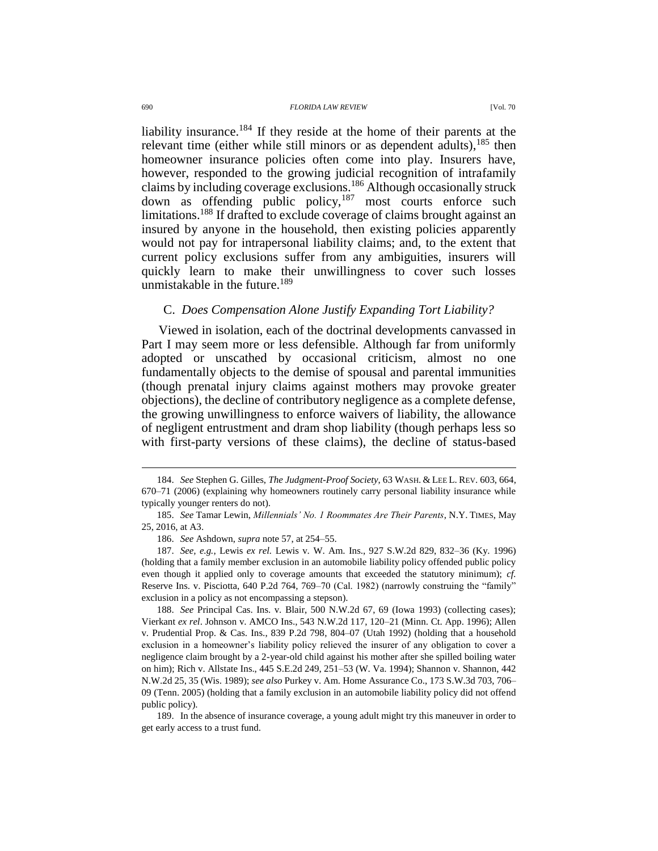#### 690 *FLORIDA LAW REVIEW* [Vol. 70

liability insurance.<sup>184</sup> If they reside at the home of their parents at the relevant time (either while still minors or as dependent adults),  $185$  then homeowner insurance policies often come into play. Insurers have, however, responded to the growing judicial recognition of intrafamily claims by including coverage exclusions.<sup>186</sup> Although occasionally struck down as offending public policy,<sup>187</sup> most courts enforce such limitations.<sup>188</sup> If drafted to exclude coverage of claims brought against an insured by anyone in the household, then existing policies apparently would not pay for intrapersonal liability claims; and, to the extent that current policy exclusions suffer from any ambiguities, insurers will quickly learn to make their unwillingness to cover such losses unmistakable in the future.<sup>189</sup>

#### C. *Does Compensation Alone Justify Expanding Tort Liability?*

Viewed in isolation, each of the doctrinal developments canvassed in Part I may seem more or less defensible. Although far from uniformly adopted or unscathed by occasional criticism, almost no one fundamentally objects to the demise of spousal and parental immunities (though prenatal injury claims against mothers may provoke greater objections), the decline of contributory negligence as a complete defense, the growing unwillingness to enforce waivers of liability, the allowance of negligent entrustment and dram shop liability (though perhaps less so with first-party versions of these claims), the decline of status-based

<sup>184.</sup> *See* Stephen G. Gilles, *The Judgment-Proof Society*, 63 WASH. & LEE L. REV. 603, 664, 670–71 (2006) (explaining why homeowners routinely carry personal liability insurance while typically younger renters do not).

<sup>185.</sup> *See* Tamar Lewin, *Millennials' No. 1 Roommates Are Their Parents*, N.Y. TIMES, May 25, 2016, at A3.

<sup>186.</sup> *See* Ashdown, *supra* note [57,](#page-13-0) at 254–55.

<sup>187.</sup> *See, e.g.*, Lewis *ex rel.* Lewis v. W. Am. Ins., 927 S.W.2d 829, 832–36 (Ky. 1996) (holding that a family member exclusion in an automobile liability policy offended public policy even though it applied only to coverage amounts that exceeded the statutory minimum); *cf.* Reserve Ins. v. Pisciotta, 640 P.2d 764, 769–70 (Cal. 1982) (narrowly construing the "family" exclusion in a policy as not encompassing a stepson).

<sup>188.</sup> *See* Principal Cas. Ins. v. Blair, 500 N.W.2d 67, 69 (Iowa 1993) (collecting cases); Vierkant *ex rel*. Johnson v. AMCO Ins., 543 N.W.2d 117, 120–21 (Minn. Ct. App. 1996); Allen v. Prudential Prop. & Cas. Ins., 839 P.2d 798, 804–07 (Utah 1992) (holding that a household exclusion in a homeowner's liability policy relieved the insurer of any obligation to cover a negligence claim brought by a 2-year-old child against his mother after she spilled boiling water on him); Rich v. Allstate Ins., 445 S.E.2d 249, 251–53 (W. Va. 1994); Shannon v. Shannon, 442 N.W.2d 25, 35 (Wis. 1989); *see also* Purkey v. Am. Home Assurance Co., 173 S.W.3d 703, 706– 09 (Tenn. 2005) (holding that a family exclusion in an automobile liability policy did not offend public policy).

<sup>189.</sup> In the absence of insurance coverage, a young adult might try this maneuver in order to get early access to a trust fund.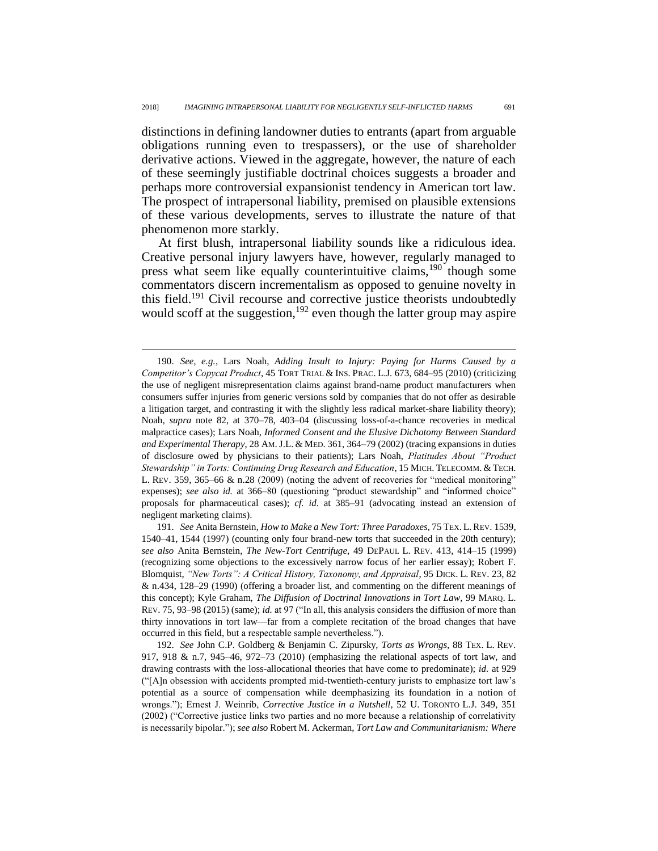distinctions in defining landowner duties to entrants (apart from arguable obligations running even to trespassers), or the use of shareholder derivative actions. Viewed in the aggregate, however, the nature of each of these seemingly justifiable doctrinal choices suggests a broader and perhaps more controversial expansionist tendency in American tort law. The prospect of intrapersonal liability, premised on plausible extensions of these various developments, serves to illustrate the nature of that phenomenon more starkly.

At first blush, intrapersonal liability sounds like a ridiculous idea. Creative personal injury lawyers have, however, regularly managed to press what seem like equally counterintuitive claims,<sup>190</sup> though some commentators discern incrementalism as opposed to genuine novelty in this field.<sup>191</sup> Civil recourse and corrective justice theorists undoubtedly would scoff at the suggestion,<sup>192</sup> even though the latter group may aspire

<sup>190.</sup> *See, e.g.*, Lars Noah, *Adding Insult to Injury: Paying for Harms Caused by a Competitor's Copycat Product*, 45 TORT TRIAL & INS. PRAC. L.J. 673, 684–95 (2010) (criticizing the use of negligent misrepresentation claims against brand-name product manufacturers when consumers suffer injuries from generic versions sold by companies that do not offer as desirable a litigation target, and contrasting it with the slightly less radical market-share liability theory); Noah, *supra* note [82,](#page-20-0) at 370–78, 403–04 (discussing loss-of-a-chance recoveries in medical malpractice cases); Lars Noah, *Informed Consent and the Elusive Dichotomy Between Standard and Experimental Therapy*, 28 AM.J.L. & MED. 361, 364–79 (2002) (tracing expansions in duties of disclosure owed by physicians to their patients); Lars Noah, *Platitudes About "Product Stewardship" in Torts: Continuing Drug Research and Education*, 15 MICH. TELECOMM. & TECH. L. REV. 359, 365–66 & n.28 (2009) (noting the advent of recoveries for "medical monitoring" expenses); *see also id.* at 366–80 (questioning "product stewardship" and "informed choice" proposals for pharmaceutical cases); *cf. id.* at 385–91 (advocating instead an extension of negligent marketing claims).

<sup>191.</sup> *See* Anita Bernstein, *How to Make a New Tort: Three Paradoxes*, 75 TEX. L.REV. 1539, 1540–41, 1544 (1997) (counting only four brand-new torts that succeeded in the 20th century); *see also* Anita Bernstein, *The New-Tort Centrifuge*, 49 DEPAUL L. REV. 413, 414–15 (1999) (recognizing some objections to the excessively narrow focus of her earlier essay); Robert F. Blomquist, *"New Torts": A Critical History, Taxonomy, and Appraisal*, 95 DICK. L. REV. 23, 82 & n.434, 128–29 (1990) (offering a broader list, and commenting on the different meanings of this concept); Kyle Graham, *The Diffusion of Doctrinal Innovations in Tort Law*, 99 MARQ. L. REV. 75, 93–98 (2015) (same); *id.* at 97 ("In all, this analysis considers the diffusion of more than thirty innovations in tort law—far from a complete recitation of the broad changes that have occurred in this field, but a respectable sample nevertheless.").

<sup>192.</sup> *See* John C.P. Goldberg & Benjamin C. Zipursky, *Torts as Wrongs*, 88 TEX. L. REV. 917, 918 & n.7, 945–46, 972–73 (2010) (emphasizing the relational aspects of tort law, and drawing contrasts with the loss-allocational theories that have come to predominate); *id.* at 929 ("[A]n obsession with accidents prompted mid-twentieth-century jurists to emphasize tort law's potential as a source of compensation while deemphasizing its foundation in a notion of wrongs."); Ernest J. Weinrib, *Corrective Justice in a Nutshell*, 52 U. TORONTO L.J. 349, 351 (2002) ("Corrective justice links two parties and no more because a relationship of correlativity is necessarily bipolar."); *see also* Robert M. Ackerman, *Tort Law and Communitarianism: Where*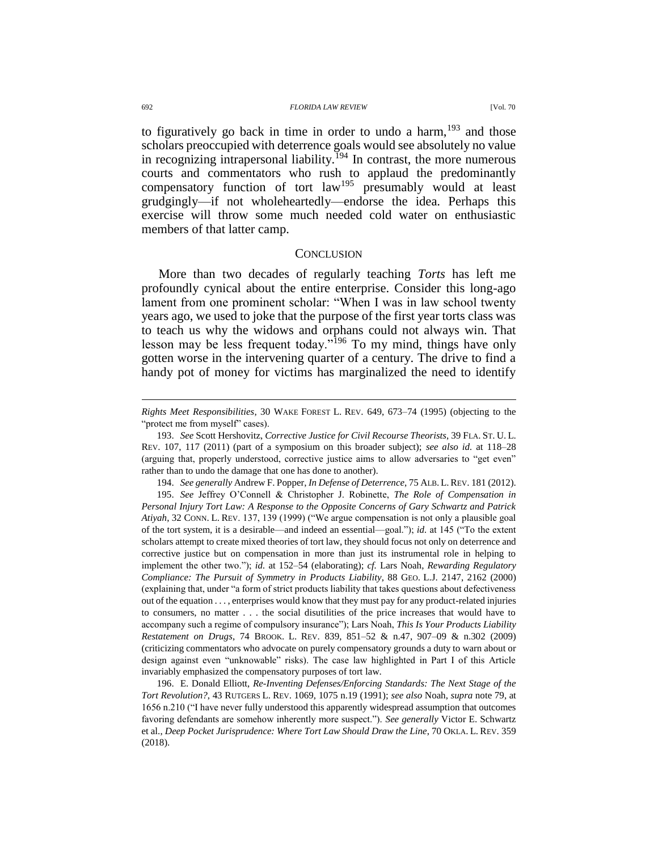692 *FLORIDA LAW REVIEW* [Vol. 70

to figuratively go back in time in order to undo a harm.<sup>193</sup> and those scholars preoccupied with deterrence goals would see absolutely no value in recognizing intrapersonal liability.<sup> $194$ </sup> In contrast, the more numerous courts and commentators who rush to applaud the predominantly compensatory function of tort law<sup>195</sup> presumably would at least grudgingly—if not wholeheartedly—endorse the idea. Perhaps this exercise will throw some much needed cold water on enthusiastic members of that latter camp.

### **CONCLUSION**

More than two decades of regularly teaching *Torts* has left me profoundly cynical about the entire enterprise. Consider this long-ago lament from one prominent scholar: "When I was in law school twenty years ago, we used to joke that the purpose of the first year torts class was to teach us why the widows and orphans could not always win. That lesson may be less frequent today."<sup>196</sup> To my mind, things have only gotten worse in the intervening quarter of a century. The drive to find a handy pot of money for victims has marginalized the need to identify

194. *See generally* Andrew F. Popper, *In Defense of Deterrence*, 75 ALB. L.REV. 181 (2012).

195. *See* Jeffrey O'Connell & Christopher J. Robinette, *The Role of Compensation in Personal Injury Tort Law: A Response to the Opposite Concerns of Gary Schwartz and Patrick Atiyah*, 32 CONN. L. REV. 137, 139 (1999) ("We argue compensation is not only a plausible goal of the tort system, it is a desirable—and indeed an essential—goal."); *id.* at 145 ("To the extent scholars attempt to create mixed theories of tort law, they should focus not only on deterrence and corrective justice but on compensation in more than just its instrumental role in helping to implement the other two."); *id.* at 152–54 (elaborating); *cf.* Lars Noah, *Rewarding Regulatory Compliance: The Pursuit of Symmetry in Products Liability*, 88 GEO. L.J. 2147, 2162 (2000) (explaining that, under "a form of strict products liability that takes questions about defectiveness out of the equation . . . , enterprises would know that they must pay for any product-related injuries to consumers, no matter . . . the social disutilities of the price increases that would have to accompany such a regime of compulsory insurance"); Lars Noah, *This Is Your Products Liability Restatement on Drugs*, 74 BROOK. L. REV. 839, 851–52 & n.47, 907–09 & n.302 (2009) (criticizing commentators who advocate on purely compensatory grounds a duty to warn about or design against even "unknowable" risks). The case law highlighted in Part I of this Article invariably emphasized the compensatory purposes of tort law.

196. E. Donald Elliott, *Re-Inventing Defenses/Enforcing Standards: The Next Stage of the Tort Revolution?*, 43 RUTGERS L. REV. 1069, 1075 n.19 (1991); *see also* Noah, *supra* note [79,](#page-19-2) at 1656 n.210 ("I have never fully understood this apparently widespread assumption that outcomes favoring defendants are somehow inherently more suspect."). *See generally* Victor E. Schwartz et al., *Deep Pocket Jurisprudence: Where Tort Law Should Draw the Line*, 70 OKLA. L. REV. 359 (2018).

*Rights Meet Responsibilities*, 30 WAKE FOREST L. REV. 649, 673–74 (1995) (objecting to the "protect me from myself" cases).

<sup>193.</sup> *See* Scott Hershovitz, *Corrective Justice for Civil Recourse Theorists*, 39 FLA. ST. U. L. REV. 107, 117 (2011) (part of a symposium on this broader subject); *see also id.* at 118–28 (arguing that, properly understood, corrective justice aims to allow adversaries to "get even" rather than to undo the damage that one has done to another).